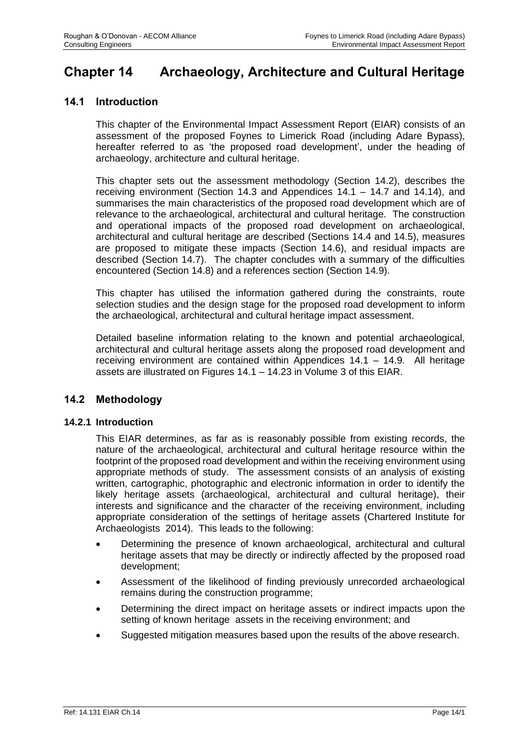# **Chapter 14 Archaeology, Architecture and Cultural Heritage**

## **14.1 Introduction**

This chapter of the Environmental Impact Assessment Report (EIAR) consists of an assessment of the proposed Foynes to Limerick Road (including Adare Bypass), hereafter referred to as 'the proposed road development', under the heading of archaeology, architecture and cultural heritage.

This chapter sets out the assessment methodology (Section 14.2), describes the receiving environment (Section 14.3 and Appendices 14.1 – 14.7 and 14.14), and summarises the main characteristics of the proposed road development which are of relevance to the archaeological, architectural and cultural heritage. The construction and operational impacts of the proposed road development on archaeological, architectural and cultural heritage are described (Sections 14.4 and 14.5), measures are proposed to mitigate these impacts (Section 14.6), and residual impacts are described (Section 14.7). The chapter concludes with a summary of the difficulties encountered (Section 14.8) and a references section (Section 14.9).

This chapter has utilised the information gathered during the constraints, route selection studies and the design stage for the proposed road development to inform the archaeological, architectural and cultural heritage impact assessment.

Detailed baseline information relating to the known and potential archaeological, architectural and cultural heritage assets along the proposed road development and receiving environment are contained within Appendices 14.1 – 14.9. All heritage assets are illustrated on Figures 14.1 – 14.23 in Volume 3 of this EIAR.

## **14.2 Methodology**

#### **14.2.1 Introduction**

This EIAR determines, as far as is reasonably possible from existing records, the nature of the archaeological, architectural and cultural heritage resource within the footprint of the proposed road development and within the receiving environment using appropriate methods of study. The assessment consists of an analysis of existing written, cartographic, photographic and electronic information in order to identify the likely heritage assets (archaeological, architectural and cultural heritage), their interests and significance and the character of the receiving environment, including appropriate consideration of the settings of heritage assets (Chartered Institute for Archaeologists 2014). This leads to the following:

- Determining the presence of known archaeological, architectural and cultural heritage assets that may be directly or indirectly affected by the proposed road development;
- Assessment of the likelihood of finding previously unrecorded archaeological remains during the construction programme;
- Determining the direct impact on heritage assets or indirect impacts upon the setting of known heritage assets in the receiving environment; and
- Suggested mitigation measures based upon the results of the above research.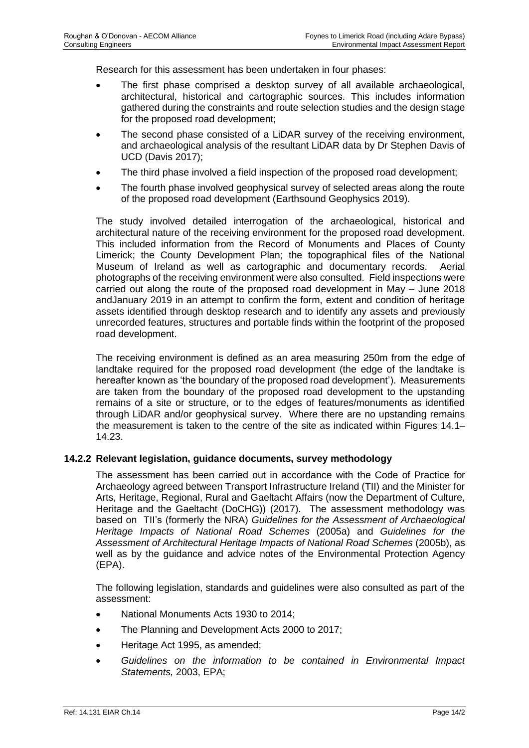Research for this assessment has been undertaken in four phases:

- The first phase comprised a desktop survey of all available archaeological, architectural, historical and cartographic sources. This includes information gathered during the constraints and route selection studies and the design stage for the proposed road development;
- The second phase consisted of a LiDAR survey of the receiving environment, and archaeological analysis of the resultant LiDAR data by Dr Stephen Davis of UCD (Davis 2017);
- The third phase involved a field inspection of the proposed road development;
- The fourth phase involved geophysical survey of selected areas along the route of the proposed road development (Earthsound Geophysics 2019).

The study involved detailed interrogation of the archaeological, historical and architectural nature of the receiving environment for the proposed road development. This included information from the Record of Monuments and Places of County Limerick; the County Development Plan; the topographical files of the National Museum of Ireland as well as cartographic and documentary records. Aerial photographs of the receiving environment were also consulted. Field inspections were carried out along the route of the proposed road development in May – June 2018 andJanuary 2019 in an attempt to confirm the form, extent and condition of heritage assets identified through desktop research and to identify any assets and previously unrecorded features, structures and portable finds within the footprint of the proposed road development.

The receiving environment is defined as an area measuring 250m from the edge of landtake required for the proposed road development (the edge of the landtake is hereafter known as 'the boundary of the proposed road development'). Measurements are taken from the boundary of the proposed road development to the upstanding remains of a site or structure, or to the edges of features/monuments as identified through LiDAR and/or geophysical survey. Where there are no upstanding remains the measurement is taken to the centre of the site as indicated within Figures 14.1– 14.23.

#### **14.2.2 Relevant legislation, guidance documents, survey methodology**

The assessment has been carried out in accordance with the Code of Practice for Archaeology agreed between Transport Infrastructure Ireland (TII) and the Minister for Arts, Heritage, Regional, Rural and Gaeltacht Affairs (now the Department of Culture, Heritage and the Gaeltacht (DoCHG)) (2017). The assessment methodology was based on TII's (formerly the NRA) *Guidelines for the Assessment of Archaeological Heritage Impacts of National Road Schemes* (2005a) and *Guidelines for the Assessment of Architectural Heritage Impacts of National Road Schemes* (2005b), as well as by the guidance and advice notes of the Environmental Protection Agency (EPA).

The following legislation, standards and guidelines were also consulted as part of the assessment:

- National Monuments Acts 1930 to 2014;
- The Planning and Development Acts 2000 to 2017;
- Heritage Act 1995, as amended;
- *Guidelines on the information to be contained in Environmental Impact Statements,* 2003, EPA;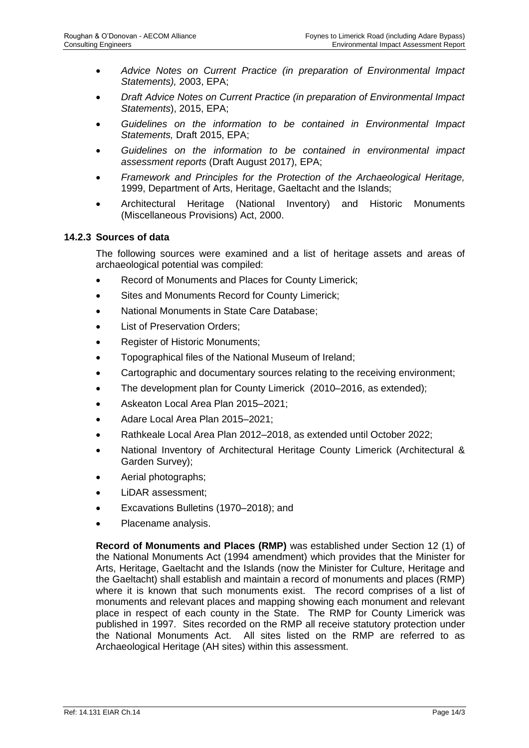- *Advice Notes on Current Practice (in preparation of Environmental Impact Statements),* 2003, EPA;
- *Draft Advice Notes on Current Practice (in preparation of Environmental Impact Statements*), 2015, EPA;
- *Guidelines on the information to be contained in Environmental Impact Statements,* Draft 2015, EPA;
- *Guidelines on the information to be contained in environmental impact assessment reports* (Draft August 2017), EPA;
- *Framework and Principles for the Protection of the Archaeological Heritage,* 1999, Department of Arts, Heritage, Gaeltacht and the Islands;
- Architectural Heritage (National Inventory) and Historic Monuments (Miscellaneous Provisions) Act, 2000.

## **14.2.3 Sources of data**

The following sources were examined and a list of heritage assets and areas of archaeological potential was compiled:

- Record of Monuments and Places for County Limerick;
- Sites and Monuments Record for County Limerick;
- National Monuments in State Care Database;
- List of Preservation Orders:
- Register of Historic Monuments;
- Topographical files of the National Museum of Ireland;
- Cartographic and documentary sources relating to the receiving environment;
- The development plan for County Limerick (2010–2016, as extended);
- Askeaton Local Area Plan 2015–2021;
- Adare Local Area Plan 2015–2021;
- Rathkeale Local Area Plan 2012–2018, as extended until October 2022;
- National Inventory of Architectural Heritage County Limerick (Architectural & Garden Survey);
- Aerial photographs;
- LiDAR assessment;
- Excavations Bulletins (1970–2018); and
- Placename analysis.

**Record of Monuments and Places (RMP)** was established under Section 12 (1) of the National Monuments Act (1994 amendment) which provides that the Minister for Arts, Heritage, Gaeltacht and the Islands (now the Minister for Culture, Heritage and the Gaeltacht) shall establish and maintain a record of monuments and places (RMP) where it is known that such monuments exist. The record comprises of a list of monuments and relevant places and mapping showing each monument and relevant place in respect of each county in the State. The RMP for County Limerick was published in 1997. Sites recorded on the RMP all receive statutory protection under the National Monuments Act. All sites listed on the RMP are referred to as Archaeological Heritage (AH sites) within this assessment.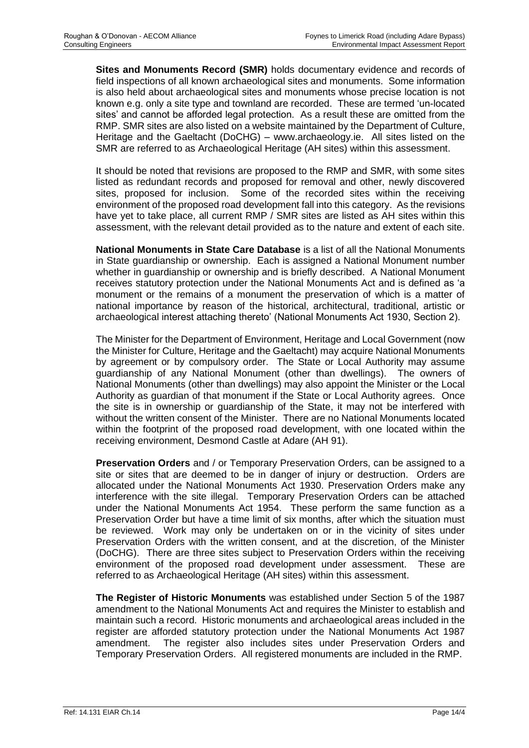**Sites and Monuments Record (SMR)** holds documentary evidence and records of field inspections of all known archaeological sites and monuments. Some information is also held about archaeological sites and monuments whose precise location is not known e.g. only a site type and townland are recorded. These are termed 'un-located sites' and cannot be afforded legal protection. As a result these are omitted from the RMP. SMR sites are also listed on a website maintained by the Department of Culture, Heritage and the Gaeltacht (DoCHG) – www.archaeology.ie. All sites listed on the SMR are referred to as Archaeological Heritage (AH sites) within this assessment.

It should be noted that revisions are proposed to the RMP and SMR, with some sites listed as redundant records and proposed for removal and other, newly discovered sites, proposed for inclusion. Some of the recorded sites within the receiving environment of the proposed road development fall into this category. As the revisions have yet to take place, all current RMP / SMR sites are listed as AH sites within this assessment, with the relevant detail provided as to the nature and extent of each site.

**National Monuments in State Care Database** is a list of all the National Monuments in State guardianship or ownership. Each is assigned a National Monument number whether in guardianship or ownership and is briefly described. A National Monument receives statutory protection under the National Monuments Act and is defined as 'a monument or the remains of a monument the preservation of which is a matter of national importance by reason of the historical, architectural, traditional, artistic or archaeological interest attaching thereto' (National Monuments Act 1930, Section 2).

The Minister for the Department of Environment, Heritage and Local Government (now the Minister for Culture, Heritage and the Gaeltacht) may acquire National Monuments by agreement or by compulsory order. The State or Local Authority may assume guardianship of any National Monument (other than dwellings). The owners of National Monuments (other than dwellings) may also appoint the Minister or the Local Authority as guardian of that monument if the State or Local Authority agrees. Once the site is in ownership or guardianship of the State, it may not be interfered with without the written consent of the Minister. There are no National Monuments located within the footprint of the proposed road development, with one located within the receiving environment, Desmond Castle at Adare (AH 91).

**Preservation Orders** and / or Temporary Preservation Orders, can be assigned to a site or sites that are deemed to be in danger of injury or destruction. Orders are allocated under the National Monuments Act 1930. Preservation Orders make any interference with the site illegal. Temporary Preservation Orders can be attached under the National Monuments Act 1954. These perform the same function as a Preservation Order but have a time limit of six months, after which the situation must be reviewed. Work may only be undertaken on or in the vicinity of sites under Preservation Orders with the written consent, and at the discretion, of the Minister (DoCHG). There are three sites subject to Preservation Orders within the receiving environment of the proposed road development under assessment. These are referred to as Archaeological Heritage (AH sites) within this assessment.

**The Register of Historic Monuments** was established under Section 5 of the 1987 amendment to the National Monuments Act and requires the Minister to establish and maintain such a record. Historic monuments and archaeological areas included in the register are afforded statutory protection under the National Monuments Act 1987 amendment. The register also includes sites under Preservation Orders and Temporary Preservation Orders. All registered monuments are included in the RMP.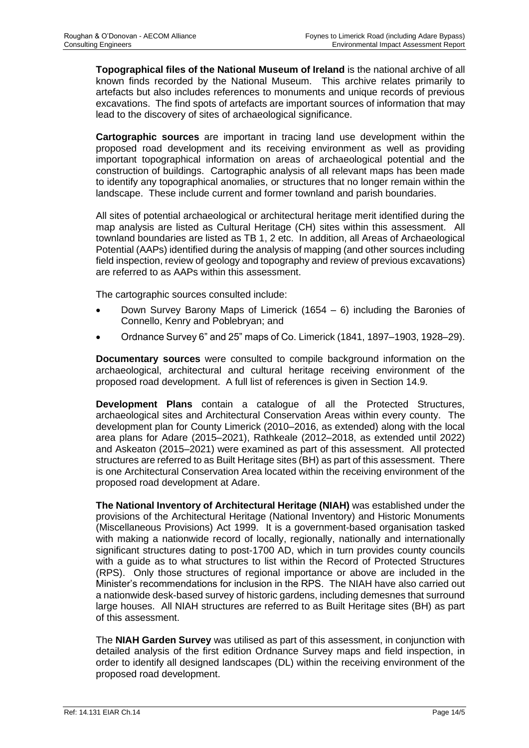**Topographical files of the National Museum of Ireland** is the national archive of all known finds recorded by the National Museum. This archive relates primarily to artefacts but also includes references to monuments and unique records of previous excavations. The find spots of artefacts are important sources of information that may lead to the discovery of sites of archaeological significance.

**Cartographic sources** are important in tracing land use development within the proposed road development and its receiving environment as well as providing important topographical information on areas of archaeological potential and the construction of buildings. Cartographic analysis of all relevant maps has been made to identify any topographical anomalies, or structures that no longer remain within the landscape. These include current and former townland and parish boundaries.

All sites of potential archaeological or architectural heritage merit identified during the map analysis are listed as Cultural Heritage (CH) sites within this assessment. All townland boundaries are listed as TB 1, 2 etc. In addition, all Areas of Archaeological Potential (AAPs) identified during the analysis of mapping (and other sources including field inspection, review of geology and topography and review of previous excavations) are referred to as AAPs within this assessment.

The cartographic sources consulted include:

- Down Survey Barony Maps of Limerick (1654 6) including the Baronies of Connello, Kenry and Poblebryan; and
- Ordnance Survey 6" and 25" maps of Co. Limerick (1841, 1897–1903, 1928–29).

**Documentary sources** were consulted to compile background information on the archaeological, architectural and cultural heritage receiving environment of the proposed road development. A full list of references is given in Section 14.9.

**Development Plans** contain a catalogue of all the Protected Structures, archaeological sites and Architectural Conservation Areas within every county. The development plan for County Limerick (2010–2016, as extended) along with the local area plans for Adare (2015–2021), Rathkeale (2012–2018, as extended until 2022) and Askeaton (2015–2021) were examined as part of this assessment. All protected structures are referred to as Built Heritage sites (BH) as part of this assessment. There is one Architectural Conservation Area located within the receiving environment of the proposed road development at Adare.

**The National Inventory of Architectural Heritage (NIAH)** was established under the provisions of the Architectural Heritage (National Inventory) and Historic Monuments (Miscellaneous Provisions) Act 1999. It is a government-based organisation tasked with making a nationwide record of locally, regionally, nationally and internationally significant structures dating to post-1700 AD, which in turn provides county councils with a guide as to what structures to list within the Record of Protected Structures (RPS). Only those structures of regional importance or above are included in the Minister's recommendations for inclusion in the RPS. The NIAH have also carried out a nationwide desk-based survey of historic gardens, including demesnes that surround large houses. All NIAH structures are referred to as Built Heritage sites (BH) as part of this assessment.

The **NIAH Garden Survey** was utilised as part of this assessment, in conjunction with detailed analysis of the first edition Ordnance Survey maps and field inspection, in order to identify all designed landscapes (DL) within the receiving environment of the proposed road development.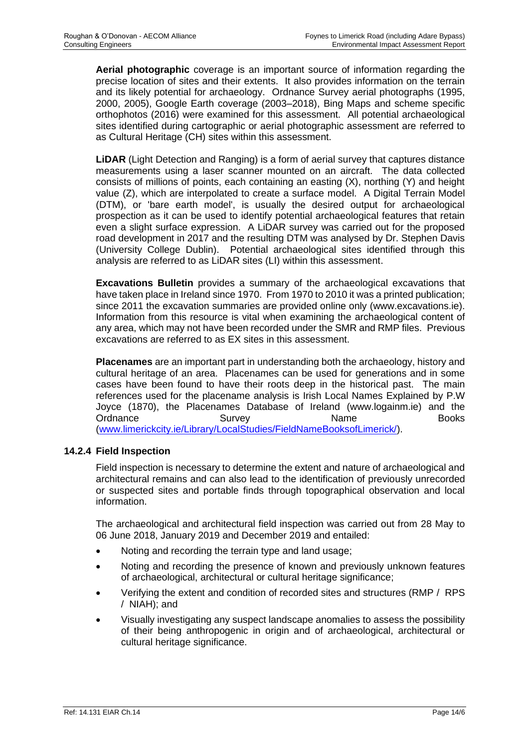**Aerial photographic** coverage is an important source of information regarding the precise location of sites and their extents. It also provides information on the terrain and its likely potential for archaeology. Ordnance Survey aerial photographs (1995, 2000, 2005), Google Earth coverage (2003–2018), Bing Maps and scheme specific orthophotos (2016) were examined for this assessment. All potential archaeological sites identified during cartographic or aerial photographic assessment are referred to as Cultural Heritage (CH) sites within this assessment.

**LiDAR** (Light Detection and Ranging) is a form of aerial survey that captures distance measurements using a laser scanner mounted on an aircraft. The data collected consists of millions of points, each containing an easting (X), northing (Y) and height value (Z), which are interpolated to create a surface model. A Digital Terrain Model (DTM), or 'bare earth model', is usually the desired output for archaeological prospection as it can be used to identify potential archaeological features that retain even a slight surface expression. A LiDAR survey was carried out for the proposed road development in 2017 and the resulting DTM was analysed by Dr. Stephen Davis (University College Dublin). Potential archaeological sites identified through this analysis are referred to as LiDAR sites (LI) within this assessment.

**Excavations Bulletin** provides a summary of the archaeological excavations that have taken place in Ireland since 1970. From 1970 to 2010 it was a printed publication; since 2011 the excavation summaries are provided online only (www.excavations.ie). Information from this resource is vital when examining the archaeological content of any area, which may not have been recorded under the SMR and RMP files. Previous excavations are referred to as EX sites in this assessment.

**Placenames** are an important part in understanding both the archaeology, history and cultural heritage of an area. Placenames can be used for generations and in some cases have been found to have their roots deep in the historical past. The main references used for the placename analysis is Irish Local Names Explained by P.W Joyce (1870), the Placenames Database of Ireland (www.logainm.ie) and the Ordnance Survey Name Books [\(www.limerickcity.ie/Library/LocalStudies/FieldNameBooksofLimerick/\)](http://www.limerickcity.ie/Library/LocalStudies/FieldNameBooksofLimerick/).

## **14.2.4 Field Inspection**

Field inspection is necessary to determine the extent and nature of archaeological and architectural remains and can also lead to the identification of previously unrecorded or suspected sites and portable finds through topographical observation and local information.

The archaeological and architectural field inspection was carried out from 28 May to 06 June 2018, January 2019 and December 2019 and entailed:

- Noting and recording the terrain type and land usage;
- Noting and recording the presence of known and previously unknown features of archaeological, architectural or cultural heritage significance;
- Verifying the extent and condition of recorded sites and structures (RMP / RPS / NIAH); and
- Visually investigating any suspect landscape anomalies to assess the possibility of their being anthropogenic in origin and of archaeological, architectural or cultural heritage significance.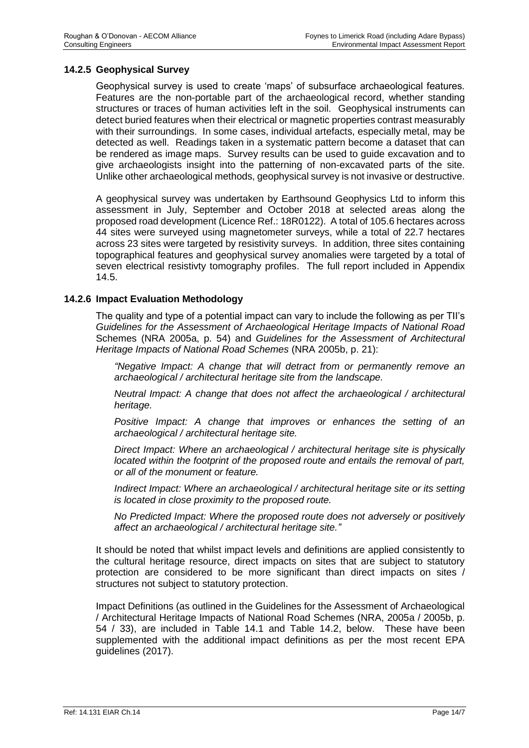## **14.2.5 Geophysical Survey**

Geophysical survey is used to create 'maps' of subsurface archaeological features. Features are the non-portable part of the archaeological record, whether standing structures or traces of human activities left in the soil. Geophysical instruments can detect buried features when their electrical or magnetic properties contrast measurably with their surroundings. In some cases, individual artefacts, especially metal, may be detected as well. Readings taken in a systematic pattern become a dataset that can be rendered as image maps. Survey results can be used to guide excavation and to give archaeologists insight into the patterning of non-excavated parts of the site. Unlike other archaeological methods, geophysical survey is not invasive or destructive.

A geophysical survey was undertaken by Earthsound Geophysics Ltd to inform this assessment in July, September and October 2018 at selected areas along the proposed road development (Licence Ref.: 18R0122). A total of 105.6 hectares across 44 sites were surveyed using magnetometer surveys, while a total of 22.7 hectares across 23 sites were targeted by resistivity surveys. In addition, three sites containing topographical features and geophysical survey anomalies were targeted by a total of seven electrical resistivty tomography profiles. The full report included in Appendix 14.5.

#### **14.2.6 Impact Evaluation Methodology**

The quality and type of a potential impact can vary to include the following as per TII's *Guidelines for the Assessment of Archaeological Heritage Impacts of National Road*  Schemes (NRA 2005a, p. 54) and *Guidelines for the Assessment of Architectural Heritage Impacts of National Road Schemes* (NRA 2005b, p. 21):

*"Negative Impact: A change that will detract from or permanently remove an archaeological / architectural heritage site from the landscape.*

*Neutral Impact: A change that does not affect the archaeological / architectural heritage.*

*Positive Impact: A change that improves or enhances the setting of an archaeological / architectural heritage site.*

*Direct Impact: Where an archaeological / architectural heritage site is physically located within the footprint of the proposed route and entails the removal of part, or all of the monument or feature.*

*Indirect Impact: Where an archaeological / architectural heritage site or its setting is located in close proximity to the proposed route.*

*No Predicted Impact: Where the proposed route does not adversely or positively affect an archaeological / architectural heritage site."*

It should be noted that whilst impact levels and definitions are applied consistently to the cultural heritage resource, direct impacts on sites that are subject to statutory protection are considered to be more significant than direct impacts on sites / structures not subject to statutory protection.

Impact Definitions (as outlined in the Guidelines for the Assessment of Archaeological / Architectural Heritage Impacts of National Road Schemes (NRA, 2005a / 2005b, p. 54 / 33), are included in Table 14.1 and Table 14.2, below. These have been supplemented with the additional impact definitions as per the most recent EPA guidelines (2017).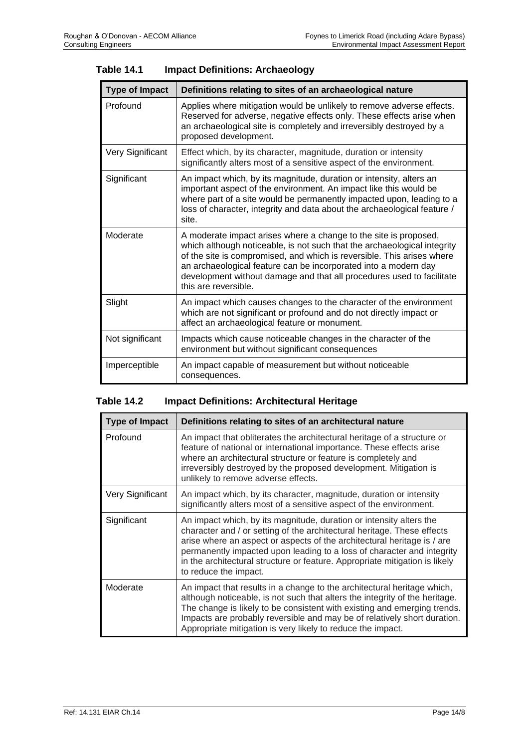| <b>Type of Impact</b> | Definitions relating to sites of an archaeological nature                                                                                                                                                                                                                                                                                                                                  |
|-----------------------|--------------------------------------------------------------------------------------------------------------------------------------------------------------------------------------------------------------------------------------------------------------------------------------------------------------------------------------------------------------------------------------------|
| Profound              | Applies where mitigation would be unlikely to remove adverse effects.<br>Reserved for adverse, negative effects only. These effects arise when<br>an archaeological site is completely and irreversibly destroyed by a<br>proposed development.                                                                                                                                            |
| Very Significant      | Effect which, by its character, magnitude, duration or intensity<br>significantly alters most of a sensitive aspect of the environment.                                                                                                                                                                                                                                                    |
| Significant           | An impact which, by its magnitude, duration or intensity, alters an<br>important aspect of the environment. An impact like this would be<br>where part of a site would be permanently impacted upon, leading to a<br>loss of character, integrity and data about the archaeological feature /<br>site.                                                                                     |
| Moderate              | A moderate impact arises where a change to the site is proposed,<br>which although noticeable, is not such that the archaeological integrity<br>of the site is compromised, and which is reversible. This arises where<br>an archaeological feature can be incorporated into a modern day<br>development without damage and that all procedures used to facilitate<br>this are reversible. |
| Slight                | An impact which causes changes to the character of the environment<br>which are not significant or profound and do not directly impact or<br>affect an archaeological feature or monument.                                                                                                                                                                                                 |
| Not significant       | Impacts which cause noticeable changes in the character of the<br>environment but without significant consequences                                                                                                                                                                                                                                                                         |
| Imperceptible         | An impact capable of measurement but without noticeable<br>consequences.                                                                                                                                                                                                                                                                                                                   |

| <b>Table 14.1</b> | <b>Impact Definitions: Archaeology</b> |
|-------------------|----------------------------------------|
|-------------------|----------------------------------------|

# **Table 14.2 Impact Definitions: Architectural Heritage**

| <b>Type of Impact</b> | Definitions relating to sites of an architectural nature                                                                                                                                                                                                                                                                                                                                                    |
|-----------------------|-------------------------------------------------------------------------------------------------------------------------------------------------------------------------------------------------------------------------------------------------------------------------------------------------------------------------------------------------------------------------------------------------------------|
| Profound              | An impact that obliterates the architectural heritage of a structure or<br>feature of national or international importance. These effects arise<br>where an architectural structure or feature is completely and<br>irreversibly destroyed by the proposed development. Mitigation is<br>unlikely to remove adverse effects.                                                                                |
| Very Significant      | An impact which, by its character, magnitude, duration or intensity<br>significantly alters most of a sensitive aspect of the environment.                                                                                                                                                                                                                                                                  |
| Significant           | An impact which, by its magnitude, duration or intensity alters the<br>character and / or setting of the architectural heritage. These effects<br>arise where an aspect or aspects of the architectural heritage is / are<br>permanently impacted upon leading to a loss of character and integrity<br>in the architectural structure or feature. Appropriate mitigation is likely<br>to reduce the impact. |
| Moderate              | An impact that results in a change to the architectural heritage which,<br>although noticeable, is not such that alters the integrity of the heritage.<br>The change is likely to be consistent with existing and emerging trends.<br>Impacts are probably reversible and may be of relatively short duration.<br>Appropriate mitigation is very likely to reduce the impact.                               |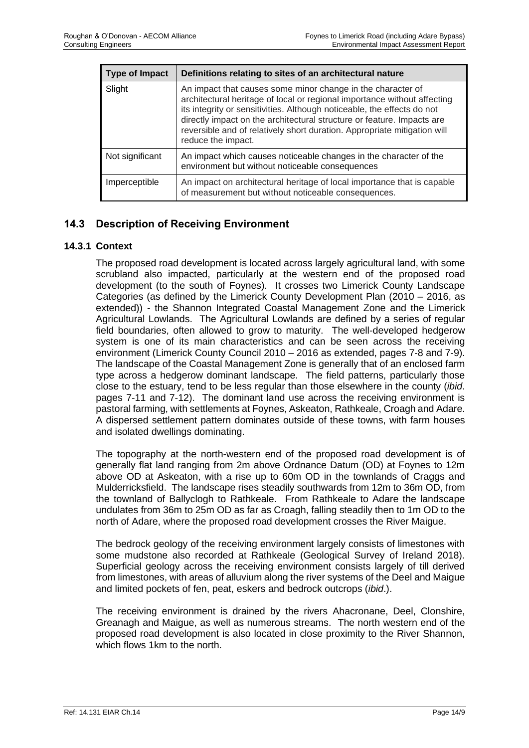| <b>Type of Impact</b> | Definitions relating to sites of an architectural nature                                                                                                                                                                                                                                                                                                                                       |
|-----------------------|------------------------------------------------------------------------------------------------------------------------------------------------------------------------------------------------------------------------------------------------------------------------------------------------------------------------------------------------------------------------------------------------|
| Slight                | An impact that causes some minor change in the character of<br>architectural heritage of local or regional importance without affecting<br>its integrity or sensitivities. Although noticeable, the effects do not<br>directly impact on the architectural structure or feature. Impacts are<br>reversible and of relatively short duration. Appropriate mitigation will<br>reduce the impact. |
| Not significant       | An impact which causes noticeable changes in the character of the<br>environment but without noticeable consequences                                                                                                                                                                                                                                                                           |
| Imperceptible         | An impact on architectural heritage of local importance that is capable<br>of measurement but without noticeable consequences.                                                                                                                                                                                                                                                                 |

# **14.3 Description of Receiving Environment**

#### **14.3.1 Context**

The proposed road development is located across largely agricultural land, with some scrubland also impacted, particularly at the western end of the proposed road development (to the south of Foynes). It crosses two Limerick County Landscape Categories (as defined by the Limerick County Development Plan (2010 – 2016, as extended)) - the Shannon Integrated Coastal Management Zone and the Limerick Agricultural Lowlands. The Agricultural Lowlands are defined by a series of regular field boundaries, often allowed to grow to maturity. The well-developed hedgerow system is one of its main characteristics and can be seen across the receiving environment (Limerick County Council 2010 – 2016 as extended, pages 7-8 and 7-9). The landscape of the Coastal Management Zone is generally that of an enclosed farm type across a hedgerow dominant landscape. The field patterns, particularly those close to the estuary, tend to be less regular than those elsewhere in the county (*ibid*. pages 7-11 and 7-12). The dominant land use across the receiving environment is pastoral farming, with settlements at Foynes, Askeaton, Rathkeale, Croagh and Adare. A dispersed settlement pattern dominates outside of these towns, with farm houses and isolated dwellings dominating.

The topography at the north-western end of the proposed road development is of generally flat land ranging from 2m above Ordnance Datum (OD) at Foynes to 12m above OD at Askeaton, with a rise up to 60m OD in the townlands of Craggs and Mulderricksfield. The landscape rises steadily southwards from 12m to 36m OD, from the townland of Ballyclogh to Rathkeale. From Rathkeale to Adare the landscape undulates from 36m to 25m OD as far as Croagh, falling steadily then to 1m OD to the north of Adare, where the proposed road development crosses the River Maigue.

The bedrock geology of the receiving environment largely consists of limestones with some mudstone also recorded at Rathkeale (Geological Survey of Ireland 2018). Superficial geology across the receiving environment consists largely of till derived from limestones, with areas of alluvium along the river systems of the Deel and Maigue and limited pockets of fen, peat, eskers and bedrock outcrops (*ibid*.).

The receiving environment is drained by the rivers Ahacronane, Deel, Clonshire, Greanagh and Maigue, as well as numerous streams. The north western end of the proposed road development is also located in close proximity to the River Shannon, which flows 1km to the north.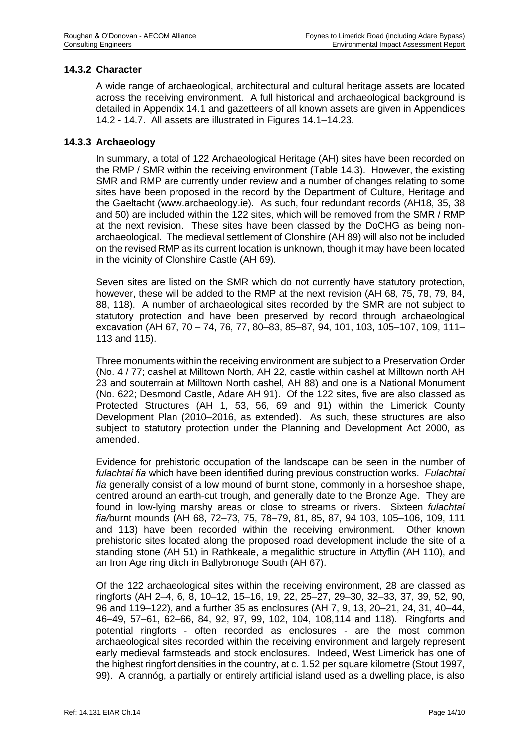## **14.3.2 Character**

A wide range of archaeological, architectural and cultural heritage assets are located across the receiving environment. A full historical and archaeological background is detailed in Appendix 14.1 and gazetteers of all known assets are given in Appendices 14.2 - 14.7. All assets are illustrated in Figures 14.1–14.23.

#### **14.3.3 Archaeology**

In summary, a total of 122 Archaeological Heritage (AH) sites have been recorded on the RMP / SMR within the receiving environment (Table 14.3). However, the existing SMR and RMP are currently under review and a number of changes relating to some sites have been proposed in the record by the Department of Culture, Heritage and the Gaeltacht (www.archaeology.ie). As such, four redundant records (AH18, 35, 38 and 50) are included within the 122 sites, which will be removed from the SMR / RMP at the next revision. These sites have been classed by the DoCHG as being nonarchaeological. The medieval settlement of Clonshire (AH 89) will also not be included on the revised RMP as its current location is unknown, though it may have been located in the vicinity of Clonshire Castle (AH 69).

Seven sites are listed on the SMR which do not currently have statutory protection, however, these will be added to the RMP at the next revision (AH 68, 75, 78, 79, 84, 88, 118). A number of archaeological sites recorded by the SMR are not subject to statutory protection and have been preserved by record through archaeological excavation (AH 67, 70 – 74, 76, 77, 80–83, 85–87, 94, 101, 103, 105–107, 109, 111– 113 and 115).

Three monuments within the receiving environment are subject to a Preservation Order (No. 4 / 77; cashel at Milltown North, AH 22, castle within cashel at Milltown north AH 23 and souterrain at Milltown North cashel, AH 88) and one is a National Monument (No. 622; Desmond Castle, Adare AH 91). Of the 122 sites, five are also classed as Protected Structures (AH 1, 53, 56, 69 and 91) within the Limerick County Development Plan (2010–2016, as extended). As such, these structures are also subject to statutory protection under the Planning and Development Act 2000, as amended.

Evidence for prehistoric occupation of the landscape can be seen in the number of *fulachtaí fia* which have been identified during previous construction works. *Fulachtaí fia* generally consist of a low mound of burnt stone, commonly in a horseshoe shape, centred around an earth-cut trough, and generally date to the Bronze Age. They are found in low-lying marshy areas or close to streams or rivers. Sixteen *fulachtaí fia/*burnt mounds (AH 68, 72–73, 75, 78–79, 81, 85, 87, 94 103, 105–106, 109, 111 and 113) have been recorded within the receiving environment. Other known prehistoric sites located along the proposed road development include the site of a standing stone (AH 51) in Rathkeale, a megalithic structure in Attyflin (AH 110), and an Iron Age ring ditch in Ballybronoge South (AH 67).

Of the 122 archaeological sites within the receiving environment, 28 are classed as ringforts (AH 2–4, 6, 8, 10–12, 15–16, 19, 22, 25–27, 29–30, 32–33, 37, 39, 52, 90, 96 and 119–122), and a further 35 as enclosures (AH 7, 9, 13, 20–21, 24, 31, 40–44, 46–49, 57–61, 62–66, 84, 92, 97, 99, 102, 104, 108,114 and 118). Ringforts and potential ringforts - often recorded as enclosures - are the most common archaeological sites recorded within the receiving environment and largely represent early medieval farmsteads and stock enclosures. Indeed, West Limerick has one of the highest ringfort densities in the country, at c. 1.52 per square kilometre (Stout 1997, 99). A crannóg, a partially or entirely artificial island used as a dwelling place, is also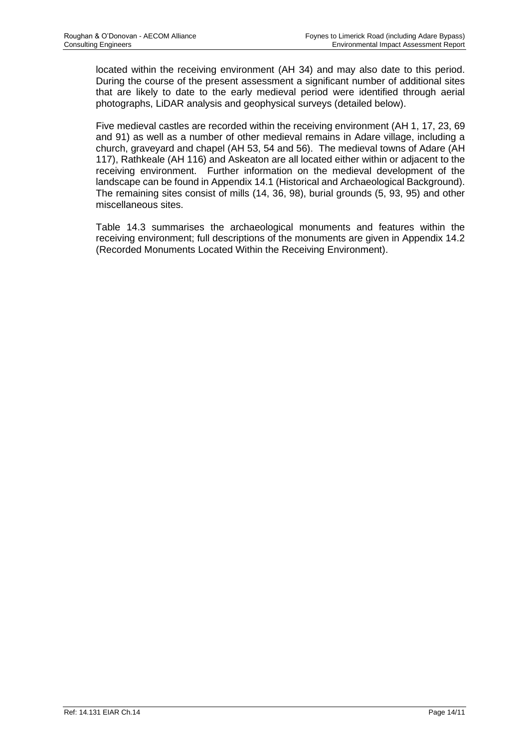located within the receiving environment (AH 34) and may also date to this period. During the course of the present assessment a significant number of additional sites that are likely to date to the early medieval period were identified through aerial photographs, LiDAR analysis and geophysical surveys (detailed below).

Five medieval castles are recorded within the receiving environment (AH 1, 17, 23, 69 and 91) as well as a number of other medieval remains in Adare village, including a church, graveyard and chapel (AH 53, 54 and 56). The medieval towns of Adare (AH 117), Rathkeale (AH 116) and Askeaton are all located either within or adjacent to the receiving environment. Further information on the medieval development of the landscape can be found in Appendix 14.1 (Historical and Archaeological Background). The remaining sites consist of mills (14, 36, 98), burial grounds (5, 93, 95) and other miscellaneous sites.

Table 14.3 summarises the archaeological monuments and features within the receiving environment; full descriptions of the monuments are given in Appendix 14.2 (Recorded Monuments Located Within the Receiving Environment).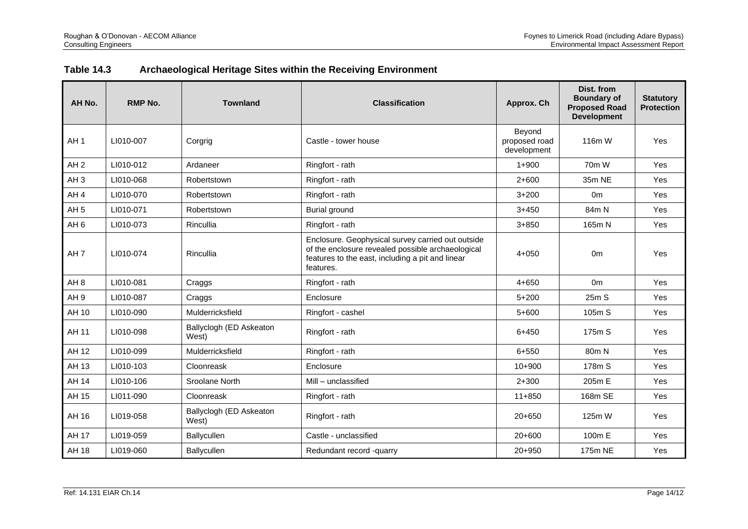| <b>Table 14.3</b> | Archaeological Heritage Sites within the Receiving Environment |  |
|-------------------|----------------------------------------------------------------|--|
|-------------------|----------------------------------------------------------------|--|

| AH No.          | <b>RMP No.</b> | <b>Townland</b>                  | <b>Classification</b>                                                                                                                                                   | Approx. Ch                             | Dist. from<br><b>Boundary of</b><br><b>Proposed Road</b><br><b>Development</b> | <b>Statutory</b><br><b>Protection</b> |
|-----------------|----------------|----------------------------------|-------------------------------------------------------------------------------------------------------------------------------------------------------------------------|----------------------------------------|--------------------------------------------------------------------------------|---------------------------------------|
| AH <sub>1</sub> | LI010-007      | Corgrig                          | Castle - tower house                                                                                                                                                    | Beyond<br>proposed road<br>development | 116m W                                                                         | <b>Yes</b>                            |
| AH <sub>2</sub> | LI010-012      | Ardaneer                         | Ringfort - rath                                                                                                                                                         | $1 + 900$                              | 70m W                                                                          | Yes                                   |
| AH <sub>3</sub> | LI010-068      | Robertstown                      | Ringfort - rath                                                                                                                                                         | $2+600$                                | 35m NE                                                                         | Yes                                   |
| AH <sub>4</sub> | LI010-070      | Robertstown                      | Ringfort - rath                                                                                                                                                         | $3 + 200$                              | 0 <sub>m</sub>                                                                 | Yes                                   |
| AH <sub>5</sub> | LI010-071      | Robertstown                      | <b>Burial ground</b>                                                                                                                                                    | $3 + 450$                              | 84m N                                                                          | Yes                                   |
| AH <sub>6</sub> | LI010-073      | Rincullia                        | Ringfort - rath                                                                                                                                                         | $3 + 850$                              | 165m N                                                                         | Yes                                   |
| AH <sub>7</sub> | LI010-074      | Rincullia                        | Enclosure. Geophysical survey carried out outside<br>of the enclosure revealed possible archaeological<br>features to the east, including a pit and linear<br>features. | $4 + 050$                              | 0 <sub>m</sub>                                                                 | Yes                                   |
| AH <sub>8</sub> | LI010-081      | Craggs                           | Ringfort - rath                                                                                                                                                         | $4 + 650$                              | 0 <sub>m</sub>                                                                 | Yes                                   |
| AH <sub>9</sub> | LI010-087      | Craggs                           | Enclosure                                                                                                                                                               | $5 + 200$                              | 25m S                                                                          | Yes                                   |
| AH 10           | LI010-090      | Mulderricksfield                 | Ringfort - cashel                                                                                                                                                       | $5+600$                                | 105m S                                                                         | Yes                                   |
| AH 11           | LI010-098      | Ballyclogh (ED Askeaton<br>West) | Ringfort - rath                                                                                                                                                         | $6 + 450$                              | 175m S                                                                         | Yes                                   |
| AH 12           | LI010-099      | Mulderricksfield                 | Ringfort - rath                                                                                                                                                         | 6+550                                  | 80 <sub>m</sub> N                                                              | Yes                                   |
| AH 13           | LI010-103      | Cloonreask                       | Enclosure                                                                                                                                                               | $10+900$                               | 178m S                                                                         | Yes                                   |
| AH 14           | LI010-106      | Sroolane North                   | Mill - unclassified                                                                                                                                                     | $2 + 300$                              | 205m E                                                                         | Yes                                   |
| AH 15           | LI011-090      | Cloonreask                       | Ringfort - rath                                                                                                                                                         | $11 + 850$                             | 168m SE                                                                        | Yes                                   |
| AH 16           | LI019-058      | Ballyclogh (ED Askeaton<br>West) | Ringfort - rath                                                                                                                                                         | $20+650$                               | 125m W                                                                         | Yes                                   |
| <b>AH 17</b>    | LI019-059      | Ballycullen                      | Castle - unclassified                                                                                                                                                   | $20+600$                               | 100m E                                                                         | Yes                                   |
| AH 18           | LI019-060      | Ballycullen                      | Redundant record -quarry                                                                                                                                                | 20+950                                 | 175m NE                                                                        | Yes                                   |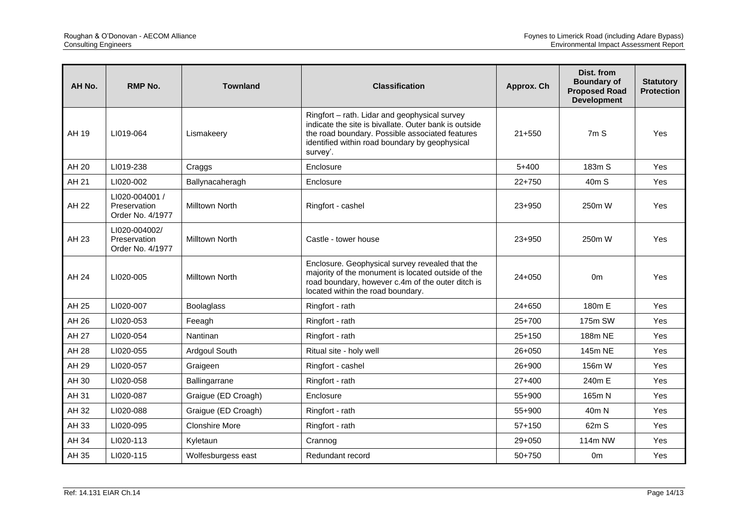| AH No. | <b>RMP No.</b>                                     | <b>Townland</b>       | <b>Classification</b>                                                                                                                                                                                                   | Approx. Ch | Dist. from<br><b>Boundary of</b><br><b>Proposed Road</b><br><b>Development</b> | <b>Statutory</b><br><b>Protection</b> |
|--------|----------------------------------------------------|-----------------------|-------------------------------------------------------------------------------------------------------------------------------------------------------------------------------------------------------------------------|------------|--------------------------------------------------------------------------------|---------------------------------------|
| AH 19  | LI019-064                                          | Lismakeery            | Ringfort - rath. Lidar and geophysical survey<br>indicate the site is bivallate. Outer bank is outside<br>the road boundary. Possible associated features<br>identified within road boundary by geophysical<br>survey'. | $21 + 550$ | 7 <sub>m</sub> S                                                               | Yes                                   |
| AH 20  | LI019-238                                          | Craggs                | Enclosure                                                                                                                                                                                                               | $5 + 400$  | 183m S                                                                         | Yes                                   |
| AH 21  | LI020-002                                          | Ballynacaheragh       | Enclosure                                                                                                                                                                                                               | $22+750$   | 40m S                                                                          | Yes                                   |
| AH 22  | LI020-004001 /<br>Preservation<br>Order No. 4/1977 | <b>Milltown North</b> | Ringfort - cashel                                                                                                                                                                                                       | $23 + 950$ | 250m W                                                                         | Yes                                   |
| AH 23  | LI020-004002/<br>Preservation<br>Order No. 4/1977  | <b>Milltown North</b> | Castle - tower house                                                                                                                                                                                                    | $23 + 950$ | 250m W                                                                         | Yes                                   |
| AH 24  | LI020-005                                          | <b>Milltown North</b> | Enclosure. Geophysical survey revealed that the<br>majority of the monument is located outside of the<br>road boundary, however c.4m of the outer ditch is<br>located within the road boundary.                         | $24 + 050$ | 0 <sub>m</sub>                                                                 | Yes                                   |
| AH 25  | LI020-007                                          | <b>Boolaglass</b>     | Ringfort - rath                                                                                                                                                                                                         | $24 + 650$ | 180m E                                                                         | <b>Yes</b>                            |
| AH 26  | LI020-053                                          | Feeagh                | Ringfort - rath                                                                                                                                                                                                         | $25+700$   | 175m SW                                                                        | Yes                                   |
| AH 27  | LI020-054                                          | Nantinan              | Ringfort - rath                                                                                                                                                                                                         | $25+150$   | 188m NE                                                                        | Yes                                   |
| AH 28  | LI020-055                                          | Ardgoul South         | Ritual site - holy well                                                                                                                                                                                                 | $26 + 050$ | 145m NE                                                                        | Yes                                   |
| AH 29  | LI020-057                                          | Graigeen              | Ringfort - cashel                                                                                                                                                                                                       | 26+900     | 156m W                                                                         | Yes                                   |
| AH 30  | LI020-058                                          | Ballingarrane         | Ringfort - rath                                                                                                                                                                                                         | $27+400$   | 240m E                                                                         | Yes                                   |
| AH 31  | LI020-087                                          | Graigue (ED Croagh)   | Enclosure                                                                                                                                                                                                               | $55+900$   | 165m N                                                                         | Yes                                   |
| AH 32  | LI020-088                                          | Graigue (ED Croagh)   | Ringfort - rath                                                                                                                                                                                                         | 55+900     | 40m N                                                                          | Yes                                   |
| AH 33  | LI020-095                                          | <b>Clonshire More</b> | Ringfort - rath                                                                                                                                                                                                         | $57 + 150$ | 62m S                                                                          | Yes                                   |
| AH 34  | LI020-113                                          | Kyletaun              | Crannog                                                                                                                                                                                                                 | $29+050$   | 114m NW                                                                        | Yes                                   |
| AH 35  | LI020-115                                          | Wolfesburgess east    | Redundant record                                                                                                                                                                                                        | 50+750     | 0 <sub>m</sub>                                                                 | Yes                                   |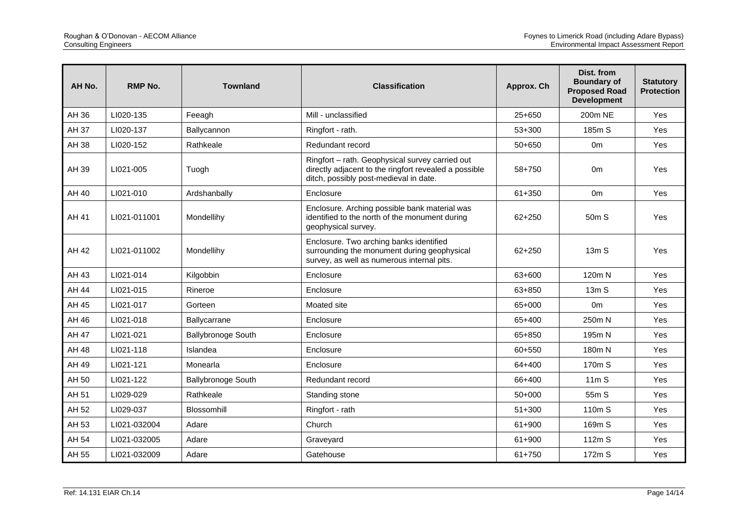| AH No. | <b>RMP No.</b> | <b>Townland</b>           | <b>Classification</b>                                                                                                                              | Approx. Ch | Dist. from<br><b>Boundary of</b><br><b>Proposed Road</b><br><b>Development</b> | <b>Statutory</b><br><b>Protection</b> |
|--------|----------------|---------------------------|----------------------------------------------------------------------------------------------------------------------------------------------------|------------|--------------------------------------------------------------------------------|---------------------------------------|
| AH 36  | LI020-135      | Feeagh                    | Mill - unclassified                                                                                                                                | $25+650$   | 200m NE                                                                        | Yes                                   |
| AH 37  | LI020-137      | Ballycannon               | Ringfort - rath.                                                                                                                                   | $53+300$   | 185m S                                                                         | Yes                                   |
| AH 38  | LI020-152      | Rathkeale                 | Redundant record                                                                                                                                   | 50+650     | 0 <sub>m</sub>                                                                 | Yes                                   |
| AH 39  | LI021-005      | Tuogh                     | Ringfort - rath. Geophysical survey carried out<br>directly adjacent to the ringfort revealed a possible<br>ditch, possibly post-medieval in date. | 58+750     | 0m                                                                             | Yes                                   |
| AH 40  | LI021-010      | Ardshanbally              | Enclosure                                                                                                                                          | $61 + 350$ | 0 <sub>m</sub>                                                                 | Yes                                   |
| AH 41  | LI021-011001   | Mondellihy                | Enclosure. Arching possible bank material was<br>identified to the north of the monument during<br>geophysical survey.                             | $62 + 250$ | 50 <sub>m</sub> S                                                              | Yes                                   |
| AH 42  | LI021-011002   | Mondellihy                | Enclosure. Two arching banks identified<br>surrounding the monument during geophysical<br>survey, as well as numerous internal pits.               | $62 + 250$ | 13mS                                                                           | <b>Yes</b>                            |
| AH 43  | LI021-014      | Kilgobbin                 | Enclosure                                                                                                                                          | 63+600     | 120m N                                                                         | Yes                                   |
| AH 44  | LI021-015      | Rineroe                   | Enclosure                                                                                                                                          | 63+850     | 13mS                                                                           | Yes                                   |
| AH 45  | LI021-017      | Gorteen                   | Moated site                                                                                                                                        | 65+000     | 0 <sub>m</sub>                                                                 | Yes                                   |
| AH 46  | LI021-018      | Ballycarrane              | Enclosure                                                                                                                                          | 65+400     | 250m N                                                                         | Yes                                   |
| AH 47  | LI021-021      | <b>Ballybronoge South</b> | Enclosure                                                                                                                                          | 65+850     | 195m N                                                                         | <b>Yes</b>                            |
| AH 48  | LI021-118      | Islandea                  | Enclosure                                                                                                                                          | 60+550     | 180m N                                                                         | Yes                                   |
| AH 49  | LI021-121      | Monearla                  | Enclosure                                                                                                                                          | 64+400     | 170m S                                                                         | Yes                                   |
| AH 50  | LI021-122      | <b>Ballybronoge South</b> | Redundant record                                                                                                                                   | 66+400     | 11mS                                                                           | Yes                                   |
| AH 51  | LI029-029      | Rathkeale                 | Standing stone                                                                                                                                     | $50+000$   | 55m S                                                                          | Yes                                   |
| AH 52  | LI029-037      | Blossomhill               | Ringfort - rath                                                                                                                                    | $51 + 300$ | 110 <sub>m</sub> S                                                             | <b>Yes</b>                            |
| AH 53  | LI021-032004   | Adare                     | Church                                                                                                                                             | 61+900     | 169m S                                                                         | Yes                                   |
| AH 54  | LI021-032005   | Adare                     | Graveyard                                                                                                                                          | 61+900     | 112m S                                                                         | Yes                                   |
| AH 55  | LI021-032009   | Adare                     | Gatehouse                                                                                                                                          | 61+750     | 172m S                                                                         | Yes                                   |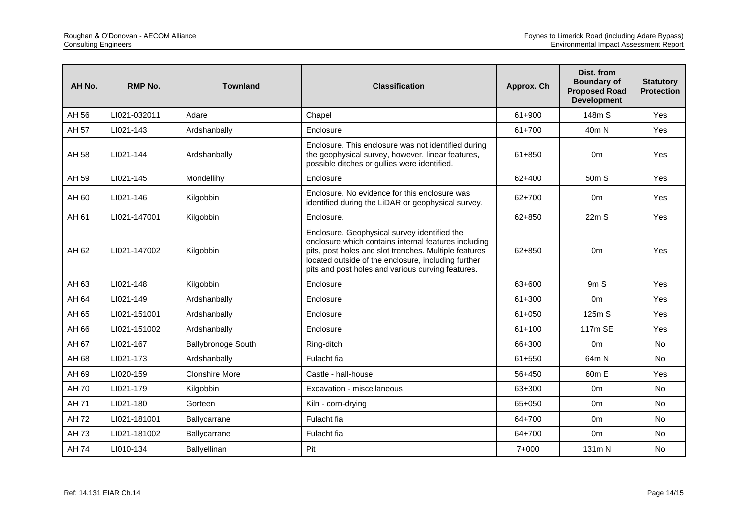| AH No. | <b>RMP No.</b> | <b>Townland</b>           | <b>Classification</b>                                                                                                                                                                                                                                                     | Approx. Ch | Dist. from<br><b>Boundary of</b><br><b>Proposed Road</b><br><b>Development</b> | <b>Statutory</b><br><b>Protection</b> |
|--------|----------------|---------------------------|---------------------------------------------------------------------------------------------------------------------------------------------------------------------------------------------------------------------------------------------------------------------------|------------|--------------------------------------------------------------------------------|---------------------------------------|
| AH 56  | LI021-032011   | Adare                     | Chapel                                                                                                                                                                                                                                                                    | 61+900     | 148m S                                                                         | Yes                                   |
| AH 57  | LI021-143      | Ardshanbally              | Enclosure                                                                                                                                                                                                                                                                 | 61+700     | 40 <sub>m</sub> N                                                              | Yes                                   |
| AH 58  | LI021-144      | Ardshanbally              | Enclosure. This enclosure was not identified during<br>the geophysical survey, however, linear features,<br>possible ditches or gullies were identified.                                                                                                                  | $61 + 850$ | 0 <sub>m</sub>                                                                 | Yes                                   |
| AH 59  | LI021-145      | Mondellihy                | Enclosure                                                                                                                                                                                                                                                                 | $62 + 400$ | 50 <sub>m</sub> S                                                              | Yes                                   |
| AH 60  | LI021-146      | Kilgobbin                 | Enclosure. No evidence for this enclosure was<br>identified during the LiDAR or geophysical survey.                                                                                                                                                                       | 62+700     | 0 <sub>m</sub>                                                                 | Yes                                   |
| AH 61  | LI021-147001   | Kilgobbin                 | Enclosure.                                                                                                                                                                                                                                                                | 62+850     | 22mS                                                                           | Yes                                   |
| AH 62  | LI021-147002   | Kilgobbin                 | Enclosure. Geophysical survey identified the<br>enclosure which contains internal features including<br>pits, post holes and slot trenches. Multiple features<br>located outside of the enclosure, including further<br>pits and post holes and various curving features. | $62 + 850$ | 0 <sub>m</sub>                                                                 | Yes                                   |
| AH 63  | LI021-148      | Kilgobbin                 | Enclosure                                                                                                                                                                                                                                                                 | 63+600     | 9m S                                                                           | Yes                                   |
| AH 64  | LI021-149      | Ardshanbally              | Enclosure                                                                                                                                                                                                                                                                 | $61 + 300$ | 0 <sub>m</sub>                                                                 | Yes                                   |
| AH 65  | LI021-151001   | Ardshanbally              | Enclosure                                                                                                                                                                                                                                                                 | $61 + 050$ | 125m S                                                                         | Yes                                   |
| AH 66  | LI021-151002   | Ardshanbally              | Enclosure                                                                                                                                                                                                                                                                 | $61 + 100$ | 117m SE                                                                        | Yes                                   |
| AH 67  | LI021-167      | <b>Ballybronoge South</b> | Ring-ditch                                                                                                                                                                                                                                                                | 66+300     | 0 <sub>m</sub>                                                                 | No                                    |
| AH 68  | LI021-173      | Ardshanbally              | Fulacht fia                                                                                                                                                                                                                                                               | 61+550     | 64m N                                                                          | No                                    |
| AH 69  | LI020-159      | <b>Clonshire More</b>     | Castle - hall-house                                                                                                                                                                                                                                                       | 56+450     | 60m E                                                                          | Yes                                   |
| AH 70  | LI021-179      | Kilgobbin                 | Excavation - miscellaneous                                                                                                                                                                                                                                                | 63+300     | 0 <sub>m</sub>                                                                 | <b>No</b>                             |
| AH 71  | LI021-180      | Gorteen                   | Kiln - corn-drying                                                                                                                                                                                                                                                        | 65+050     | 0 <sub>m</sub>                                                                 | <b>No</b>                             |
| AH 72  | LI021-181001   | Ballycarrane              | Fulacht fia                                                                                                                                                                                                                                                               | 64+700     | 0 <sub>m</sub>                                                                 | No                                    |
| AH 73  | LI021-181002   | Ballycarrane              | Fulacht fia                                                                                                                                                                                                                                                               | 64+700     | 0 <sub>m</sub>                                                                 | <b>No</b>                             |
| AH 74  | LI010-134      | Ballyellinan              | Pit                                                                                                                                                                                                                                                                       | 7+000      | 131m N                                                                         | No                                    |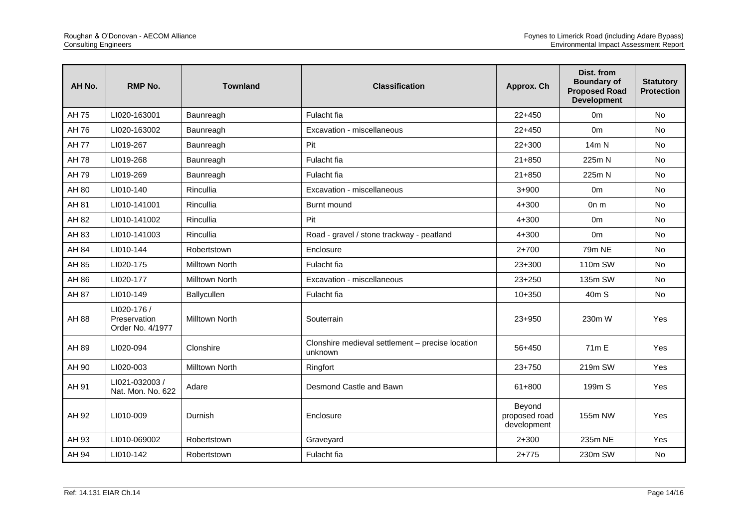| AH No.       | <b>RMP No.</b>                                  | <b>Townland</b>       | <b>Classification</b>                                       | Approx. Ch                             | Dist. from<br><b>Boundary of</b><br><b>Proposed Road</b><br><b>Development</b> | <b>Statutory</b><br><b>Protection</b> |
|--------------|-------------------------------------------------|-----------------------|-------------------------------------------------------------|----------------------------------------|--------------------------------------------------------------------------------|---------------------------------------|
| AH 75        | LI020-163001                                    | Baunreagh             | Fulacht fia                                                 | $22+450$                               | 0 <sub>m</sub>                                                                 | No                                    |
| AH 76        | LI020-163002                                    | Baunreagh             | Excavation - miscellaneous                                  | $22+450$                               | 0 <sub>m</sub>                                                                 | No                                    |
| <b>AH 77</b> | LI019-267                                       | Baunreagh             | Pit                                                         | $22+300$                               | 14m N                                                                          | No                                    |
| AH 78        | LI019-268                                       | Baunreagh             | Fulacht fia                                                 | $21 + 850$                             | 225m N                                                                         | No                                    |
| AH 79        | LI019-269                                       | Baunreagh             | Fulacht fia                                                 | $21 + 850$                             | 225m N                                                                         | No                                    |
| AH 80        | LI010-140                                       | Rincullia             | Excavation - miscellaneous                                  | $3+900$                                | 0 <sub>m</sub>                                                                 | <b>No</b>                             |
| AH 81        | LI010-141001                                    | Rincullia             | Burnt mound                                                 | $4 + 300$                              | On m                                                                           | No                                    |
| AH 82        | LI010-141002                                    | Rincullia             | Pit                                                         | $4 + 300$                              | 0 <sub>m</sub>                                                                 | No                                    |
| AH 83        | LI010-141003                                    | Rincullia             | Road - gravel / stone trackway - peatland                   | $4 + 300$                              | 0 <sub>m</sub>                                                                 | <b>No</b>                             |
| AH 84        | LI010-144                                       | Robertstown           | Enclosure                                                   | $2 + 700$                              | 79m NE                                                                         | <b>No</b>                             |
| AH 85        | LI020-175                                       | <b>Milltown North</b> | Fulacht fia                                                 | $23+300$                               | 110m SW                                                                        | No                                    |
| AH 86        | LI020-177                                       | <b>Milltown North</b> | Excavation - miscellaneous                                  | $23 + 250$                             | 135m SW                                                                        | No                                    |
| AH 87        | LI010-149                                       | Ballycullen           | Fulacht fia                                                 | $10 + 350$                             | 40 <sub>m</sub> S                                                              | No                                    |
| AH 88        | LI020-176 /<br>Preservation<br>Order No. 4/1977 | <b>Milltown North</b> | Souterrain                                                  | 23+950                                 | 230m W                                                                         | Yes                                   |
| AH 89        | LI020-094                                       | Clonshire             | Clonshire medieval settlement - precise location<br>unknown | 56+450                                 | 71 <sub>m</sub> E                                                              | Yes                                   |
| AH 90        | LI020-003                                       | <b>Milltown North</b> | Ringfort                                                    | $23+750$                               | 219m SW                                                                        | Yes                                   |
| AH 91        | LI021-032003 /<br>Nat. Mon. No. 622             | Adare                 | Desmond Castle and Bawn                                     | $61 + 800$                             | 199m S                                                                         | Yes                                   |
| AH 92        | LI010-009                                       | Durnish               | Enclosure                                                   | Beyond<br>proposed road<br>development | 155m NW                                                                        | Yes                                   |
| AH 93        | LI010-069002                                    | Robertstown           | Graveyard                                                   | $2 + 300$                              | 235m NE                                                                        | Yes                                   |
| AH 94        | LI010-142                                       | Robertstown           | Fulacht fia                                                 | $2+775$                                | 230m SW                                                                        | No                                    |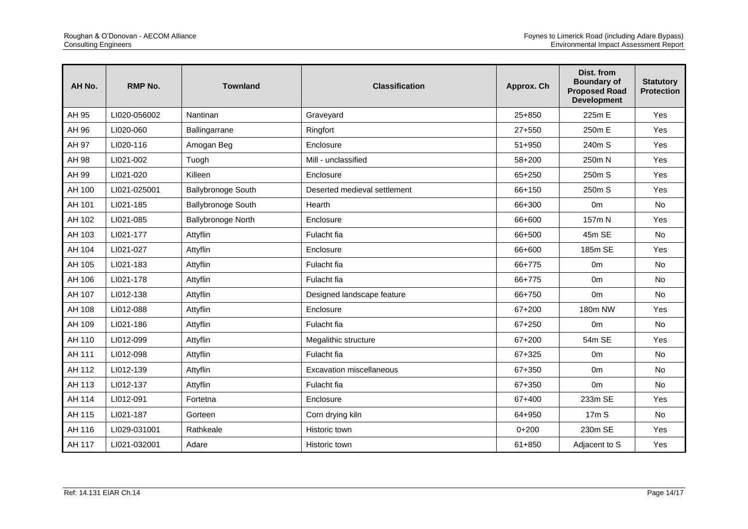| AH No. | <b>RMP No.</b> | <b>Townland</b>           | <b>Classification</b>        | Approx. Ch | Dist. from<br><b>Boundary of</b><br><b>Proposed Road</b><br><b>Development</b> | <b>Statutory</b><br><b>Protection</b> |
|--------|----------------|---------------------------|------------------------------|------------|--------------------------------------------------------------------------------|---------------------------------------|
| AH 95  | LI020-056002   | Nantinan                  | Graveyard                    | $25+850$   | 225m E                                                                         | Yes                                   |
| AH 96  | LI020-060      | Ballingarrane             | Ringfort                     | $27 + 550$ | 250m E                                                                         | Yes                                   |
| AH 97  | LI020-116      | Amogan Beg                | Enclosure                    | $51 + 950$ | 240m S                                                                         | Yes                                   |
| AH 98  | LI021-002      | Tuogh                     | Mill - unclassified          | 58+200     | 250m N                                                                         | Yes                                   |
| AH 99  | LI021-020      | Killeen                   | Enclosure                    | 65+250     | 250m S                                                                         | Yes                                   |
| AH 100 | LI021-025001   | <b>Ballybronoge South</b> | Deserted medieval settlement | 66+150     | 250m S                                                                         | Yes                                   |
| AH 101 | LI021-185      | <b>Ballybronoge South</b> | Hearth                       | 66+300     | 0 <sub>m</sub>                                                                 | No                                    |
| AH 102 | LI021-085      | Ballybronoge North        | Enclosure                    | 66+600     | 157m N                                                                         | Yes                                   |
| AH 103 | LI021-177      | Attyflin                  | Fulacht fia                  | 66+500     | 45m SE                                                                         | <b>No</b>                             |
| AH 104 | LI021-027      | Attyflin                  | Enclosure                    | 66+600     | 185m SE                                                                        | Yes                                   |
| AH 105 | LI021-183      | Attyflin                  | Fulacht fia                  | 66+775     | 0 <sub>m</sub>                                                                 | <b>No</b>                             |
| AH 106 | LI021-178      | Attyflin                  | Fulacht fia                  | 66+775     | 0 <sub>m</sub>                                                                 | <b>No</b>                             |
| AH 107 | LI012-138      | Attyflin                  | Designed landscape feature   | 66+750     | 0 <sub>m</sub>                                                                 | No                                    |
| AH 108 | LI012-088      | Attyflin                  | Enclosure                    | $67 + 200$ | 180m NW                                                                        | Yes                                   |
| AH 109 | LI021-186      | Attyflin                  | Fulacht fia                  | 67+250     | 0 <sub>m</sub>                                                                 | No                                    |
| AH 110 | LI012-099      | Attyflin                  | Megalithic structure         | 67+200     | 54m SE                                                                         | Yes                                   |
| AH 111 | LI012-098      | Attyflin                  | Fulacht fia                  | 67+325     | 0 <sub>m</sub>                                                                 | <b>No</b>                             |
| AH 112 | LI012-139      | Attyflin                  | Excavation miscellaneous     | 67+350     | 0 <sub>m</sub>                                                                 | <b>No</b>                             |
| AH 113 | LI012-137      | Attyflin                  | Fulacht fia                  | 67+350     | 0 <sub>m</sub>                                                                 | No                                    |
| AH 114 | LI012-091      | Fortetna                  | Enclosure                    | 67+400     | 233m SE                                                                        | Yes                                   |
| AH 115 | LI021-187      | Gorteen                   | Corn drying kiln             | 64+950     | 17 <sub>m</sub> S                                                              | <b>No</b>                             |
| AH 116 | LI029-031001   | Rathkeale                 | Historic town                | $0+200$    | 230m SE                                                                        | Yes                                   |
| AH 117 | LI021-032001   | Adare                     | Historic town                | 61+850     | Adjacent to S                                                                  | Yes                                   |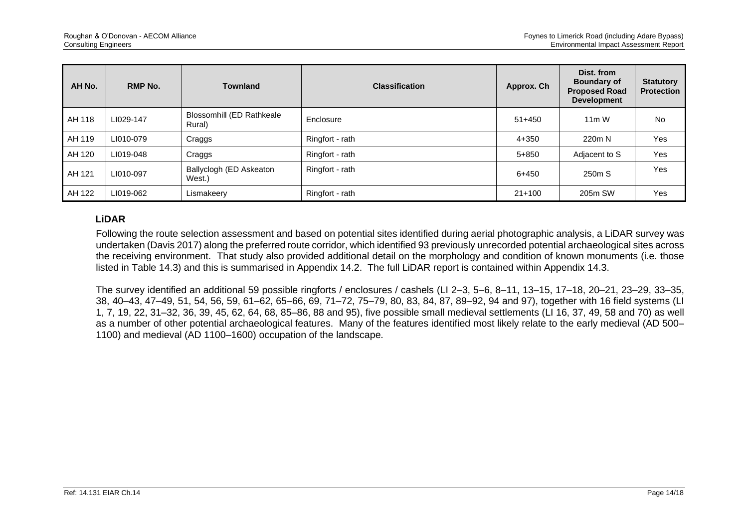| AH No. | <b>RMP No.</b> | <b>Townland</b>                     | <b>Classification</b> | Approx. Ch | Dist. from<br><b>Boundary of</b><br><b>Proposed Road</b><br><b>Development</b> | <b>Statutory</b><br><b>Protection</b> |
|--------|----------------|-------------------------------------|-----------------------|------------|--------------------------------------------------------------------------------|---------------------------------------|
| AH 118 | LI029-147      | Blossomhill (ED Rathkeale<br>Rural) | Enclosure             | $51+450$   | $11m$ W                                                                        | <b>No</b>                             |
| AH 119 | LI010-079      | Craggs                              | Ringfort - rath       | $4 + 350$  | 220m N                                                                         | Yes                                   |
| AH 120 | LI019-048      | Craggs                              | Ringfort - rath       | $5 + 850$  | Adjacent to S                                                                  | Yes                                   |
| AH 121 | LI010-097      | Ballyclogh (ED Askeaton<br>West.)   | Ringfort - rath       | $6 + 450$  | 250m S                                                                         | Yes                                   |
| AH 122 | LI019-062      | Lismakeery                          | Ringfort - rath       | $21+100$   | 205m SW                                                                        | Yes                                   |

## **LiDAR**

Following the route selection assessment and based on potential sites identified during aerial photographic analysis, a LiDAR survey was undertaken (Davis 2017) along the preferred route corridor, which identified 93 previously unrecorded potential archaeological sites across the receiving environment. That study also provided additional detail on the morphology and condition of known monuments (i.e. those listed in Table 14.3) and this is summarised in Appendix 14.2. The full LiDAR report is contained within Appendix 14.3.

The survey identified an additional 59 possible ringforts / enclosures / cashels (LI 2–3, 5–6, 8–11, 13–15, 17–18, 20–21, 23–29, 33–35, 38, 40–43, 47–49, 51, 54, 56, 59, 61–62, 65–66, 69, 71–72, 75–79, 80, 83, 84, 87, 89–92, 94 and 97), together with 16 field systems (LI 1, 7, 19, 22, 31–32, 36, 39, 45, 62, 64, 68, 85–86, 88 and 95), five possible small medieval settlements (LI 16, 37, 49, 58 and 70) as well as a number of other potential archaeological features. Many of the features identified most likely relate to the early medieval (AD 500– 1100) and medieval (AD 1100–1600) occupation of the landscape.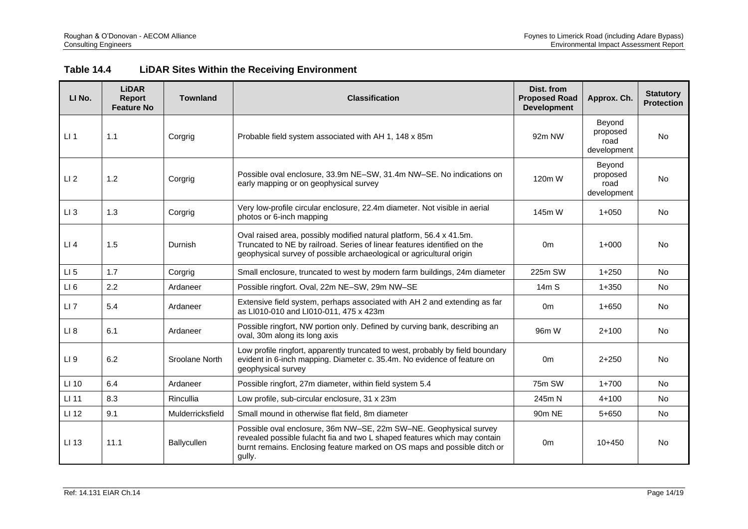| Table 14.4 | <b>LiDAR Sites Within the Receiving Environment</b> |
|------------|-----------------------------------------------------|
|------------|-----------------------------------------------------|

| LI No.          | <b>LiDAR</b><br>Report<br><b>Feature No</b> | <b>Townland</b>  | <b>Classification</b>                                                                                                                                                                                                                     | Dist. from<br><b>Proposed Road</b><br><b>Development</b> | Approx. Ch.                               | <b>Statutory</b><br><b>Protection</b> |
|-----------------|---------------------------------------------|------------------|-------------------------------------------------------------------------------------------------------------------------------------------------------------------------------------------------------------------------------------------|----------------------------------------------------------|-------------------------------------------|---------------------------------------|
| $LI$ 1          | 1.1                                         | Corgrig          | Probable field system associated with AH 1, 148 x 85m                                                                                                                                                                                     | 92m NW                                                   | Beyond<br>proposed<br>road<br>development | <b>No</b>                             |
| LI <sub>2</sub> | 1.2                                         | Corgrig          | Possible oval enclosure, 33.9m NE-SW, 31.4m NW-SE. No indications on<br>120m W<br>early mapping or on geophysical survey                                                                                                                  |                                                          | Beyond<br>proposed<br>road<br>development | <b>No</b>                             |
| $LI$ 3          | 1.3                                         | Corgrig          | Very low-profile circular enclosure, 22.4m diameter. Not visible in aerial<br>photos or 6-inch mapping                                                                                                                                    | 145m W                                                   | $1 + 050$                                 | No                                    |
| LI4             | 1.5                                         | Durnish          | Oval raised area, possibly modified natural platform, 56.4 x 41.5m.<br>Truncated to NE by railroad. Series of linear features identified on the<br>0 <sub>m</sub><br>geophysical survey of possible archaeological or agricultural origin |                                                          | $1+000$                                   | No                                    |
| $LI$ 5          | 1.7                                         | Corgrig          | Small enclosure, truncated to west by modern farm buildings, 24m diameter                                                                                                                                                                 | 225m SW                                                  | $1 + 250$                                 | <b>No</b>                             |
| LI6             | 2.2                                         | Ardaneer         | Possible ringfort. Oval, 22m NE-SW, 29m NW-SE                                                                                                                                                                                             | 14 <sub>m</sub> S                                        | $1 + 350$                                 | <b>No</b>                             |
| $LI$ 7          | 5.4                                         | Ardaneer         | Extensive field system, perhaps associated with AH 2 and extending as far<br>as LI010-010 and LI010-011, 475 x 423m                                                                                                                       | 0 <sub>m</sub>                                           | $1 + 650$                                 | No                                    |
| LI 8            | 6.1                                         | Ardaneer         | Possible ringfort, NW portion only. Defined by curving bank, describing an<br>oval, 30m along its long axis                                                                                                                               | 96m W                                                    | $2+100$                                   | <b>No</b>                             |
| LI <sub>9</sub> | 6.2                                         | Sroolane North   | Low profile ringfort, apparently truncated to west, probably by field boundary<br>evident in 6-inch mapping. Diameter c. 35.4m. No evidence of feature on<br>geophysical survey                                                           | 0 <sub>m</sub>                                           | $2 + 250$                                 | <b>No</b>                             |
| LI 10           | 6.4                                         | Ardaneer         | Possible ringfort, 27m diameter, within field system 5.4                                                                                                                                                                                  | 75m SW                                                   | $1+700$                                   | <b>No</b>                             |
| LI 11           | 8.3                                         | Rincullia        | Low profile, sub-circular enclosure, 31 x 23m                                                                                                                                                                                             | 245m N                                                   | $4 + 100$                                 | <b>No</b>                             |
| LI 12           | 9.1                                         | Mulderricksfield | Small mound in otherwise flat field, 8m diameter                                                                                                                                                                                          | 90 <sub>m</sub> NE                                       | $5 + 650$                                 | <b>No</b>                             |
| LI 13           | 11.1                                        | Ballycullen      | Possible oval enclosure, 36m NW-SE, 22m SW-NE. Geophysical survey<br>revealed possible fulacht fia and two L shaped features which may contain<br>burnt remains. Enclosing feature marked on OS maps and possible ditch or<br>gully.      | 0 <sub>m</sub>                                           | $10+450$                                  | <b>No</b>                             |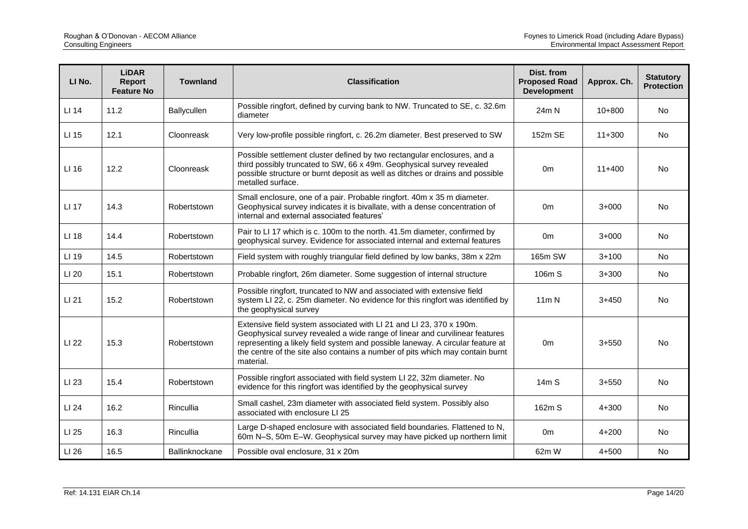| LI No. | <b>LiDAR</b><br>Report<br><b>Feature No</b> | <b>Townland</b> | <b>Classification</b>                                                                                                                                                                                                                                                                                                              | Dist. from<br><b>Proposed Road</b><br><b>Development</b> | Approx. Ch. | <b>Statutory</b><br><b>Protection</b> |
|--------|---------------------------------------------|-----------------|------------------------------------------------------------------------------------------------------------------------------------------------------------------------------------------------------------------------------------------------------------------------------------------------------------------------------------|----------------------------------------------------------|-------------|---------------------------------------|
| LI 14  | 11.2                                        | Ballycullen     | Possible ringfort, defined by curving bank to NW. Truncated to SE, c. 32.6m<br>diameter                                                                                                                                                                                                                                            | 24m N                                                    | $10+800$    | No                                    |
| LI 15  | 12.1                                        | Cloonreask      | Very low-profile possible ringfort, c. 26.2m diameter. Best preserved to SW                                                                                                                                                                                                                                                        | 152m SE                                                  | $11+300$    | No                                    |
| LI 16  | 12.2                                        | Cloonreask      | Possible settlement cluster defined by two rectangular enclosures, and a<br>third possibly truncated to SW, 66 x 49m. Geophysical survey revealed<br>possible structure or burnt deposit as well as ditches or drains and possible<br>metalled surface.                                                                            | 0 <sub>m</sub>                                           | $11+400$    | <b>No</b>                             |
| LI 17  | 14.3                                        | Robertstown     | Small enclosure, one of a pair. Probable ringfort. 40m x 35 m diameter.<br>Geophysical survey indicates it is bivallate, with a dense concentration of<br>internal and external associated features'                                                                                                                               | 0 <sub>m</sub>                                           | $3+000$     | No                                    |
| LI 18  | 14.4                                        | Robertstown     | Pair to LI 17 which is c. 100m to the north. 41.5m diameter, confirmed by<br>geophysical survey. Evidence for associated internal and external features                                                                                                                                                                            | 0m                                                       | $3+000$     | No                                    |
| LI 19  | 14.5                                        | Robertstown     | Field system with roughly triangular field defined by low banks, 38m x 22m                                                                                                                                                                                                                                                         | 165m SW                                                  | $3 + 100$   | No                                    |
| LI 20  | 15.1                                        | Robertstown     | Probable ringfort, 26m diameter. Some suggestion of internal structure                                                                                                                                                                                                                                                             | 106m S                                                   | $3 + 300$   | <b>No</b>                             |
| LI 21  | 15.2                                        | Robertstown     | Possible ringfort, truncated to NW and associated with extensive field<br>system LI 22, c. 25m diameter. No evidence for this ringfort was identified by<br>the geophysical survey                                                                                                                                                 | 11 <sub>m</sub> N                                        | $3+450$     | No                                    |
| LI 22  | 15.3                                        | Robertstown     | Extensive field system associated with LI 21 and LI 23, 370 x 190m.<br>Geophysical survey revealed a wide range of linear and curvilinear features<br>representing a likely field system and possible laneway. A circular feature at<br>the centre of the site also contains a number of pits which may contain burnt<br>material. | 0 <sub>m</sub>                                           | $3 + 550$   | No                                    |
| LI 23  | 15.4                                        | Robertstown     | Possible ringfort associated with field system LI 22, 32m diameter. No<br>evidence for this ringfort was identified by the geophysical survey                                                                                                                                                                                      | 14mS                                                     | $3 + 550$   | <b>No</b>                             |
| LI 24  | 16.2                                        | Rincullia       | Small cashel, 23m diameter with associated field system. Possibly also<br>associated with enclosure LI 25                                                                                                                                                                                                                          | 162m S                                                   | $4 + 300$   | <b>No</b>                             |
| LI 25  | 16.3                                        | Rincullia       | Large D-shaped enclosure with associated field boundaries. Flattened to N,<br>60m N-S, 50m E-W. Geophysical survey may have picked up northern limit                                                                                                                                                                               | 0 <sub>m</sub>                                           | $4 + 200$   | No                                    |
| LI 26  | 16.5                                        | Ballinknockane  | Possible oval enclosure, 31 x 20m                                                                                                                                                                                                                                                                                                  | 62m W                                                    | $4 + 500$   | No                                    |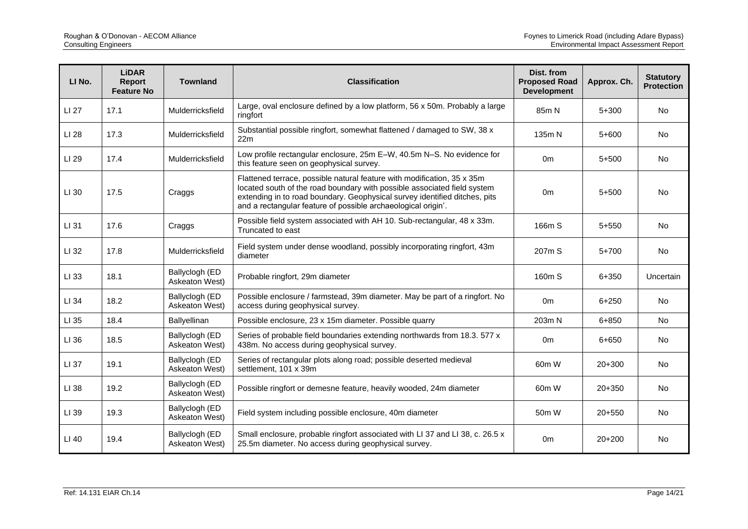| LI No. | <b>LiDAR</b><br>Report<br><b>Feature No</b> | <b>Townland</b>                  | <b>Classification</b>                                                                                                                                                                                                                                                                                                | Dist. from<br><b>Proposed Road</b><br><b>Development</b> | Approx. Ch. | <b>Statutory</b><br><b>Protection</b> |
|--------|---------------------------------------------|----------------------------------|----------------------------------------------------------------------------------------------------------------------------------------------------------------------------------------------------------------------------------------------------------------------------------------------------------------------|----------------------------------------------------------|-------------|---------------------------------------|
| LI 27  | 17.1                                        | Mulderricksfield                 | Large, oval enclosure defined by a low platform, 56 x 50m. Probably a large<br>ringfort                                                                                                                                                                                                                              | 85m N                                                    | $5+300$     | <b>No</b>                             |
| LI 28  | 17.3                                        | Mulderricksfield                 | Substantial possible ringfort, somewhat flattened / damaged to SW, 38 x<br>22m                                                                                                                                                                                                                                       | 135m N                                                   | $5 + 600$   | <b>No</b>                             |
| LI 29  | 17.4                                        | Mulderricksfield                 | Low profile rectangular enclosure, 25m E-W, 40.5m N-S. No evidence for<br>this feature seen on geophysical survey.                                                                                                                                                                                                   | 0 <sub>m</sub>                                           | $5 + 500$   | <b>No</b>                             |
| LI 30  | 17.5                                        | Craggs                           | Flattened terrace, possible natural feature with modification, 35 x 35m<br>located south of the road boundary with possible associated field system<br>0 <sub>m</sub><br>extending in to road boundary. Geophysical survey identified ditches, pits<br>and a rectangular feature of possible archaeological origin'. |                                                          | $5 + 500$   | <b>No</b>                             |
| LI 31  | 17.6                                        | Craggs                           | Possible field system associated with AH 10. Sub-rectangular, 48 x 33m.<br>Truncated to east                                                                                                                                                                                                                         | 166m S                                                   | $5 + 550$   | <b>No</b>                             |
| LI 32  | 17.8                                        | Mulderricksfield                 | Field system under dense woodland, possibly incorporating ringfort, 43m<br>diameter                                                                                                                                                                                                                                  | 207m S                                                   | $5+700$     | No                                    |
| LI 33  | 18.1                                        | Ballyclogh (ED<br>Askeaton West) | Probable ringfort, 29m diameter                                                                                                                                                                                                                                                                                      | 160m S                                                   | 6+350       | Uncertain                             |
| LI 34  | 18.2                                        | Ballyclogh (ED<br>Askeaton West) | Possible enclosure / farmstead, 39m diameter. May be part of a ringfort. No<br>access during geophysical survey.                                                                                                                                                                                                     | 0m                                                       | $6 + 250$   | <b>No</b>                             |
| LI 35  | 18.4                                        | Ballyellinan                     | Possible enclosure, 23 x 15m diameter. Possible quarry                                                                                                                                                                                                                                                               | 203m N                                                   | $6 + 850$   | <b>No</b>                             |
| LI 36  | 18.5                                        | Ballyclogh (ED<br>Askeaton West) | Series of probable field boundaries extending northwards from 18.3. 577 x<br>438m. No access during geophysical survey.                                                                                                                                                                                              | 0 <sub>m</sub>                                           | 6+650       | <b>No</b>                             |
| LI 37  | 19.1                                        | Ballyclogh (ED<br>Askeaton West) | Series of rectangular plots along road; possible deserted medieval<br>settlement, 101 x 39m                                                                                                                                                                                                                          | 60m W                                                    | $20+300$    | <b>No</b>                             |
| LI 38  | 19.2                                        | Ballyclogh (ED<br>Askeaton West) | Possible ringfort or demesne feature, heavily wooded, 24m diameter                                                                                                                                                                                                                                                   | 60m W                                                    | $20+350$    | <b>No</b>                             |
| LI 39  | 19.3                                        | Ballyclogh (ED<br>Askeaton West) | Field system including possible enclosure, 40m diameter                                                                                                                                                                                                                                                              | 50 <sub>m</sub> W                                        | $20+550$    | <b>No</b>                             |
| LI 40  | 19.4                                        | Ballyclogh (ED<br>Askeaton West) | Small enclosure, probable ringfort associated with LI 37 and LI 38, c. 26.5 x<br>25.5m diameter. No access during geophysical survey.                                                                                                                                                                                | 0 <sub>m</sub>                                           | $20+200$    | <b>No</b>                             |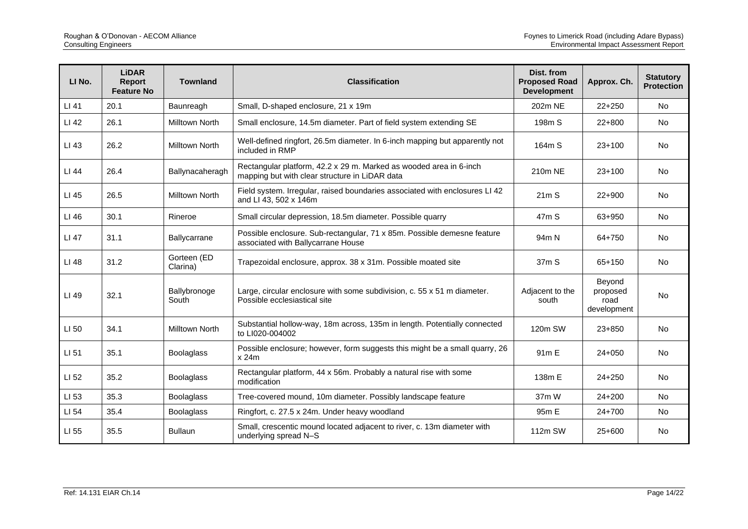| LI No. | <b>LiDAR</b><br><b>Report</b><br><b>Feature No</b> | <b>Townland</b>         | <b>Classification</b>                                                                                                | Dist. from<br><b>Proposed Road</b><br><b>Development</b> | Approx. Ch.                               | <b>Statutory</b><br><b>Protection</b> |
|--------|----------------------------------------------------|-------------------------|----------------------------------------------------------------------------------------------------------------------|----------------------------------------------------------|-------------------------------------------|---------------------------------------|
| LI 41  | 20.1                                               | Baunreagh               | Small, D-shaped enclosure, 21 x 19m                                                                                  | 202m NE                                                  | $22+250$                                  | <b>No</b>                             |
| LI 42  | 26.1                                               | <b>Milltown North</b>   | Small enclosure, 14.5m diameter. Part of field system extending SE                                                   | 198m S                                                   | $22+800$                                  | <b>No</b>                             |
| LI 43  | 26.2                                               | <b>Milltown North</b>   | Well-defined ringfort, 26.5m diameter. In 6-inch mapping but apparently not<br>included in RMP                       | 164m S                                                   | $23+100$                                  | <b>No</b>                             |
| LI 44  | 26.4                                               | Ballynacaheragh         | Rectangular platform, 42.2 x 29 m. Marked as wooded area in 6-inch<br>mapping but with clear structure in LiDAR data | 210m NE                                                  | $23+100$                                  | No                                    |
| LI 45  | 26.5                                               | Milltown North          | Field system. Irregular, raised boundaries associated with enclosures LI 42<br>and LI 43, 502 x 146m                 | 21mS                                                     | $22+900$                                  | <b>No</b>                             |
| LI 46  | 30.1                                               | Rineroe                 | Small circular depression, 18.5m diameter. Possible quarry                                                           | 47 <sub>m</sub> S                                        | 63+950                                    | <b>No</b>                             |
| LI 47  | 31.1                                               | Ballycarrane            | Possible enclosure. Sub-rectangular, 71 x 85m. Possible demesne feature<br>associated with Ballycarrane House        | 94 <sub>m</sub> N                                        | 64+750                                    | <b>No</b>                             |
| LI 48  | 31.2                                               | Gorteen (ED<br>Clarina) | Trapezoidal enclosure, approx. 38 x 31m. Possible moated site                                                        | 37m S                                                    | 65+150                                    | <b>No</b>                             |
| LI 49  | 32.1                                               | Ballybronoge<br>South   | Large, circular enclosure with some subdivision, c. 55 x 51 m diameter.<br>Possible ecclesiastical site              | Adjacent to the<br>south                                 | Beyond<br>proposed<br>road<br>development | <b>No</b>                             |
| LI 50  | 34.1                                               | <b>Milltown North</b>   | Substantial hollow-way, 18m across, 135m in length. Potentially connected<br>to LI020-004002                         | 120m SW                                                  | $23 + 850$                                | No                                    |
| LI 51  | 35.1                                               | <b>Boolaglass</b>       | Possible enclosure; however, form suggests this might be a small quarry, 26<br>x 24m                                 | 91 <sub>m</sub> E                                        | $24 + 050$                                | <b>No</b>                             |
| LI 52  | 35.2                                               | <b>Boolaglass</b>       | Rectangular platform, 44 x 56m. Probably a natural rise with some<br>modification                                    | 138m E                                                   | $24 + 250$                                | <b>No</b>                             |
| LI 53  | 35.3                                               | <b>Boolaglass</b>       | Tree-covered mound, 10m diameter. Possibly landscape feature                                                         | 37mW                                                     | $24 + 200$                                | <b>No</b>                             |
| LI 54  | 35.4                                               | <b>Boolaglass</b>       | Ringfort, c. 27.5 x 24m. Under heavy woodland                                                                        | 95m E                                                    | $24 + 700$                                | <b>No</b>                             |
| LI 55  | 35.5                                               | <b>Bullaun</b>          | Small, crescentic mound located adjacent to river, c. 13m diameter with<br>underlying spread N-S                     | 112m SW                                                  | 25+600                                    | No                                    |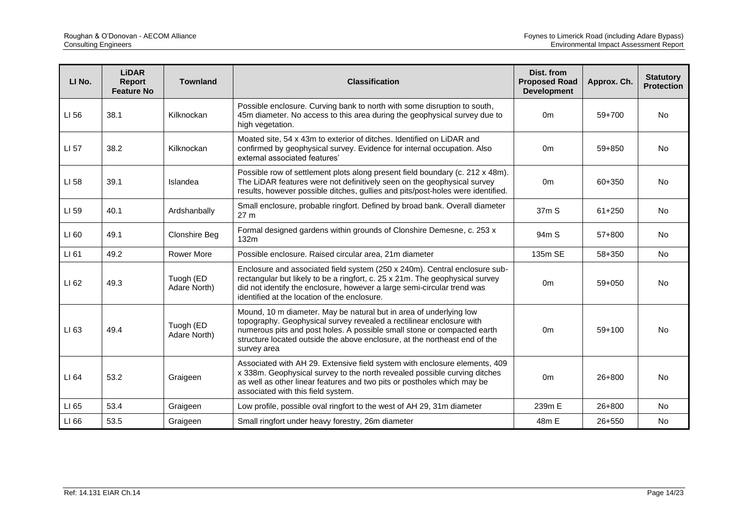| LI <sub>No.</sub> | <b>LiDAR</b><br>Report<br><b>Feature No</b> | <b>Townland</b>           | <b>Classification</b>                                                                                                                                                                                                                                                                                              | Dist. from<br><b>Proposed Road</b><br><b>Development</b> | Approx. Ch. | <b>Statutory</b><br><b>Protection</b> |
|-------------------|---------------------------------------------|---------------------------|--------------------------------------------------------------------------------------------------------------------------------------------------------------------------------------------------------------------------------------------------------------------------------------------------------------------|----------------------------------------------------------|-------------|---------------------------------------|
| LI 56             | 38.1                                        | Kilknockan                | Possible enclosure. Curving bank to north with some disruption to south,<br>45m diameter. No access to this area during the geophysical survey due to<br>high vegetation.                                                                                                                                          | 0 <sub>m</sub>                                           | 59+700      | No                                    |
| LI 57             | 38.2                                        | Kilknockan                | Moated site, 54 x 43m to exterior of ditches. Identified on LiDAR and<br>confirmed by geophysical survey. Evidence for internal occupation. Also<br>external associated features'                                                                                                                                  | 0 <sub>m</sub>                                           | $59 + 850$  | <b>No</b>                             |
| LI 58             | 39.1                                        | Islandea                  | Possible row of settlement plots along present field boundary (c. 212 x 48m).<br>The LiDAR features were not definitively seen on the geophysical survey<br>0 <sub>m</sub><br>results, however possible ditches, gullies and pits/post-holes were identified.                                                      |                                                          | 60+350      | No                                    |
| LI 59             | 40.1                                        | Ardshanbally              | Small enclosure, probable ringfort. Defined by broad bank. Overall diameter<br>27 <sub>m</sub>                                                                                                                                                                                                                     | 37m S                                                    | $61 + 250$  | No                                    |
| LI 60             | 49.1                                        | <b>Clonshire Beg</b>      | Formal designed gardens within grounds of Clonshire Demesne, c. 253 x<br>132m                                                                                                                                                                                                                                      | 94 <sub>m</sub> S                                        | 57+800      | No                                    |
| LI 61             | 49.2                                        | <b>Rower More</b>         | Possible enclosure. Raised circular area, 21m diameter                                                                                                                                                                                                                                                             | 135m SE                                                  | 58+350      | <b>No</b>                             |
| LI 62             | 49.3                                        | Tuogh (ED<br>Adare North) | Enclosure and associated field system (250 x 240m). Central enclosure sub-<br>rectangular but likely to be a ringfort, c. 25 x 21m. The geophysical survey<br>did not identify the enclosure, however a large semi-circular trend was<br>identified at the location of the enclosure.                              | 0 <sub>m</sub>                                           | 59+050      | <b>No</b>                             |
| LI 63             | 49.4                                        | Tuogh (ED<br>Adare North) | Mound, 10 m diameter. May be natural but in area of underlying low<br>topography. Geophysical survey revealed a rectilinear enclosure with<br>numerous pits and post holes. A possible small stone or compacted earth<br>structure located outside the above enclosure, at the northeast end of the<br>survey area | 0 <sub>m</sub>                                           | $59+100$    | No                                    |
| LI 64             | 53.2                                        | Graigeen                  | Associated with AH 29. Extensive field system with enclosure elements, 409<br>x 338m. Geophysical survey to the north revealed possible curving ditches<br>as well as other linear features and two pits or postholes which may be<br>associated with this field system.                                           | 0 <sub>m</sub>                                           | $26 + 800$  | No                                    |
| LI 65             | 53.4                                        | Graigeen                  | Low profile, possible oval ringfort to the west of AH 29, 31m diameter                                                                                                                                                                                                                                             | 239m E                                                   | 26+800      | <b>No</b>                             |
| LI 66             | 53.5                                        | Graigeen                  | Small ringfort under heavy forestry, 26m diameter                                                                                                                                                                                                                                                                  | 48m E                                                    | 26+550      | No                                    |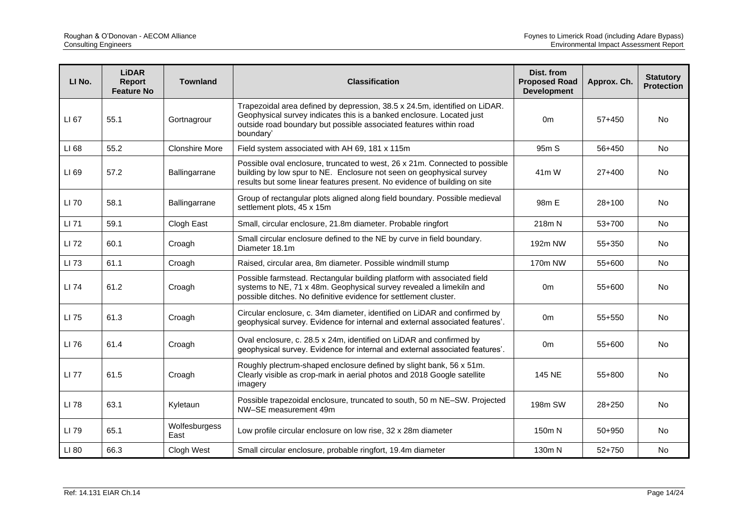| LI No. | <b>LiDAR</b><br>Report<br><b>Feature No</b> | <b>Townland</b>       | <b>Classification</b>                                                                                                                                                                                                                  | Dist. from<br><b>Proposed Road</b><br><b>Development</b> | Approx. Ch. | <b>Statutory</b><br><b>Protection</b> |
|--------|---------------------------------------------|-----------------------|----------------------------------------------------------------------------------------------------------------------------------------------------------------------------------------------------------------------------------------|----------------------------------------------------------|-------------|---------------------------------------|
| LI 67  | 55.1                                        | Gortnagrour           | Trapezoidal area defined by depression, 38.5 x 24.5m, identified on LiDAR.<br>Geophysical survey indicates this is a banked enclosure. Located just<br>outside road boundary but possible associated features within road<br>boundary' | 0 <sub>m</sub>                                           | $57 + 450$  | No                                    |
| LI 68  | 55.2                                        | <b>Clonshire More</b> | Field system associated with AH 69, 181 x 115m                                                                                                                                                                                         | 95 <sub>m</sub> S                                        | 56+450      | <b>No</b>                             |
| LI 69  | 57.2                                        | Ballingarrane         | Possible oval enclosure, truncated to west, 26 x 21m. Connected to possible<br>building by low spur to NE. Enclosure not seen on geophysical survey<br>results but some linear features present. No evidence of building on site       | 41 <sub>m</sub> W                                        | $27+400$    | <b>No</b>                             |
| LI 70  | 58.1                                        | Ballingarrane         | Group of rectangular plots aligned along field boundary. Possible medieval<br>settlement plots, 45 x 15m                                                                                                                               | 98m E                                                    | $28+100$    | <b>No</b>                             |
| LI 71  | 59.1                                        | Clogh East            | Small, circular enclosure, 21.8m diameter. Probable ringfort                                                                                                                                                                           | 218m N                                                   | 53+700      | No                                    |
| LI 72  | 60.1                                        | Croagh                | Small circular enclosure defined to the NE by curve in field boundary.<br>Diameter 18.1m                                                                                                                                               | 192m NW                                                  | 55+350      | No                                    |
| LI 73  | 61.1                                        | Croagh                | Raised, circular area, 8m diameter. Possible windmill stump                                                                                                                                                                            | 170m NW                                                  | 55+600      | <b>No</b>                             |
| LI 74  | 61.2                                        | Croagh                | Possible farmstead. Rectangular building platform with associated field<br>systems to NE, 71 x 48m. Geophysical survey revealed a limekiln and<br>possible ditches. No definitive evidence for settlement cluster.                     | 0 <sub>m</sub>                                           | 55+600      | No                                    |
| LI 75  | 61.3                                        | Croagh                | Circular enclosure, c. 34m diameter, identified on LiDAR and confirmed by<br>geophysical survey. Evidence for internal and external associated features'.                                                                              | 0 <sub>m</sub>                                           | 55+550      | No                                    |
| LI 76  | 61.4                                        | Croagh                | Oval enclosure, c. 28.5 x 24m, identified on LiDAR and confirmed by<br>geophysical survey. Evidence for internal and external associated features'.                                                                                    | 0m                                                       | $55+600$    | <b>No</b>                             |
| LI 77  | 61.5                                        | Croagh                | Roughly plectrum-shaped enclosure defined by slight bank, 56 x 51m.<br>Clearly visible as crop-mark in aerial photos and 2018 Google satellite<br>imagery                                                                              | <b>145 NE</b>                                            | 55+800      | No                                    |
| LI 78  | 63.1                                        | Kyletaun              | Possible trapezoidal enclosure, truncated to south, 50 m NE-SW. Projected<br>NW-SE measurement 49m                                                                                                                                     | 198m SW                                                  | $28 + 250$  | <b>No</b>                             |
| LI 79  | 65.1                                        | Wolfesburgess<br>East | Low profile circular enclosure on low rise, 32 x 28m diameter                                                                                                                                                                          | 150m N                                                   | 50+950      | No                                    |
| LI 80  | 66.3                                        | Clogh West            | Small circular enclosure, probable ringfort, 19.4m diameter                                                                                                                                                                            | 130m N                                                   | 52+750      | No                                    |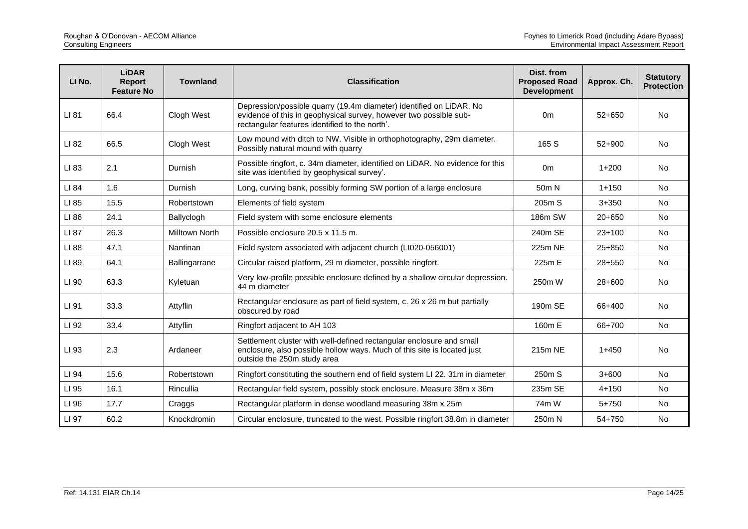| LI No. | <b>LiDAR</b><br>Report<br><b>Feature No</b> | <b>Townland</b> | <b>Classification</b>                                                                                                                                                                      | Dist. from<br><b>Proposed Road</b><br><b>Development</b> | Approx. Ch. | <b>Statutory</b><br><b>Protection</b> |
|--------|---------------------------------------------|-----------------|--------------------------------------------------------------------------------------------------------------------------------------------------------------------------------------------|----------------------------------------------------------|-------------|---------------------------------------|
| LI 81  | 66.4                                        | Clogh West      | Depression/possible quarry (19.4m diameter) identified on LiDAR. No<br>evidence of this in geophysical survey, however two possible sub-<br>rectangular features identified to the north'. | 0 <sub>m</sub>                                           | $52+650$    | <b>No</b>                             |
| LI 82  | 66.5                                        | Clogh West      | Low mound with ditch to NW. Visible in orthophotography, 29m diameter.<br>Possibly natural mound with quarry                                                                               | 165 S                                                    | $52+900$    | No                                    |
| LI 83  | 2.1                                         | Durnish         | Possible ringfort, c. 34m diameter, identified on LiDAR. No evidence for this<br>site was identified by geophysical survey'.                                                               | 0 <sub>m</sub>                                           | $1 + 200$   | <b>No</b>                             |
| LI 84  | 1.6                                         | Durnish         | Long, curving bank, possibly forming SW portion of a large enclosure                                                                                                                       | 50m N                                                    | $1 + 150$   | <b>No</b>                             |
| LI 85  | 15.5                                        | Robertstown     | Elements of field system                                                                                                                                                                   | 205m S                                                   | $3 + 350$   | <b>No</b>                             |
| LI 86  | 24.1                                        | Ballyclogh      | Field system with some enclosure elements                                                                                                                                                  | 186m SW                                                  | $20+650$    | No                                    |
| LI 87  | 26.3                                        | Milltown North  | Possible enclosure 20.5 x 11.5 m.                                                                                                                                                          | 240m SE                                                  | $23+100$    | No                                    |
| LI 88  | 47.1                                        | Nantinan        | Field system associated with adjacent church (LI020-056001)                                                                                                                                | 225m NE                                                  | $25 + 850$  | <b>No</b>                             |
| LI 89  | 64.1                                        | Ballingarrane   | Circular raised platform, 29 m diameter, possible ringfort.                                                                                                                                | 225m E                                                   | 28+550      | <b>No</b>                             |
| LI 90  | 63.3                                        | Kyletuan        | Very low-profile possible enclosure defined by a shallow circular depression.<br>44 m diameter                                                                                             | 250m W                                                   | $28+600$    | No                                    |
| LI 91  | 33.3                                        | Attyflin        | Rectangular enclosure as part of field system, c. 26 x 26 m but partially<br>obscured by road                                                                                              | 190m SE                                                  | 66+400      | <b>No</b>                             |
| LI 92  | 33.4                                        | Attyflin        | Ringfort adjacent to AH 103                                                                                                                                                                | 160m E                                                   | 66+700      | No                                    |
| LI 93  | 2.3                                         | Ardaneer        | Settlement cluster with well-defined rectangular enclosure and small<br>enclosure, also possible hollow ways. Much of this site is located just<br>outside the 250m study area             | 215m NE                                                  | $1+450$     | <b>No</b>                             |
| LI 94  | 15.6                                        | Robertstown     | Ringfort constituting the southern end of field system LI 22. 31m in diameter                                                                                                              | 250m S                                                   | $3 + 600$   | No                                    |
| LI 95  | 16.1                                        | Rincullia       | Rectangular field system, possibly stock enclosure. Measure 38m x 36m                                                                                                                      | 235m SE                                                  | $4 + 150$   | <b>No</b>                             |
| LI 96  | 17.7                                        | Craggs          | Rectangular platform in dense woodland measuring 38m x 25m                                                                                                                                 | 74m W                                                    | $5 + 750$   | <b>No</b>                             |
| LI 97  | 60.2                                        | Knockdromin     | Circular enclosure, truncated to the west. Possible ringfort 38.8m in diameter                                                                                                             | 250m N                                                   | 54+750      | No                                    |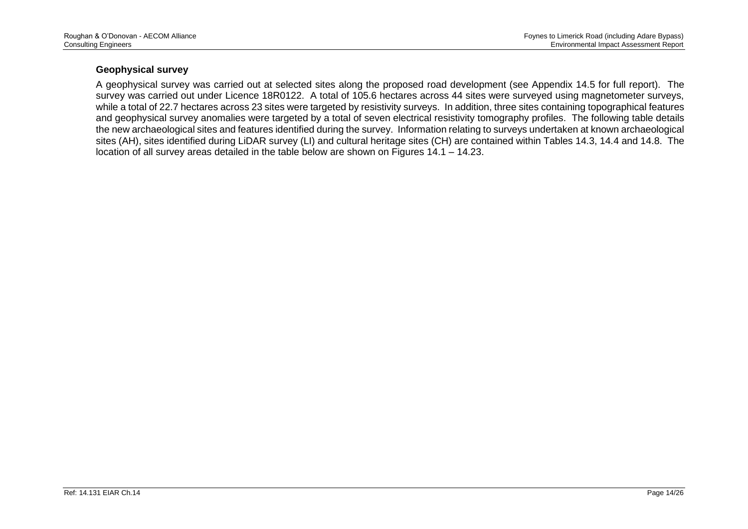#### **Geophysical survey**

A geophysical survey was carried out at selected sites along the proposed road development (see Appendix 14.5 for full report). The survey was carried out under Licence 18R0122. A total of 105.6 hectares across 44 sites were surveyed using magnetometer surveys, while a total of 22.7 hectares across 23 sites were targeted by resistivity surveys. In addition, three sites containing topographical features and geophysical survey anomalies were targeted by a total of seven electrical resistivity tomography profiles. The following table details the new archaeological sites and features identified during the survey. Information relating to surveys undertaken at known archaeological sites (AH), sites identified during LiDAR survey (LI) and cultural heritage sites (CH) are contained within Tables 14.3, 14.4 and 14.8. The location of all survey areas detailed in the table below are shown on Figures  $14.1 - 14.23$ .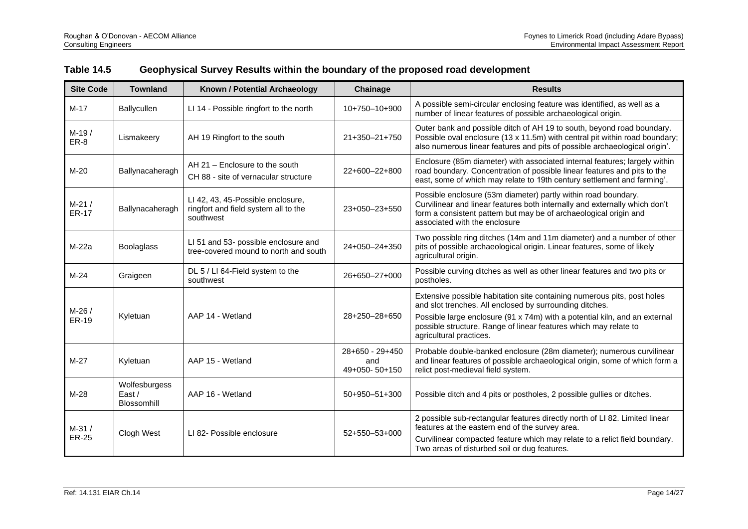| <b>Site Code</b>        | <b>Townland</b>                        | Known / Potential Archaeology                                                          | Chainage                                | <b>Results</b>                                                                                                                                                                                                                                                                                                  |
|-------------------------|----------------------------------------|----------------------------------------------------------------------------------------|-----------------------------------------|-----------------------------------------------------------------------------------------------------------------------------------------------------------------------------------------------------------------------------------------------------------------------------------------------------------------|
| $M-17$                  | Ballycullen                            | LI 14 - Possible ringfort to the north                                                 | 10+750-10+900                           | A possible semi-circular enclosing feature was identified, as well as a<br>number of linear features of possible archaeological origin.                                                                                                                                                                         |
| $M-19/$<br>ER-8         | Lismakeery                             | AH 19 Ringfort to the south                                                            | 21+350-21+750                           | Outer bank and possible ditch of AH 19 to south, beyond road boundary.<br>Possible oval enclosure (13 x 11.5m) with central pit within road boundary;<br>also numerous linear features and pits of possible archaeological origin'.                                                                             |
| $M-20$                  | Ballynacaheragh                        | AH 21 - Enclosure to the south<br>CH 88 - site of vernacular structure                 | 22+600-22+800                           | Enclosure (85m diameter) with associated internal features; largely within<br>road boundary. Concentration of possible linear features and pits to the<br>east, some of which may relate to 19th century settlement and farming'.                                                                               |
| $M-21/$<br><b>ER-17</b> | Ballynacaheragh                        | LI 42, 43, 45-Possible enclosure,<br>ringfort and field system all to the<br>southwest | 23+050-23+550                           | Possible enclosure (53m diameter) partly within road boundary.<br>Curvilinear and linear features both internally and externally which don't<br>form a consistent pattern but may be of archaeological origin and<br>associated with the enclosure                                                              |
| M-22a                   | <b>Boolaglass</b>                      | LI 51 and 53- possible enclosure and<br>tree-covered mound to north and south          | 24+050-24+350                           | Two possible ring ditches (14m and 11m diameter) and a number of other<br>pits of possible archaeological origin. Linear features, some of likely<br>agricultural origin.                                                                                                                                       |
| $M-24$                  | Graigeen                               | DL 5 / LI 64-Field system to the<br>southwest                                          | 26+650-27+000                           | Possible curving ditches as well as other linear features and two pits or<br>postholes.                                                                                                                                                                                                                         |
| M-26 /<br><b>ER-19</b>  | Kyletuan                               | AAP 14 - Wetland                                                                       | 28+250-28+650                           | Extensive possible habitation site containing numerous pits, post holes<br>and slot trenches. All enclosed by surrounding ditches.<br>Possible large enclosure (91 x 74m) with a potential kiln, and an external<br>possible structure. Range of linear features which may relate to<br>agricultural practices. |
| $M-27$                  | Kyletuan                               | AAP 15 - Wetland                                                                       | 28+650 - 29+450<br>and<br>49+050-50+150 | Probable double-banked enclosure (28m diameter); numerous curvilinear<br>and linear features of possible archaeological origin, some of which form a<br>relict post-medieval field system.                                                                                                                      |
| $M-28$                  | Wolfesburgess<br>East /<br>Blossomhill | AAP 16 - Wetland                                                                       | $50+950-51+300$                         | Possible ditch and 4 pits or postholes, 2 possible gullies or ditches.                                                                                                                                                                                                                                          |
| $M-31/$<br><b>ER-25</b> | Clogh West                             | LI 82- Possible enclosure                                                              | $52+550-53+000$                         | 2 possible sub-rectangular features directly north of LI 82. Limited linear<br>features at the eastern end of the survey area.<br>Curvilinear compacted feature which may relate to a relict field boundary.<br>Two areas of disturbed soil or dug features.                                                    |

# **Table 14.5 Geophysical Survey Results within the boundary of the proposed road development**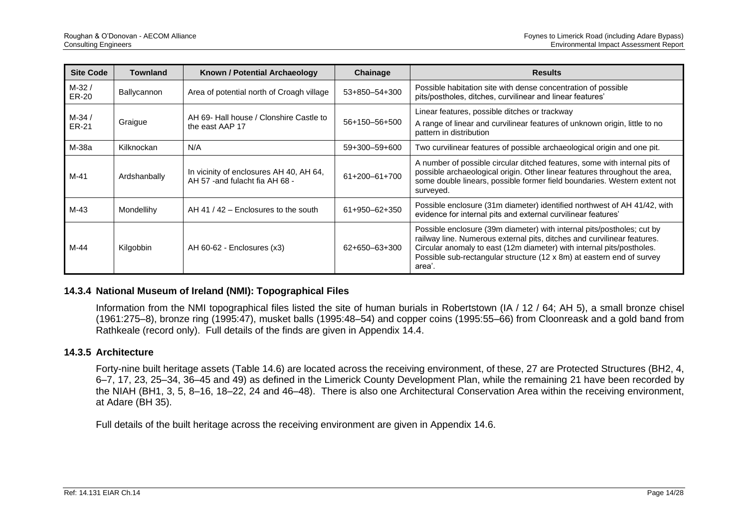| <b>Site Code</b>        | <b>Townland</b> | Known / Potential Archaeology                                              | Chainage        | <b>Results</b>                                                                                                                                                                                                                                                                                                |
|-------------------------|-----------------|----------------------------------------------------------------------------|-----------------|---------------------------------------------------------------------------------------------------------------------------------------------------------------------------------------------------------------------------------------------------------------------------------------------------------------|
| $M-32/$<br>ER-20        | Ballycannon     | Area of potential north of Croagh village                                  | 53+850-54+300   | Possible habitation site with dense concentration of possible<br>pits/postholes, ditches, curvilinear and linear features'                                                                                                                                                                                    |
| $M-34/$<br><b>ER-21</b> | Graigue         | AH 69- Hall house / Clonshire Castle to<br>the east AAP 17                 | 56+150-56+500   | Linear features, possible ditches or trackway<br>A range of linear and curvilinear features of unknown origin, little to no<br>pattern in distribution                                                                                                                                                        |
| M-38a                   | Kilknockan      | N/A                                                                        | 59+300-59+600   | Two curvilinear features of possible archaeological origin and one pit.                                                                                                                                                                                                                                       |
| M-41                    | Ardshanbally    | In vicinity of enclosures AH 40, AH 64,<br>AH 57 - and fulacht fia AH 68 - | $61+200-61+700$ | A number of possible circular ditched features, some with internal pits of<br>possible archaeological origin. Other linear features throughout the area,<br>some double linears, possible former field boundaries. Western extent not<br>surveyed.                                                            |
| M-43                    | Mondellihy      | AH 41 / 42 $-$ Enclosures to the south                                     | $61+950-62+350$ | Possible enclosure (31m diameter) identified northwest of AH 41/42, with<br>evidence for internal pits and external curvilinear features'                                                                                                                                                                     |
| M-44                    | Kilgobbin       | AH 60-62 - Enclosures (x3)                                                 | 62+650-63+300   | Possible enclosure (39m diameter) with internal pits/postholes; cut by<br>railway line. Numerous external pits, ditches and curvilinear features.<br>Circular anomaly to east (12m diameter) with internal pits/postholes.<br>Possible sub-rectangular structure (12 x 8m) at eastern end of survey<br>area'. |

#### **14.3.4 National Museum of Ireland (NMI): Topographical Files**

Information from the NMI topographical files listed the site of human burials in Robertstown (IA / 12 / 64; AH 5), a small bronze chisel (1961:275–8), bronze ring (1995:47), musket balls (1995:48–54) and copper coins (1995:55–66) from Cloonreask and a gold band from Rathkeale (record only). Full details of the finds are given in Appendix 14.4.

#### **14.3.5 Architecture**

Forty-nine built heritage assets (Table 14.6) are located across the receiving environment, of these, 27 are Protected Structures (BH2, 4, 6–7, 17, 23, 25–34, 36–45 and 49) as defined in the Limerick County Development Plan, while the remaining 21 have been recorded by the NIAH (BH1, 3, 5, 8–16, 18–22, 24 and 46–48). There is also one Architectural Conservation Area within the receiving environment, at Adare (BH 35).

Full details of the built heritage across the receiving environment are given in Appendix 14.6.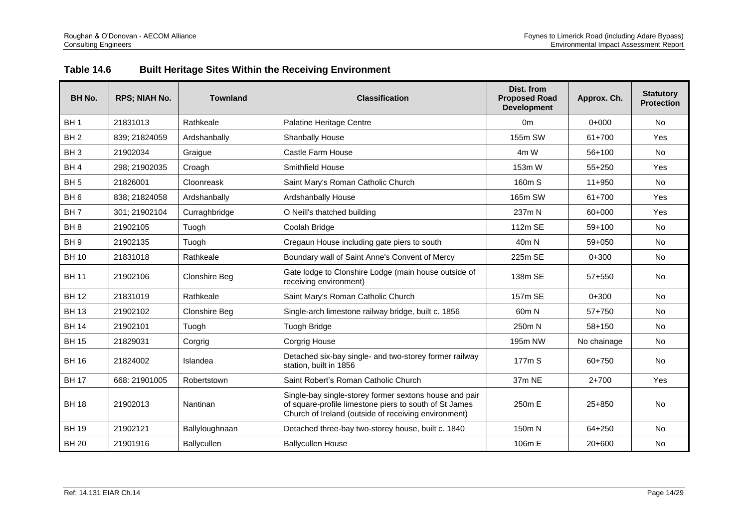| Table 14.6 |  | <b>Built Heritage Sites Within the Receiving Environment</b> |
|------------|--|--------------------------------------------------------------|
|------------|--|--------------------------------------------------------------|

| <b>BH No.</b>   | <b>RPS; NIAH No.</b> | <b>Townland</b>      | <b>Classification</b>                                                                                                                                                    | Dist. from<br><b>Proposed Road</b><br><b>Development</b> | Approx. Ch. | <b>Statutory</b><br><b>Protection</b> |
|-----------------|----------------------|----------------------|--------------------------------------------------------------------------------------------------------------------------------------------------------------------------|----------------------------------------------------------|-------------|---------------------------------------|
| BH <sub>1</sub> | 21831013             | Rathkeale            | Palatine Heritage Centre                                                                                                                                                 | 0 <sub>m</sub>                                           | $0+000$     | No                                    |
| BH <sub>2</sub> | 839; 21824059        | Ardshanbally         | Shanbally House                                                                                                                                                          | 155m SW                                                  | 61+700      | Yes                                   |
| BH <sub>3</sub> | 21902034             | Graigue              | Castle Farm House                                                                                                                                                        | 4m W                                                     | $56+100$    | <b>No</b>                             |
| BH <sub>4</sub> | 298; 21902035        | Croagh               | <b>Smithfield House</b>                                                                                                                                                  | 153m W                                                   | 55+250      | Yes                                   |
| BH <sub>5</sub> | 21826001             | Cloonreask           | Saint Mary's Roman Catholic Church                                                                                                                                       | 160m S                                                   | $11+950$    | <b>No</b>                             |
| BH <sub>6</sub> | 838: 21824058        | Ardshanbally         | Ardshanbally House                                                                                                                                                       | 165m SW                                                  | 61+700      | Yes                                   |
| BH <sub>7</sub> | 301:21902104         | Curraghbridge        | O Neill's thatched building                                                                                                                                              | 237m N                                                   | 60+000      | Yes                                   |
| BH <sub>8</sub> | 21902105             | Tuogh                | Coolah Bridge                                                                                                                                                            | 112m SE                                                  | $59+100$    | <b>No</b>                             |
| BH <sub>9</sub> | 21902135             | Tuogh                | Cregaun House including gate piers to south                                                                                                                              | 40 <sub>m</sub> N                                        | $59 + 050$  | <b>No</b>                             |
| <b>BH 10</b>    | 21831018             | Rathkeale            | Boundary wall of Saint Anne's Convent of Mercy                                                                                                                           | 225m SE                                                  | $0+300$     | <b>No</b>                             |
| <b>BH 11</b>    | 21902106             | <b>Clonshire Beg</b> | Gate lodge to Clonshire Lodge (main house outside of<br>receiving environment)                                                                                           | 138m SE                                                  | 57+550      | <b>No</b>                             |
| <b>BH12</b>     | 21831019             | Rathkeale            | Saint Mary's Roman Catholic Church                                                                                                                                       | 157m SE                                                  | $0+300$     | <b>No</b>                             |
| <b>BH13</b>     | 21902102             | <b>Clonshire Beg</b> | Single-arch limestone railway bridge, built c. 1856                                                                                                                      | 60 <sub>m</sub> N                                        | $57+750$    | <b>No</b>                             |
| <b>BH 14</b>    | 21902101             | Tuogh                | <b>Tuogh Bridge</b>                                                                                                                                                      | 250m N                                                   | $58 + 150$  | <b>No</b>                             |
| <b>BH 15</b>    | 21829031             | Corgrig              | Corgrig House                                                                                                                                                            | 195m NW                                                  | No chainage | <b>No</b>                             |
| <b>BH 16</b>    | 21824002             | Islandea             | Detached six-bay single- and two-storey former railway<br>station, built in 1856                                                                                         | 177m S                                                   | 60+750      | <b>No</b>                             |
| <b>BH 17</b>    | 668: 21901005        | Robertstown          | Saint Robert's Roman Catholic Church                                                                                                                                     | 37m NE                                                   | $2 + 700$   | Yes                                   |
| <b>BH 18</b>    | 21902013             | Nantinan             | Single-bay single-storey former sextons house and pair<br>of square-profile limestone piers to south of St James<br>Church of Ireland (outside of receiving environment) | 250m E                                                   | $25 + 850$  | <b>No</b>                             |
| <b>BH 19</b>    | 21902121             | Ballyloughnaan       | Detached three-bay two-storey house, built c. 1840                                                                                                                       | 150m N                                                   | 64+250      | <b>No</b>                             |
| <b>BH 20</b>    | 21901916             | <b>Ballycullen</b>   | <b>Ballycullen House</b>                                                                                                                                                 | 106m E                                                   | $20+600$    | <b>No</b>                             |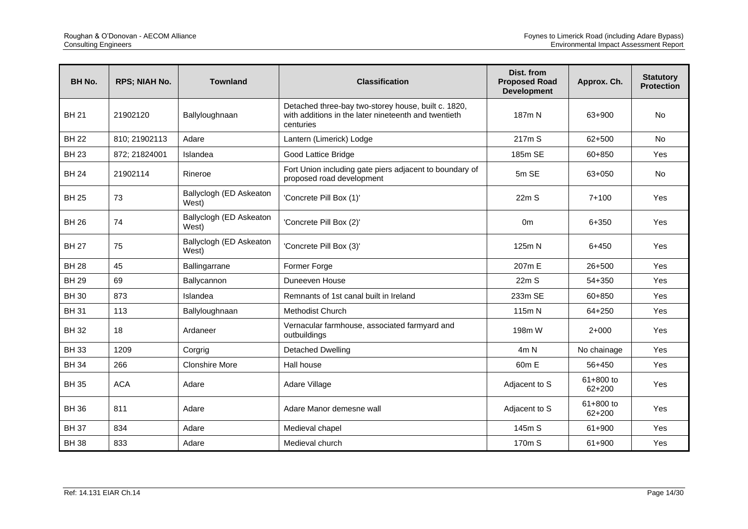| <b>BH No.</b> | <b>RPS; NIAH No.</b> | <b>Townland</b>                  | <b>Classification</b>                                                                                                    | Dist. from<br><b>Proposed Road</b><br><b>Development</b> | Approx. Ch.             | <b>Statutory</b><br><b>Protection</b> |
|---------------|----------------------|----------------------------------|--------------------------------------------------------------------------------------------------------------------------|----------------------------------------------------------|-------------------------|---------------------------------------|
| <b>BH 21</b>  | 21902120             | Ballyloughnaan                   | Detached three-bay two-storey house, built c. 1820,<br>with additions in the later nineteenth and twentieth<br>centuries | 187m N                                                   | 63+900                  | <b>No</b>                             |
| <b>BH 22</b>  | 810; 21902113        | Adare                            | Lantern (Limerick) Lodge                                                                                                 | 217m S                                                   | 62+500                  | <b>No</b>                             |
| <b>BH 23</b>  | 872; 21824001        | Islandea                         | Good Lattice Bridge                                                                                                      | 185m SE                                                  | 60+850                  | Yes                                   |
| <b>BH 24</b>  | 21902114             | Rineroe                          | Fort Union including gate piers adjacent to boundary of<br>proposed road development                                     | 5m SE                                                    | 63+050                  | No.                                   |
| <b>BH 25</b>  | 73                   | Ballyclogh (ED Askeaton<br>West) | 'Concrete Pill Box (1)'                                                                                                  | 22mS                                                     | $7 + 100$               | Yes                                   |
| <b>BH 26</b>  | 74                   | Ballyclogh (ED Askeaton<br>West) | 'Concrete Pill Box (2)'                                                                                                  | 0 <sub>m</sub>                                           | 6+350                   | Yes                                   |
| <b>BH 27</b>  | 75                   | Ballyclogh (ED Askeaton<br>West) | 'Concrete Pill Box (3)'                                                                                                  | 125m N                                                   | $6 + 450$               | Yes                                   |
| <b>BH 28</b>  | 45                   | Ballingarrane                    | Former Forge                                                                                                             | 207m E                                                   | $26 + 500$              | Yes                                   |
| <b>BH 29</b>  | 69                   | Ballycannon                      | Duneeven House                                                                                                           | 22m S                                                    | 54+350                  | Yes                                   |
| <b>BH30</b>   | 873                  | Islandea                         | Remnants of 1st canal built in Ireland                                                                                   | 233m SE                                                  | 60+850                  | <b>Yes</b>                            |
| <b>BH31</b>   | 113                  | Ballyloughnaan                   | Methodist Church                                                                                                         | 115m N                                                   | 64+250                  | Yes                                   |
| <b>BH32</b>   | 18                   | Ardaneer                         | Vernacular farmhouse, associated farmyard and<br>outbuildings                                                            | 198 <sub>m</sub> W                                       | $2+000$                 | Yes                                   |
| <b>BH33</b>   | 1209                 | Corgrig                          | <b>Detached Dwelling</b>                                                                                                 | 4m N                                                     | No chainage             | Yes                                   |
| <b>BH 34</b>  | 266                  | <b>Clonshire More</b>            | Hall house                                                                                                               | 60 <sub>m</sub> E                                        | 56+450                  | Yes                                   |
| <b>BH35</b>   | <b>ACA</b>           | Adare                            | Adare Village                                                                                                            | Adjacent to S                                            | 61+800 to<br>$62 + 200$ | Yes                                   |
| <b>BH 36</b>  | 811                  | Adare                            | Adare Manor demesne wall                                                                                                 | Adjacent to S                                            | $61 + 800$ to<br>62+200 | Yes                                   |
| <b>BH 37</b>  | 834                  | Adare                            | Medieval chapel                                                                                                          | 145m S                                                   | 61+900                  | Yes                                   |
| <b>BH38</b>   | 833                  | Adare                            | Medieval church                                                                                                          | 170m S                                                   | 61+900                  | Yes                                   |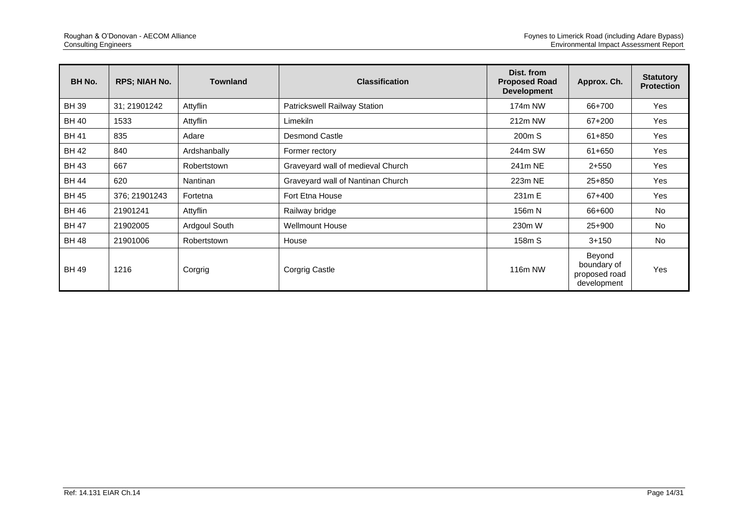| BH No.       | <b>RPS; NIAH No.</b> | <b>Townland</b> | <b>Classification</b>             | Dist. from<br><b>Proposed Road</b><br><b>Development</b> | Approx. Ch.                                           | <b>Statutory</b><br><b>Protection</b> |
|--------------|----------------------|-----------------|-----------------------------------|----------------------------------------------------------|-------------------------------------------------------|---------------------------------------|
| <b>BH39</b>  | 31; 21901242         | Attyflin        | Patrickswell Railway Station      | 174m NW                                                  | 66+700                                                | Yes                                   |
| <b>BH 40</b> | 1533                 | Attyflin        | Limekiln                          | 212m NW                                                  | 67+200                                                | Yes                                   |
| <b>BH 41</b> | 835                  | Adare           | <b>Desmond Castle</b>             | 200m S                                                   | 61+850                                                | Yes                                   |
| <b>BH 42</b> | 840                  | Ardshanbally    | Former rectory                    | 244m SW                                                  | 61+650                                                | Yes                                   |
| <b>BH 43</b> | 667                  | Robertstown     | Graveyard wall of medieval Church | 241m NE                                                  | $2 + 550$                                             | Yes                                   |
| <b>BH 44</b> | 620                  | Nantinan        | Graveyard wall of Nantinan Church | 223m NE                                                  | 25+850                                                | Yes                                   |
| <b>BH 45</b> | 376; 21901243        | Fortetna        | Fort Etna House                   | 231m E                                                   | 67+400                                                | Yes                                   |
| <b>BH 46</b> | 21901241             | Attyflin        | Railway bridge                    | 156m N                                                   | 66+600                                                | <b>No</b>                             |
| <b>BH 47</b> | 21902005             | Ardgoul South   | <b>Wellmount House</b>            | 230m W                                                   | 25+900                                                | <b>No</b>                             |
| <b>BH 48</b> | 21901006             | Robertstown     | House                             | 158m S                                                   | $3+150$                                               | <b>No</b>                             |
| <b>BH 49</b> | 1216                 | Corgrig         | Corgrig Castle                    | 116m NW                                                  | Beyond<br>boundary of<br>proposed road<br>development | Yes                                   |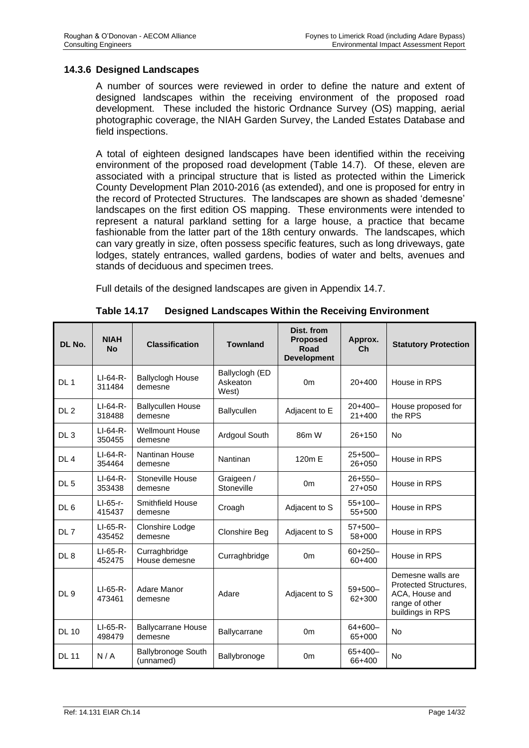#### **14.3.6 Designed Landscapes**

A number of sources were reviewed in order to define the nature and extent of designed landscapes within the receiving environment of the proposed road development. These included the historic Ordnance Survey (OS) mapping, aerial photographic coverage, the NIAH Garden Survey, the Landed Estates Database and field inspections.

A total of eighteen designed landscapes have been identified within the receiving environment of the proposed road development (Table 14.7). Of these, eleven are associated with a principal structure that is listed as protected within the Limerick County Development Plan 2010-2016 (as extended), and one is proposed for entry in the record of Protected Structures. The landscapes are shown as shaded 'demesne' landscapes on the first edition OS mapping. These environments were intended to represent a natural parkland setting for a large house, a practice that became fashionable from the latter part of the 18th century onwards. The landscapes, which can vary greatly in size, often possess specific features, such as long driveways, gate lodges, stately entrances, walled gardens, bodies of water and belts, avenues and stands of deciduous and specimen trees.

Full details of the designed landscapes are given in Appendix 14.7.

| DL No.          | <b>NIAH</b><br><b>No</b> | <b>Classification</b>                  | <b>Townland</b>                     | Dist. from<br><b>Proposed</b><br>Road<br><b>Development</b> | Approx.<br>Ch            | <b>Statutory Protection</b>                                                                        |
|-----------------|--------------------------|----------------------------------------|-------------------------------------|-------------------------------------------------------------|--------------------------|----------------------------------------------------------------------------------------------------|
| DL <sub>1</sub> | $LI-64-R-$<br>311484     | <b>Ballyclogh House</b><br>demesne     | Ballyclogh (ED<br>Askeaton<br>West) | 0 <sub>m</sub>                                              | $20+400$                 | House in RPS                                                                                       |
| DL <sub>2</sub> | $LI-64-R-$<br>318488     | <b>Ballycullen House</b><br>demesne    | <b>Ballycullen</b>                  | Adjacent to E                                               | $20+400-$<br>$21+400$    | House proposed for<br>the RPS                                                                      |
| DL <sub>3</sub> | $LI-64-R-$<br>350455     | <b>Wellmount House</b><br>demesne      | Ardgoul South                       | 86m W                                                       | $26 + 150$               | <b>No</b>                                                                                          |
| DL <sub>4</sub> | $LI-64-R-$<br>354464     | Nantinan House<br>demesne              | Nantinan                            | 120m E                                                      | $25+500-$<br>$26 + 050$  | House in RPS                                                                                       |
| DL <sub>5</sub> | $LI-64-R-$<br>353438     | Stoneville House<br>demesne            | Graigeen /<br>Stoneville            | 0 <sub>m</sub>                                              | $26 + 550 -$<br>$27+050$ | House in RPS                                                                                       |
| DL <sub>6</sub> | LI-65-r-<br>415437       | Smithfield House<br>demesne            | Croagh                              | Adjacent to S                                               | $55+100-$<br>$55+500$    | House in RPS                                                                                       |
| DL 7            | LI-65-R-<br>435452       | Clonshire Lodge<br>demesne             | Clonshire Beg                       | Adjacent to S                                               | $57+500-$<br>58+000      | House in RPS                                                                                       |
| DL <sub>8</sub> | $LI-65-R-$<br>452475     | Curraghbridge<br>House demesne         | Curraghbridge                       | 0 <sub>m</sub>                                              | $60+250-$<br>60+400      | House in RPS                                                                                       |
| DL <sub>9</sub> | $LI-65-R-$<br>473461     | Adare Manor<br>demesne                 | Adare                               | Adjacent to S                                               | $59+500-$<br>62+300      | Demesne walls are<br>Protected Structures,<br>ACA, House and<br>range of other<br>buildings in RPS |
| <b>DL 10</b>    | $LI-65-R-$<br>498479     | <b>Ballycarrane House</b><br>demesne   | Ballycarrane                        | 0 <sub>m</sub>                                              | $64 + 600 -$<br>65+000   | <b>No</b>                                                                                          |
| <b>DL 11</b>    | N/A                      | <b>Ballybronoge South</b><br>(unnamed) | Ballybronoge                        | 0 <sub>m</sub>                                              | $65+400-$<br>66+400      | <b>No</b>                                                                                          |

**Table 14.17 Designed Landscapes Within the Receiving Environment**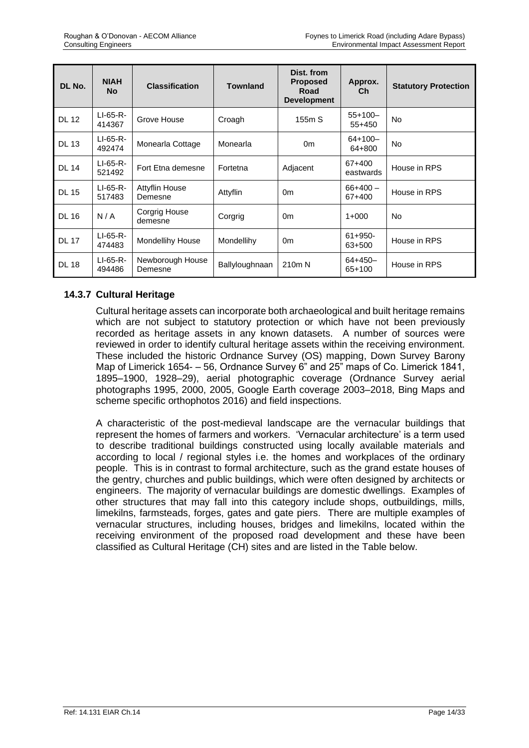| DL No.       | <b>NIAH</b><br><b>No</b> | <b>Classification</b>            | <b>Townland</b> | Dist. from<br><b>Proposed</b><br>Road<br><b>Development</b> | Approx.<br>Ch          | <b>Statutory Protection</b> |
|--------------|--------------------------|----------------------------------|-----------------|-------------------------------------------------------------|------------------------|-----------------------------|
| <b>DL 12</b> | $LI-65-R-$<br>414367     | Grove House                      | Croagh          | 155m S                                                      | $55+100-$<br>$55+450$  | <b>No</b>                   |
| <b>DL 13</b> | $LI-65-R-$<br>492474     | Monearla Cottage                 | Monearla        | 0 <sub>m</sub>                                              | $64+100-$<br>64+800    | <b>No</b>                   |
| <b>DL 14</b> | $LI-65-R-$<br>521492     | Fort Etna demesne                | Fortetna        | Adjacent                                                    | 67+400<br>eastwards    | House in RPS                |
| <b>DL 15</b> | $LI-65-R-$<br>517483     | <b>Attyflin House</b><br>Demesne | Attyflin        | 0 <sub>m</sub>                                              | $66+400 -$<br>67+400   | House in RPS                |
| <b>DL 16</b> | N/A                      | Corgrig House<br>demesne         | Corgrig         | 0 <sub>m</sub>                                              | $1+000$                | No                          |
| <b>DL 17</b> | $LI-65-R-$<br>474483     | Mondellihy House                 | Mondellihy      | 0 <sub>m</sub>                                              | $61 + 950 -$<br>63+500 | House in RPS                |
| <b>DL 18</b> | $LI-65-R-$<br>494486     | Newborough House<br>Demesne      | Ballyloughnaan  | 210 <sub>m</sub> N                                          | $64 + 450 -$<br>65+100 | House in RPS                |

# **14.3.7 Cultural Heritage**

Cultural heritage assets can incorporate both archaeological and built heritage remains which are not subject to statutory protection or which have not been previously recorded as heritage assets in any known datasets. A number of sources were reviewed in order to identify cultural heritage assets within the receiving environment. These included the historic Ordnance Survey (OS) mapping, Down Survey Barony Map of Limerick 1654- – 56, Ordnance Survey 6" and 25" maps of Co. Limerick 1841, 1895–1900, 1928–29), aerial photographic coverage (Ordnance Survey aerial photographs 1995, 2000, 2005, Google Earth coverage 2003–2018, Bing Maps and scheme specific orthophotos 2016) and field inspections.

A characteristic of the post-medieval landscape are the vernacular buildings that represent the homes of farmers and workers. 'Vernacular architecture' is a term used to describe traditional buildings constructed using locally available materials and according to local / regional styles i.e. the homes and workplaces of the ordinary people. This is in contrast to formal architecture, such as the grand estate houses of the gentry, churches and public buildings, which were often designed by architects or engineers. The majority of vernacular buildings are domestic dwellings. Examples of other structures that may fall into this category include shops, outbuildings, mills, limekilns, farmsteads, forges, gates and gate piers. There are multiple examples of vernacular structures, including houses, bridges and limekilns, located within the receiving environment of the proposed road development and these have been classified as Cultural Heritage (CH) sites and are listed in the Table below.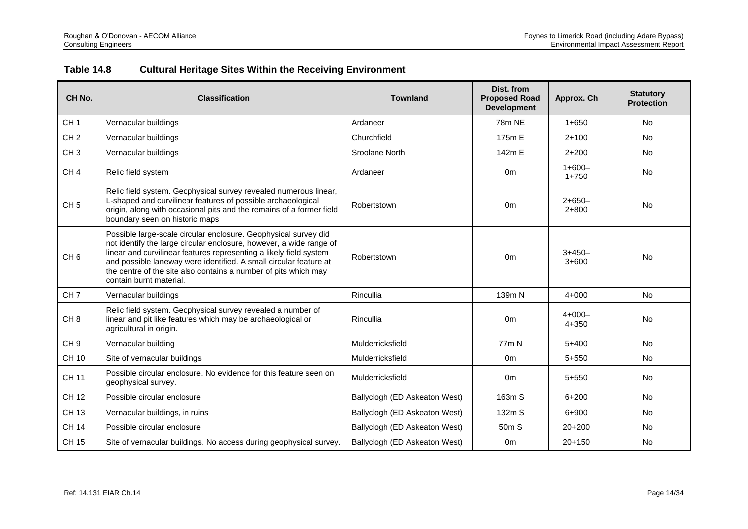# **Table 14.8 Cultural Heritage Sites Within the Receiving Environment**

| CH <sub>No.</sub> | <b>Classification</b>                                                                                                                                                                                                                                                                                                                                                           | <b>Townland</b>               | Dist. from<br><b>Proposed Road</b><br><b>Development</b> | Approx. Ch            | <b>Statutory</b><br><b>Protection</b> |
|-------------------|---------------------------------------------------------------------------------------------------------------------------------------------------------------------------------------------------------------------------------------------------------------------------------------------------------------------------------------------------------------------------------|-------------------------------|----------------------------------------------------------|-----------------------|---------------------------------------|
| CH <sub>1</sub>   | Vernacular buildings                                                                                                                                                                                                                                                                                                                                                            | Ardaneer                      | 78m NE                                                   | $1 + 650$             | <b>No</b>                             |
| CH <sub>2</sub>   | Vernacular buildings                                                                                                                                                                                                                                                                                                                                                            | Churchfield                   | 175m E                                                   | $2+100$               | <b>No</b>                             |
| CH <sub>3</sub>   | Vernacular buildings                                                                                                                                                                                                                                                                                                                                                            | Sroolane North                | 142m E                                                   | $2 + 200$             | <b>No</b>                             |
| CH <sub>4</sub>   | Relic field system                                                                                                                                                                                                                                                                                                                                                              | Ardaneer                      | 0 <sub>m</sub>                                           | $1+600-$<br>$1 + 750$ | No                                    |
| CH <sub>5</sub>   | Relic field system. Geophysical survey revealed numerous linear,<br>L-shaped and curvilinear features of possible archaeological<br>origin, along with occasional pits and the remains of a former field<br>boundary seen on historic maps                                                                                                                                      | Robertstown                   | 0 <sub>m</sub>                                           | $2+650-$<br>$2 + 800$ | <b>No</b>                             |
| CH <sub>6</sub>   | Possible large-scale circular enclosure. Geophysical survey did<br>not identify the large circular enclosure, however, a wide range of<br>linear and curvilinear features representing a likely field system<br>and possible laneway were identified. A small circular feature at<br>the centre of the site also contains a number of pits which may<br>contain burnt material. | Robertstown                   | 0 <sub>m</sub>                                           | $3+450-$<br>$3 + 600$ | <b>No</b>                             |
| CH <sub>7</sub>   | Vernacular buildings                                                                                                                                                                                                                                                                                                                                                            | Rincullia                     | 139m N                                                   | $4 + 000$             | No                                    |
| CH <sub>8</sub>   | Relic field system. Geophysical survey revealed a number of<br>linear and pit like features which may be archaeological or<br>agricultural in origin.                                                                                                                                                                                                                           | Rincullia                     | 0 <sub>m</sub>                                           | $4+000-$<br>$4 + 350$ | <b>No</b>                             |
| CH <sub>9</sub>   | Vernacular building                                                                                                                                                                                                                                                                                                                                                             | Mulderricksfield              | 77 <sub>m</sub> N                                        | $5 + 400$             | <b>No</b>                             |
| <b>CH 10</b>      | Site of vernacular buildings                                                                                                                                                                                                                                                                                                                                                    | Mulderricksfield              | 0 <sub>m</sub>                                           | $5 + 550$             | <b>No</b>                             |
| <b>CH 11</b>      | Possible circular enclosure. No evidence for this feature seen on<br>geophysical survey.                                                                                                                                                                                                                                                                                        | Mulderricksfield              | 0 <sub>m</sub>                                           | $5 + 550$             | No                                    |
| <b>CH 12</b>      | Possible circular enclosure                                                                                                                                                                                                                                                                                                                                                     | Ballyclogh (ED Askeaton West) | 163m S                                                   | $6 + 200$             | No                                    |
| CH 13             | Vernacular buildings, in ruins                                                                                                                                                                                                                                                                                                                                                  | Ballyclogh (ED Askeaton West) | 132m S                                                   | $6 + 900$             | <b>No</b>                             |
| <b>CH 14</b>      | Possible circular enclosure                                                                                                                                                                                                                                                                                                                                                     | Ballyclogh (ED Askeaton West) | 50 <sub>m</sub> S                                        | $20+200$              | <b>No</b>                             |
| <b>CH 15</b>      | Site of vernacular buildings. No access during geophysical survey.                                                                                                                                                                                                                                                                                                              | Ballyclogh (ED Askeaton West) | 0 <sub>m</sub>                                           | $20 + 150$            | <b>No</b>                             |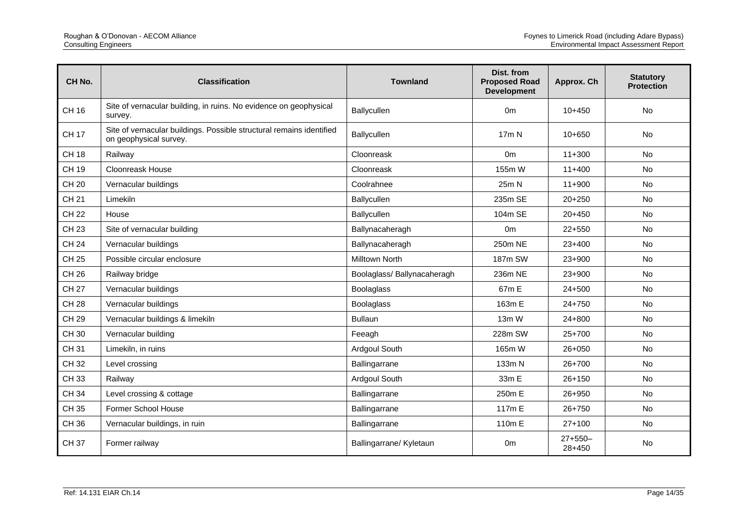| CH <sub>No.</sub> | <b>Classification</b>                                                                          | <b>Townland</b>            | Dist. from<br><b>Proposed Road</b><br><b>Development</b> | Approx. Ch          | <b>Statutory</b><br><b>Protection</b> |
|-------------------|------------------------------------------------------------------------------------------------|----------------------------|----------------------------------------------------------|---------------------|---------------------------------------|
| CH 16             | Site of vernacular building, in ruins. No evidence on geophysical<br>survey.                   | Ballycullen                | 0 <sub>m</sub>                                           | $10+450$            | No                                    |
| <b>CH 17</b>      | Site of vernacular buildings. Possible structural remains identified<br>on geophysical survey. | Ballycullen                | 17m N                                                    | $10+650$            | <b>No</b>                             |
| <b>CH 18</b>      | Railway                                                                                        | Cloonreask                 | 0 <sub>m</sub>                                           | $11 + 300$          | No                                    |
| CH 19             | Cloonreask House                                                                               | Cloonreask                 | 155m W                                                   | $11+400$            | <b>No</b>                             |
| <b>CH 20</b>      | Vernacular buildings                                                                           | Coolrahnee                 | 25m N                                                    | $11+900$            | No                                    |
| <b>CH 21</b>      | Limekiln                                                                                       | Ballycullen                | 235m SE                                                  | $20+250$            | No                                    |
| <b>CH 22</b>      | House                                                                                          | Ballycullen                | 104m SE                                                  | $20+450$            | No                                    |
| <b>CH 23</b>      | Site of vernacular building                                                                    | Ballynacaheragh            | 0 <sub>m</sub>                                           | $22 + 550$          | <b>No</b>                             |
| <b>CH 24</b>      | Vernacular buildings                                                                           | Ballynacaheragh            | 250m NE                                                  | $23+400$            | <b>No</b>                             |
| <b>CH 25</b>      | Possible circular enclosure                                                                    | <b>Milltown North</b>      | 187m SW                                                  | 23+900              | <b>No</b>                             |
| <b>CH 26</b>      | Railway bridge                                                                                 | Boolaglass/Ballynacaheragh | 236m NE                                                  | $23+900$            | <b>No</b>                             |
| <b>CH 27</b>      | Vernacular buildings                                                                           | <b>Boolaglass</b>          | 67m E                                                    | $24 + 500$          | No                                    |
| <b>CH 28</b>      | Vernacular buildings                                                                           | <b>Boolaglass</b>          | 163m E                                                   | $24 + 750$          | No                                    |
| <b>CH 29</b>      | Vernacular buildings & limekiln                                                                | <b>Bullaun</b>             | 13m W                                                    | $24 + 800$          | No                                    |
| CH 30             | Vernacular building                                                                            | Feeagh                     | 228m SW                                                  | $25+700$            | <b>No</b>                             |
| <b>CH31</b>       | Limekiln, in ruins                                                                             | Ardgoul South              | 165m W                                                   | $26 + 050$          | No                                    |
| CH 32             | Level crossing                                                                                 | Ballingarrane              | 133m N                                                   | $26+700$            | <b>No</b>                             |
| CH 33             | Railway                                                                                        | Ardgoul South              | 33m E                                                    | $26 + 150$          | No                                    |
| <b>CH 34</b>      | Level crossing & cottage                                                                       | Ballingarrane              | 250m E                                                   | 26+950              | No                                    |
| CH 35             | Former School House                                                                            | Ballingarrane              | 117m E                                                   | 26+750              | No                                    |
| CH 36             | Vernacular buildings, in ruin                                                                  | Ballingarrane              | 110m E                                                   | $27+100$            | No                                    |
| <b>CH37</b>       | Former railway                                                                                 | Ballingarrane/ Kyletaun    | 0 <sub>m</sub>                                           | $27+550-$<br>28+450 | No                                    |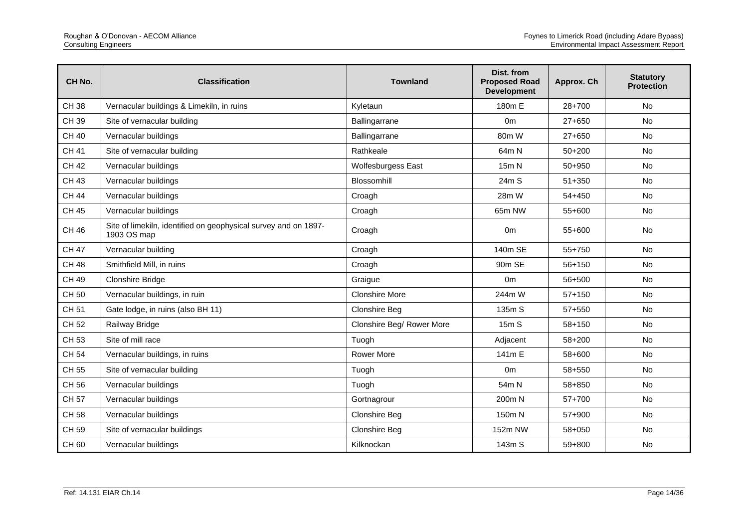| CH No.       | <b>Classification</b>                                                          | <b>Townland</b>           | Dist. from<br><b>Proposed Road</b><br><b>Development</b> | Approx. Ch | <b>Statutory</b><br><b>Protection</b> |
|--------------|--------------------------------------------------------------------------------|---------------------------|----------------------------------------------------------|------------|---------------------------------------|
| <b>CH38</b>  | Vernacular buildings & Limekiln, in ruins                                      | Kyletaun                  | 180m E                                                   | $28+700$   | No                                    |
| CH 39        | Site of vernacular building                                                    | Ballingarrane             | 0 <sub>m</sub>                                           | $27 + 650$ | <b>No</b>                             |
| <b>CH 40</b> | Vernacular buildings                                                           | Ballingarrane             | 80m W                                                    | $27+650$   | <b>No</b>                             |
| <b>CH 41</b> | Site of vernacular building                                                    | Rathkeale                 | 64m N                                                    | $50+200$   | No                                    |
| <b>CH 42</b> | Vernacular buildings                                                           | Wolfesburgess East        | 15m N                                                    | 50+950     | No                                    |
| <b>CH 43</b> | Vernacular buildings                                                           | Blossomhill               | 24m S                                                    | $51 + 350$ | No                                    |
| <b>CH 44</b> | Vernacular buildings                                                           | Croagh                    | 28m W                                                    | $54 + 450$ | No                                    |
| <b>CH 45</b> | Vernacular buildings                                                           | Croagh                    | 65m NW                                                   | 55+600     | <b>No</b>                             |
| <b>CH 46</b> | Site of limekiln, identified on geophysical survey and on 1897-<br>1903 OS map | Croagh                    | 0 <sub>m</sub>                                           | 55+600     | <b>No</b>                             |
| <b>CH 47</b> | Vernacular building                                                            | Croagh                    | 140m SE                                                  | 55+750     | <b>No</b>                             |
| <b>CH 48</b> | Smithfield Mill, in ruins                                                      | Croagh                    | 90m SE                                                   | 56+150     | No                                    |
| <b>CH 49</b> | <b>Clonshire Bridge</b>                                                        | Graigue                   | 0 <sub>m</sub>                                           | 56+500     | No                                    |
| CH 50        | Vernacular buildings, in ruin                                                  | <b>Clonshire More</b>     | 244m W                                                   | $57 + 150$ | <b>No</b>                             |
| CH 51        | Gate lodge, in ruins (also BH 11)                                              | Clonshire Beg             | 135m S                                                   | $57 + 550$ | <b>No</b>                             |
| <b>CH 52</b> | Railway Bridge                                                                 | Clonshire Beg/ Rower More | 15m S                                                    | 58+150     | No                                    |
| CH 53        | Site of mill race                                                              | Tuogh                     | Adjacent                                                 | 58+200     | <b>No</b>                             |
| <b>CH 54</b> | Vernacular buildings, in ruins                                                 | Rower More                | 141m E                                                   | 58+600     | <b>No</b>                             |
| <b>CH 55</b> | Site of vernacular building                                                    | Tuogh                     | 0 <sub>m</sub>                                           | 58+550     | No                                    |
| CH 56        | Vernacular buildings                                                           | Tuogh                     | 54m N                                                    | 58+850     | No                                    |
| <b>CH 57</b> | Vernacular buildings                                                           | Gortnagrour               | 200m N                                                   | $57+700$   | No                                    |
| CH 58        | Vernacular buildings                                                           | <b>Clonshire Beg</b>      | 150m N                                                   | 57+900     | No                                    |
| CH 59        | Site of vernacular buildings                                                   | Clonshire Beg             | 152m NW                                                  | 58+050     | No                                    |
| <b>CH60</b>  | Vernacular buildings                                                           | Kilknockan                | 143m S                                                   | 59+800     | No                                    |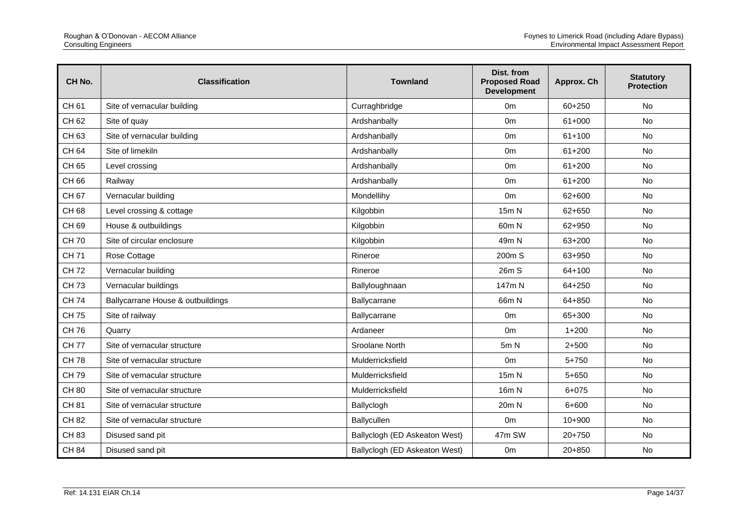| CH No.       | <b>Classification</b>             | <b>Townland</b>               | Dist. from<br><b>Proposed Road</b><br><b>Development</b> | Approx. Ch | <b>Statutory</b><br><b>Protection</b> |
|--------------|-----------------------------------|-------------------------------|----------------------------------------------------------|------------|---------------------------------------|
| CH 61        | Site of vernacular building       | Curraghbridge                 | 0 <sub>m</sub>                                           | 60+250     | No                                    |
| CH 62        | Site of quay                      | Ardshanbally                  | 0 <sub>m</sub>                                           | $61+000$   | No                                    |
| CH 63        | Site of vernacular building       | Ardshanbally                  | 0 <sub>m</sub>                                           | $61 + 100$ | <b>No</b>                             |
| CH 64        | Site of limekiln                  | Ardshanbally                  | 0 <sub>m</sub>                                           | $61 + 200$ | No                                    |
| CH 65        | Level crossing                    | Ardshanbally                  | 0 <sub>m</sub>                                           | $61 + 200$ | <b>No</b>                             |
| CH 66        | Railway                           | Ardshanbally                  | 0 <sub>m</sub>                                           | $61 + 200$ | No                                    |
| CH 67        | Vernacular building               | Mondellihy                    | 0 <sub>m</sub>                                           | 62+600     | <b>No</b>                             |
| CH 68        | Level crossing & cottage          | Kilgobbin                     | 15m N                                                    | 62+650     | No                                    |
| CH 69        | House & outbuildings              | Kilgobbin                     | 60 <sub>m</sub> N                                        | 62+950     | <b>No</b>                             |
| <b>CH70</b>  | Site of circular enclosure        | Kilgobbin                     | 49m N                                                    | 63+200     | <b>No</b>                             |
| <b>CH71</b>  | Rose Cottage                      | Rineroe                       | 200m S                                                   | 63+950     | No                                    |
| <b>CH72</b>  | Vernacular building               | Rineroe                       | 26m S                                                    | $64 + 100$ | No                                    |
| <b>CH73</b>  | Vernacular buildings              | Ballyloughnaan                | 147m N                                                   | 64+250     | No                                    |
| <b>CH74</b>  | Ballycarrane House & outbuildings | Ballycarrane                  | 66m N                                                    | 64+850     | <b>No</b>                             |
| <b>CH75</b>  | Site of railway                   | Ballycarrane                  | 0 <sub>m</sub>                                           | 65+300     | No                                    |
| <b>CH76</b>  | Quarry                            | Ardaneer                      | 0 <sub>m</sub>                                           | $1 + 200$  | No                                    |
| <b>CH77</b>  | Site of vernacular structure      | Sroolane North                | 5m N                                                     | $2 + 500$  | <b>No</b>                             |
| <b>CH78</b>  | Site of vernacular structure      | Mulderricksfield              | 0 <sub>m</sub>                                           | $5 + 750$  | No                                    |
| CH 79        | Site of vernacular structure      | Mulderricksfield              | 15m N                                                    | $5 + 650$  | No                                    |
| <b>CH 80</b> | Site of vernacular structure      | Mulderricksfield              | 16 <sub>m</sub> N                                        | $6 + 075$  | <b>No</b>                             |
| CH 81        | Site of vernacular structure      | Ballyclogh                    | 20m N                                                    | 6+600      | No                                    |
| <b>CH 82</b> | Site of vernacular structure      | Ballycullen                   | 0 <sub>m</sub>                                           | $10 + 900$ | No                                    |
| CH 83        | Disused sand pit                  | Ballyclogh (ED Askeaton West) | 47m SW                                                   | $20+750$   | <b>No</b>                             |
| <b>CH 84</b> | Disused sand pit                  | Ballyclogh (ED Askeaton West) | 0 <sub>m</sub>                                           | $20 + 850$ | No                                    |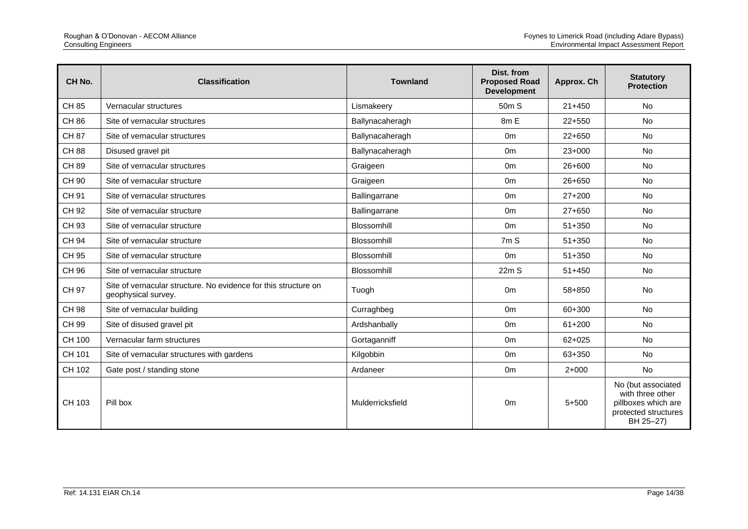| CH <sub>No.</sub> | <b>Classification</b>                                                                  | <b>Townland</b>    | Dist. from<br><b>Proposed Road</b><br><b>Development</b> | Approx. Ch | <b>Statutory</b><br><b>Protection</b>                                                              |
|-------------------|----------------------------------------------------------------------------------------|--------------------|----------------------------------------------------------|------------|----------------------------------------------------------------------------------------------------|
| CH 85             | Vernacular structures                                                                  | Lismakeery         | 50 <sub>m</sub> S                                        | $21 + 450$ | No                                                                                                 |
| CH 86             | Site of vernacular structures                                                          | Ballynacaheragh    | 8m E                                                     | $22+550$   | No                                                                                                 |
| <b>CH 87</b>      | Site of vernacular structures                                                          | Ballynacaheragh    | 0 <sub>m</sub>                                           | $22+650$   | No                                                                                                 |
| <b>CH 88</b>      | Disused gravel pit                                                                     | Ballynacaheragh    | 0 <sub>m</sub>                                           | $23+000$   | No                                                                                                 |
| <b>CH 89</b>      | Site of vernacular structures                                                          | Graigeen           | 0 <sub>m</sub>                                           | 26+600     | <b>No</b>                                                                                          |
| CH 90             | Site of vernacular structure                                                           | Graigeen           | 0 <sub>m</sub>                                           | $26 + 650$ | No                                                                                                 |
| CH 91             | Site of vernacular structures                                                          | Ballingarrane      | 0 <sub>m</sub>                                           | $27+200$   | <b>No</b>                                                                                          |
| CH 92             | Site of vernacular structure                                                           | Ballingarrane      | 0 <sub>m</sub>                                           | $27+650$   | No                                                                                                 |
| CH 93             | Site of vernacular structure                                                           | Blossomhill        | 0 <sub>m</sub>                                           | $51 + 350$ | No                                                                                                 |
| <b>CH 94</b>      | Site of vernacular structure                                                           | Blossomhill        | 7m S                                                     | $51 + 350$ | <b>No</b>                                                                                          |
| CH 95             | Site of vernacular structure                                                           | Blossomhill        | 0 <sub>m</sub>                                           | $51 + 350$ | No                                                                                                 |
| CH 96             | Site of vernacular structure                                                           | <b>Blossomhill</b> | 22mS                                                     | $51 + 450$ | <b>No</b>                                                                                          |
| CH 97             | Site of vernacular structure. No evidence for this structure on<br>geophysical survey. | Tuogh              | 0 <sub>m</sub>                                           | 58+850     | <b>No</b>                                                                                          |
| CH 98             | Site of vernacular building                                                            | Curraghbeg         | 0 <sub>m</sub>                                           | 60+300     | <b>No</b>                                                                                          |
| CH 99             | Site of disused gravel pit                                                             | Ardshanbally       | 0 <sub>m</sub>                                           | $61 + 200$ | No                                                                                                 |
| CH 100            | Vernacular farm structures                                                             | Gortaganniff       | 0 <sub>m</sub>                                           | $62 + 025$ | No                                                                                                 |
| CH 101            | Site of vernacular structures with gardens                                             | Kilgobbin          | 0 <sub>m</sub>                                           | 63+350     | <b>No</b>                                                                                          |
| CH 102            | Gate post / standing stone                                                             | Ardaneer           | 0 <sub>m</sub>                                           | $2+000$    | No                                                                                                 |
| CH 103            | Pill box                                                                               | Mulderricksfield   | 0 <sub>m</sub>                                           | $5 + 500$  | No (but associated<br>with three other<br>pillboxes which are<br>protected structures<br>BH 25-27) |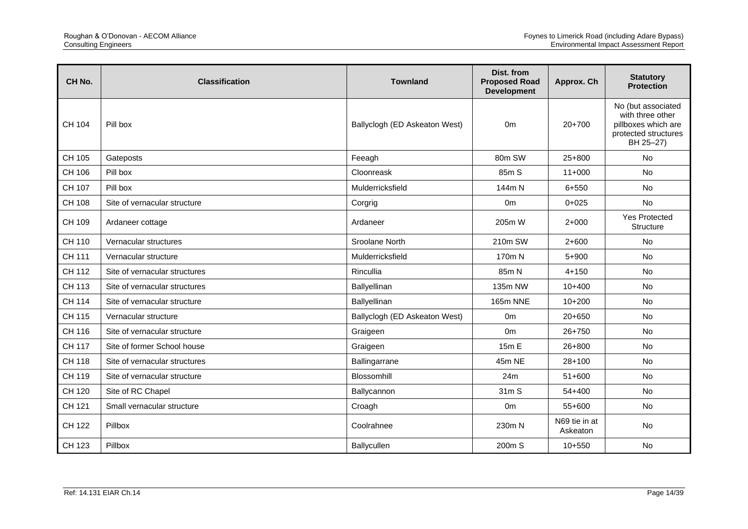| CH No.        | <b>Classification</b>         | <b>Townland</b>               | Dist. from<br><b>Proposed Road</b><br><b>Development</b> | Approx. Ch                | <b>Statutory</b><br><b>Protection</b>                                                              |
|---------------|-------------------------------|-------------------------------|----------------------------------------------------------|---------------------------|----------------------------------------------------------------------------------------------------|
| CH 104        | Pill box                      | Ballyclogh (ED Askeaton West) | 0 <sub>m</sub>                                           | $20+700$                  | No (but associated<br>with three other<br>pillboxes which are<br>protected structures<br>BH 25-27) |
| CH 105        | Gateposts                     | Feeagh                        | 80m SW                                                   | $25+800$                  | <b>No</b>                                                                                          |
| CH 106        | Pill box                      | Cloonreask                    | 85m S                                                    | $11+000$                  | <b>No</b>                                                                                          |
| CH 107        | Pill box                      | Mulderricksfield              | 144m N                                                   | $6 + 550$                 | No                                                                                                 |
| CH 108        | Site of vernacular structure  | Corgrig                       | 0 <sub>m</sub>                                           | $0 + 025$                 | No                                                                                                 |
| CH 109        | Ardaneer cottage              | Ardaneer                      | 205m W                                                   | $2+000$                   | <b>Yes Protected</b><br>Structure                                                                  |
| CH 110        | Vernacular structures         | Sroolane North                | 210m SW                                                  | $2+600$                   | No                                                                                                 |
| CH 111        | Vernacular structure          | Mulderricksfield              | 170m N                                                   | $5 + 900$                 | <b>No</b>                                                                                          |
| CH 112        | Site of vernacular structures | Rincullia                     | 85m N                                                    | $4 + 150$                 | No                                                                                                 |
| CH 113        | Site of vernacular structures | Ballyellinan                  | 135m NW                                                  | $10+400$                  | <b>No</b>                                                                                          |
| <b>CH 114</b> | Site of vernacular structure  | Ballyellinan                  | <b>165m NNE</b>                                          | $10+200$                  | <b>No</b>                                                                                          |
| CH 115        | Vernacular structure          | Ballyclogh (ED Askeaton West) | 0 <sub>m</sub>                                           | 20+650                    | No                                                                                                 |
| CH 116        | Site of vernacular structure  | Graigeen                      | 0 <sub>m</sub>                                           | $26 + 750$                | <b>No</b>                                                                                          |
| <b>CH 117</b> | Site of former School house   | Graigeen                      | 15m E                                                    | 26+800                    | No                                                                                                 |
| <b>CH 118</b> | Site of vernacular structures | Ballingarrane                 | 45m NE                                                   | $28+100$                  | <b>No</b>                                                                                          |
| CH 119        | Site of vernacular structure  | Blossomhill                   | 24m                                                      | $51+600$                  | <b>No</b>                                                                                          |
| CH 120        | Site of RC Chapel             | Ballycannon                   | 31m S                                                    | 54+400                    | <b>No</b>                                                                                          |
| CH 121        | Small vernacular structure    | Croagh                        | 0 <sub>m</sub>                                           | 55+600                    | No                                                                                                 |
| CH 122        | Pillbox                       | Coolrahnee                    | 230m N                                                   | N69 tie in at<br>Askeaton | <b>No</b>                                                                                          |
| CH 123        | Pillbox                       | Ballycullen                   | 200m S                                                   | $10 + 550$                | No                                                                                                 |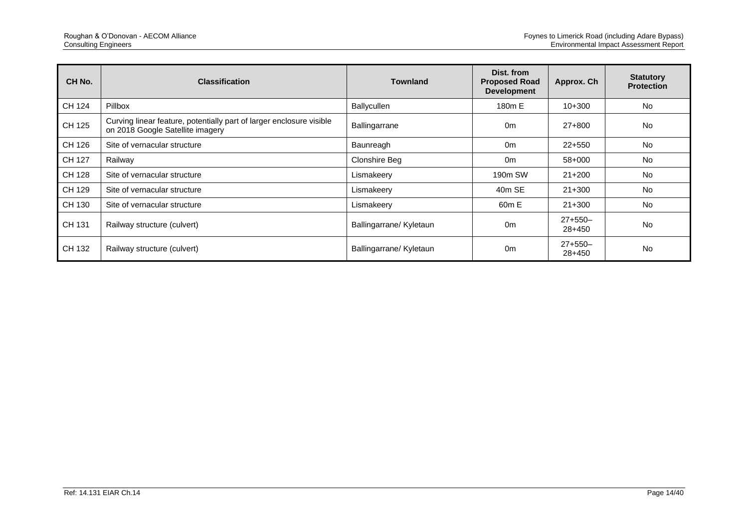| CH No. | <b>Classification</b>                                                                                    | <b>Townland</b>         | Dist. from<br><b>Proposed Road</b><br><b>Development</b> | Approx. Ch          | <b>Statutory</b><br><b>Protection</b> |
|--------|----------------------------------------------------------------------------------------------------------|-------------------------|----------------------------------------------------------|---------------------|---------------------------------------|
| CH 124 | Pillbox                                                                                                  | Ballycullen             | 180m E                                                   | $10+300$            | <b>No</b>                             |
| CH 125 | Curving linear feature, potentially part of larger enclosure visible<br>on 2018 Google Satellite imagery | Ballingarrane           | 0 <sub>m</sub>                                           | 27+800              | <b>No</b>                             |
| CH 126 | Site of vernacular structure                                                                             | Baunreagh               | 0 <sub>m</sub>                                           | $22+550$            | <b>No</b>                             |
| CH 127 | Railway                                                                                                  | <b>Clonshire Beg</b>    | 0 <sub>m</sub>                                           | 58+000              | <b>No</b>                             |
| CH 128 | Site of vernacular structure                                                                             | Lismakeery              | 190m SW                                                  | $21 + 200$          | <b>No</b>                             |
| CH 129 | Site of vernacular structure                                                                             | Lismakeery              | 40m SE                                                   | $21+300$            | No                                    |
| CH 130 | Site of vernacular structure                                                                             | Lismakeery              | 60 <sub>m</sub> E                                        | $21 + 300$          | <b>No</b>                             |
| CH 131 | Railway structure (culvert)                                                                              | Ballingarrane/ Kyletaun | 0 <sub>m</sub>                                           | $27+550-$<br>28+450 | No.                                   |
| CH 132 | Railway structure (culvert)                                                                              | Ballingarrane/ Kyletaun | 0 <sub>m</sub>                                           | $27+550-$<br>28+450 | No                                    |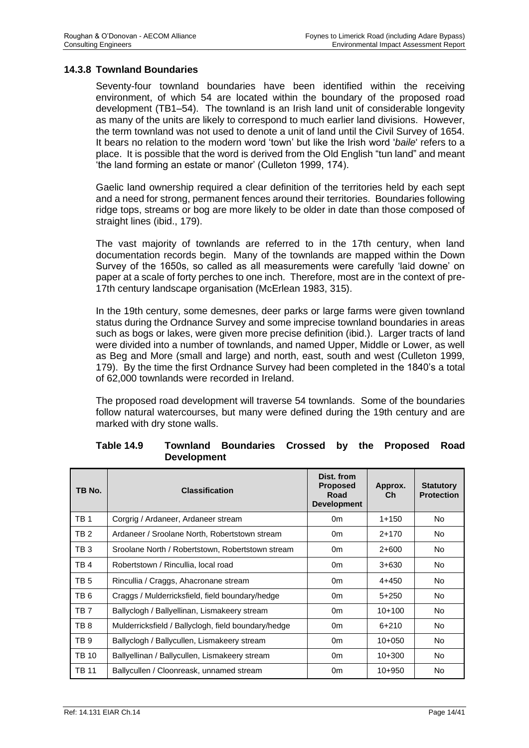### **14.3.8 Townland Boundaries**

Seventy-four townland boundaries have been identified within the receiving environment, of which 54 are located within the boundary of the proposed road development (TB1–54). The townland is an Irish land unit of considerable longevity as many of the units are likely to correspond to much earlier land divisions. However, the term townland was not used to denote a unit of land until the Civil Survey of 1654. It bears no relation to the modern word 'town' but like the Irish word '*baile*' refers to a place. It is possible that the word is derived from the Old English "tun land" and meant 'the land forming an estate or manor' (Culleton 1999, 174).

Gaelic land ownership required a clear definition of the territories held by each sept and a need for strong, permanent fences around their territories. Boundaries following ridge tops, streams or bog are more likely to be older in date than those composed of straight lines (ibid., 179).

The vast majority of townlands are referred to in the 17th century, when land documentation records begin. Many of the townlands are mapped within the Down Survey of the 1650s, so called as all measurements were carefully 'laid downe' on paper at a scale of forty perches to one inch. Therefore, most are in the context of pre-17th century landscape organisation (McErlean 1983, 315).

In the 19th century, some demesnes, deer parks or large farms were given townland status during the Ordnance Survey and some imprecise townland boundaries in areas such as bogs or lakes, were given more precise definition (ibid.). Larger tracts of land were divided into a number of townlands, and named Upper, Middle or Lower, as well as Beg and More (small and large) and north, east, south and west (Culleton 1999, 179). By the time the first Ordnance Survey had been completed in the 1840's a total of 62,000 townlands were recorded in Ireland.

The proposed road development will traverse 54 townlands. Some of the boundaries follow natural watercourses, but many were defined during the 19th century and are marked with dry stone walls.

| TB No.          | <b>Classification</b>                               | Dist. from<br><b>Proposed</b><br>Road<br><b>Development</b> | Approx.<br>Ch | <b>Statutory</b><br><b>Protection</b> |
|-----------------|-----------------------------------------------------|-------------------------------------------------------------|---------------|---------------------------------------|
| TB <sub>1</sub> | Corgrig / Ardaneer, Ardaneer stream                 | 0 <sub>m</sub>                                              | $1 + 150$     | No.                                   |
| TB <sub>2</sub> | Ardaneer / Sroolane North, Robertstown stream       | 0 <sub>m</sub>                                              | $2+170$       | No.                                   |
| TB <sub>3</sub> | Sroolane North / Robertstown, Robertstown stream    | 0 <sub>m</sub>                                              | $2+600$       | No.                                   |
| TB <sub>4</sub> | Robertstown / Rincullia, local road                 | 0 <sub>m</sub>                                              | $3+630$       | No.                                   |
| TB <sub>5</sub> | Rincullia / Craggs, Ahacronane stream               | 0 <sub>m</sub>                                              | $4 + 450$     | No.                                   |
| TB <sub>6</sub> | Craggs / Mulderricksfield, field boundary/hedge     | 0 <sub>m</sub>                                              | $5+250$       | No.                                   |
| TB <sub>7</sub> | Ballyclogh / Ballyellinan, Lismakeery stream        | 0 <sub>m</sub>                                              | $10+100$      | No.                                   |
| TB <sub>8</sub> | Mulderricksfield / Ballyclogh, field boundary/hedge | 0 <sub>m</sub>                                              | $6 + 210$     | No.                                   |
| TB <sub>9</sub> | Ballyclogh / Ballycullen, Lismakeery stream         | 0m                                                          | $10+050$      | No.                                   |
| <b>TB 10</b>    | Ballyellinan / Ballycullen, Lismakeery stream       | 0 <sub>m</sub>                                              | $10+300$      | No.                                   |
| <b>TB 11</b>    | Ballycullen / Cloonreask, unnamed stream            | 0 <sub>m</sub>                                              | $10+950$      | No.                                   |

#### **Table 14.9 Townland Boundaries Crossed by the Proposed Road Development**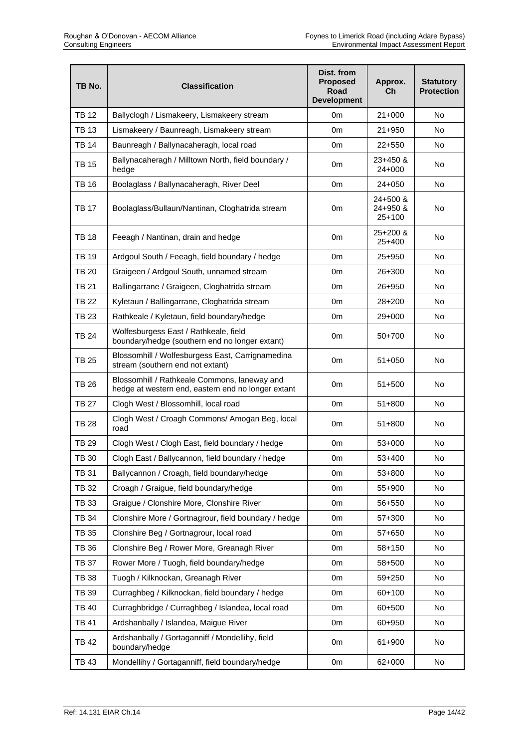| TB No.       | <b>Classification</b>                                                                              | Dist. from<br><b>Proposed</b><br><b>Road</b><br><b>Development</b> | Approx.<br>Сh                    | <b>Statutory</b><br><b>Protection</b> |
|--------------|----------------------------------------------------------------------------------------------------|--------------------------------------------------------------------|----------------------------------|---------------------------------------|
| <b>TB 12</b> | Ballyclogh / Lismakeery, Lismakeery stream                                                         | 0m                                                                 | $21+000$                         | <b>No</b>                             |
| <b>TB 13</b> | Lismakeery / Baunreagh, Lismakeery stream                                                          | 0m                                                                 | 21+950                           | <b>No</b>                             |
| <b>TB 14</b> | Baunreagh / Ballynacaheragh, local road                                                            | 0m                                                                 | $22+550$                         | No                                    |
| <b>TB 15</b> | Ballynacaheragh / Milltown North, field boundary /<br>hedge                                        | 0 <sub>m</sub>                                                     | 23+450 &<br>24+000               | No                                    |
| <b>TB 16</b> | Boolaglass / Ballynacaheragh, River Deel                                                           | 0 <sub>m</sub>                                                     | $24 + 050$                       | No                                    |
| <b>TB 17</b> | Boolaglass/Bullaun/Nantinan, Cloghatrida stream                                                    | 0 <sub>m</sub>                                                     | 24+500 &<br>24+950 &<br>$25+100$ | No.                                   |
| <b>TB 18</b> | Feeagh / Nantinan, drain and hedge                                                                 | 0m                                                                 | 25+200 &<br>25+400               | No                                    |
| <b>TB 19</b> | Ardgoul South / Feeagh, field boundary / hedge                                                     | 0m                                                                 | 25+950                           | No                                    |
| <b>TB 20</b> | Graigeen / Ardgoul South, unnamed stream                                                           | 0m                                                                 | 26+300                           | No.                                   |
| TB 21        | Ballingarrane / Graigeen, Cloghatrida stream                                                       | 0m                                                                 | 26+950                           | No.                                   |
| <b>TB 22</b> | Kyletaun / Ballingarrane, Cloghatrida stream                                                       | 0 <sub>m</sub>                                                     | $28+200$                         | No                                    |
| <b>TB 23</b> | Rathkeale / Kyletaun, field boundary/hedge                                                         | 0 <sub>m</sub>                                                     | 29+000                           | No.                                   |
| <b>TB 24</b> | Wolfesburgess East / Rathkeale, field<br>boundary/hedge (southern end no longer extant)            | 0 <sub>m</sub>                                                     | 50+700                           | No.                                   |
| <b>TB 25</b> | Blossomhill / Wolfesburgess East, Carrignamedina<br>stream (southern end not extant)               | 0 <sub>m</sub>                                                     | $51 + 050$                       | No                                    |
| <b>TB 26</b> | Blossomhill / Rathkeale Commons, laneway and<br>hedge at western end, eastern end no longer extant | 0 <sub>m</sub>                                                     | $51 + 500$                       | No                                    |
| <b>TB 27</b> | Clogh West / Blossomhill, local road                                                               | 0m                                                                 | 51+800                           | No                                    |
| <b>TB 28</b> | Clogh West / Croagh Commons/ Amogan Beg, local<br>road                                             | 0m                                                                 | $51 + 800$                       | No                                    |
| <b>TB 29</b> | Clogh West / Clogh East, field boundary / hedge                                                    | 0 <sub>m</sub>                                                     | $53+000$                         | No                                    |
| <b>TB 30</b> | Clogh East / Ballycannon, field boundary / hedge                                                   | 0m                                                                 | 53+400                           | No                                    |
| <b>TB 31</b> | Ballycannon / Croagh, field boundary/hedge                                                         | 0m                                                                 | 53+800                           | No                                    |
| <b>TB 32</b> | Croagh / Graigue, field boundary/hedge                                                             | 0 <sub>m</sub>                                                     | 55+900                           | No.                                   |
| <b>TB 33</b> | Graigue / Clonshire More, Clonshire River                                                          | 0 <sub>m</sub>                                                     | 56+550                           | No                                    |
| <b>TB 34</b> | Clonshire More / Gortnagrour, field boundary / hedge                                               | 0m                                                                 | 57+300                           | No.                                   |
| TB 35        | Clonshire Beg / Gortnagrour, local road                                                            | 0m                                                                 | 57+650                           | No.                                   |
| <b>TB 36</b> | Clonshire Beg / Rower More, Greanagh River                                                         | 0 <sub>m</sub>                                                     | 58+150                           | No                                    |
| <b>TB 37</b> | Rower More / Tuogh, field boundary/hedge                                                           | 0 <sub>m</sub>                                                     | 58+500                           | No                                    |
| <b>TB 38</b> | Tuogh / Kilknockan, Greanagh River                                                                 | 0m                                                                 | 59+250                           | No                                    |
| <b>TB 39</b> | Curraghbeg / Kilknockan, field boundary / hedge                                                    | 0m                                                                 | 60+100                           | No                                    |
| TB 40        | Curraghbridge / Curraghbeg / Islandea, local road                                                  | 0m                                                                 | 60+500                           | No.                                   |
| <b>TB 41</b> | Ardshanbally / Islandea, Maigue River                                                              | 0m                                                                 | 60+950                           | No                                    |
| <b>TB42</b>  | Ardshanbally / Gortaganniff / Mondellihy, field<br>boundary/hedge                                  | 0m                                                                 | 61+900                           | No                                    |
| TB 43        | Mondellihy / Gortaganniff, field boundary/hedge                                                    | 0m                                                                 | 62+000                           | No                                    |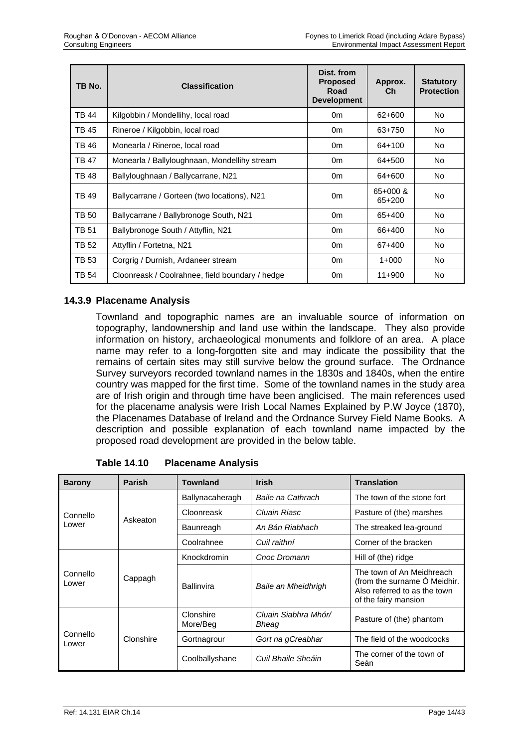| TB No.       | <b>Classification</b>                           | Dist. from<br><b>Proposed</b><br>Road<br><b>Development</b> | Approx.<br>Ch      | <b>Statutory</b><br><b>Protection</b> |
|--------------|-------------------------------------------------|-------------------------------------------------------------|--------------------|---------------------------------------|
| TB 44        | Kilgobbin / Mondellihy, local road              | 0 <sub>m</sub>                                              | 62+600             | No.                                   |
| TB 45        | Rineroe / Kilgobbin, local road                 | 0 <sub>m</sub>                                              | 63+750             | No.                                   |
| TB 46        | Monearla / Rineroe, local road                  | 0 <sub>m</sub>                                              | $64 + 100$         | No.                                   |
| <b>TB47</b>  | Monearla / Ballyloughnaan, Mondellihy stream    | 0m                                                          | 64+500             | No.                                   |
| TB 48        | Ballyloughnaan / Ballycarrane, N21              | 0m                                                          | 64+600             | No.                                   |
| TB 49        | Ballycarrane / Gorteen (two locations), N21     | 0 <sub>m</sub>                                              | 65+000 &<br>65+200 | No.                                   |
| <b>TB 50</b> | Ballycarrane / Ballybronoge South, N21          | 0 <sub>m</sub>                                              | 65+400             | No.                                   |
| <b>TB 51</b> | Ballybronoge South / Attyflin, N21              | 0m                                                          | 66+400             | No.                                   |
| <b>TB 52</b> | Attyflin / Fortetna, N21                        | 0 <sub>m</sub>                                              | 67+400             | No.                                   |
| TB 53        | Corgrig / Durnish, Ardaneer stream              | 0 <sub>m</sub>                                              | $1+000$            | No.                                   |
| TB 54        | Cloonreask / Coolrahnee, field boundary / hedge | 0 <sub>m</sub>                                              | $11+900$           | No                                    |

## **14.3.9 Placename Analysis**

Townland and topographic names are an invaluable source of information on topography, landownership and land use within the landscape. They also provide information on history, archaeological monuments and folklore of an area. A place name may refer to a long-forgotten site and may indicate the possibility that the remains of certain sites may still survive below the ground surface. The Ordnance Survey surveyors recorded townland names in the 1830s and 1840s, when the entire country was mapped for the first time. Some of the townland names in the study area are of Irish origin and through time have been anglicised. The main references used for the placename analysis were Irish Local Names Explained by P.W Joyce (1870), the Placenames Database of Ireland and the Ordnance Survey Field Name Books. A description and possible explanation of each townland name impacted by the proposed road development are provided in the below table.

| <b>Barony</b>     | Parish    | <b>Townland</b>       | <b>Irish</b>                  | <b>Translation</b>                                                                                                |
|-------------------|-----------|-----------------------|-------------------------------|-------------------------------------------------------------------------------------------------------------------|
|                   |           | Ballynacaheragh       | Baile na Cathrach             | The town of the stone fort                                                                                        |
| Connello          | Askeaton  | Cloonreask            | Cluain Riasc                  | Pasture of (the) marshes                                                                                          |
| Lower             |           | Baunreagh             | An Bán Riabhach               | The streaked lea-ground                                                                                           |
|                   |           | Coolrahnee            | Cuil raithní                  | Corner of the bracken                                                                                             |
| Connello<br>Lower | Cappagh   | Knockdromin           | Cnoc Dromann                  | Hill of (the) ridge                                                                                               |
|                   |           | <b>Ballinvira</b>     | Baile an Mheidhrigh           | The town of An Meidhreach<br>(from the surname O Meidhir.<br>Also referred to as the town<br>of the fairy mansion |
|                   |           | Clonshire<br>More/Beg | Cluain Siabhra Mhór/<br>Bheag | Pasture of (the) phantom                                                                                          |
| Connello<br>Lower | Clonshire | Gortnagrour           | Gort na gCreabhar             | The field of the woodcocks                                                                                        |
|                   |           | Coolballyshane        | Cuil Bhaile Sheáin            | The corner of the town of<br>Seán                                                                                 |

**Table 14.10 Placename Analysis**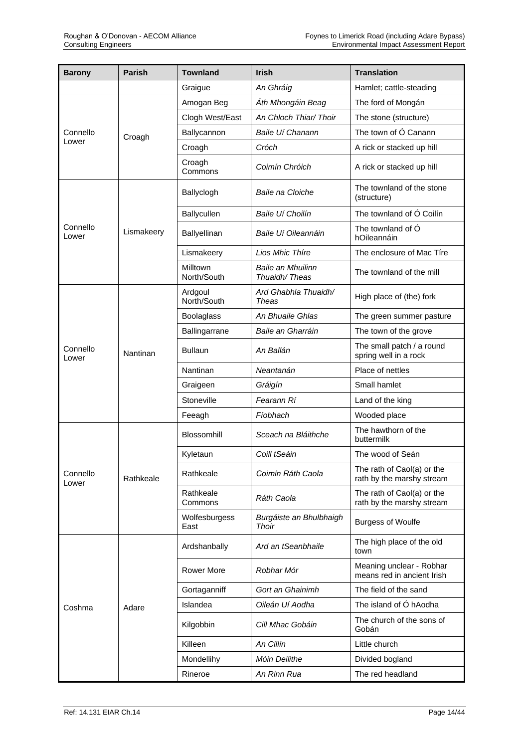| <b>Barony</b>     | <b>Parish</b> | <b>Townland</b>         | <b>Irish</b>                       | <b>Translation</b>                                      |
|-------------------|---------------|-------------------------|------------------------------------|---------------------------------------------------------|
|                   |               | Graigue                 | An Ghráig                          | Hamlet; cattle-steading                                 |
|                   |               | Amogan Beg              | Áth Mhongáin Beag                  | The ford of Mongán                                      |
|                   |               | Clogh West/East         | An Chloch Thiar/ Thoir             | The stone (structure)                                   |
| Connello          | Croagh        | Ballycannon             | Baile Uí Chanann                   | The town of O Canann                                    |
| Lower             |               | Croagh                  | Cróch                              | A rick or stacked up hill                               |
|                   |               | Croagh<br>Commons       | Coimín Chróich                     | A rick or stacked up hill                               |
|                   |               | Ballyclogh              | Baile na Cloiche                   | The townland of the stone<br>(structure)                |
|                   |               | Ballycullen             | Baile Uí Choilín                   | The townland of Ó Coilín                                |
| Connello<br>Lower | Lismakeery    | Ballyellinan            | Baile Uí Oileannáin                | The townland of O<br>hOileannáin                        |
|                   |               | Lismakeery              | Lios Mhic Thíre                    | The enclosure of Mac Tire                               |
|                   |               | Milltown<br>North/South | Baile an Mhuilinn<br>Thuaidh/Theas | The townland of the mill                                |
|                   |               | Ardgoul<br>North/South  | Ard Ghabhla Thuaidh/<br>Theas      | High place of (the) fork                                |
|                   | Nantinan      | <b>Boolaglass</b>       | An Bhuaile Ghlas                   | The green summer pasture                                |
|                   |               | Ballingarrane           | Baile an Gharráin                  | The town of the grove                                   |
| Connello<br>Lower |               | <b>Bullaun</b>          | An Ballán                          | The small patch / a round<br>spring well in a rock      |
|                   |               | Nantinan                | Neantanán                          | Place of nettles                                        |
|                   |               | Graigeen                | Gráigín                            | Small hamlet                                            |
|                   |               | Stoneville              | Fearann Rí                         | Land of the king                                        |
|                   |               | Feeagh                  | Fíobhach                           | Wooded place                                            |
|                   |               | Blossomhill             | Sceach na Bláithche                | The hawthorn of the<br>buttermilk                       |
|                   |               | Kyletaun                | Coill tSeáin                       | The wood of Seán                                        |
| Connello<br>Lower | Rathkeale     | Rathkeale               | Coimín Ráth Caola                  | The rath of Caol(a) or the<br>rath by the marshy stream |
|                   |               | Rathkeale<br>Commons    | Ráth Caola                         | The rath of Caol(a) or the<br>rath by the marshy stream |
|                   |               | Wolfesburgess<br>East   | Burgáiste an Bhulbhaigh<br>Thoir   | <b>Burgess of Woulfe</b>                                |
|                   |               | Ardshanbally            | Ard an tSeanbhaile                 | The high place of the old<br>town                       |
|                   |               | <b>Rower More</b>       | Robhar Mór                         | Meaning unclear - Robhar<br>means red in ancient Irish  |
|                   |               | Gortaganniff            | Gort an Ghainimh                   | The field of the sand                                   |
| Coshma            | Adare         | Islandea                | Oileán Uí Aodha                    | The island of O hAodha                                  |
|                   |               | Kilgobbin               | Cill Mhac Gobáin                   | The church of the sons of<br>Gobán                      |
|                   |               | Killeen                 | An Cillín                          | Little church                                           |
|                   |               | Mondellihy              | Móin Deilithe                      | Divided bogland                                         |
|                   |               | Rineroe                 | An Rinn Rua                        | The red headland                                        |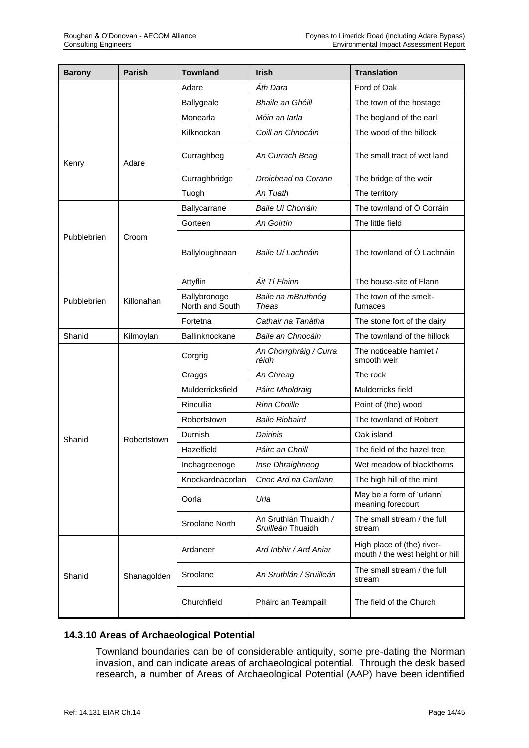| <b>Barony</b> | <b>Parish</b> | <b>Townland</b>                 | <b>Irish</b>                               | <b>Translation</b>                                            |
|---------------|---------------|---------------------------------|--------------------------------------------|---------------------------------------------------------------|
|               |               | Adare                           | Áth Dara                                   | Ford of Oak                                                   |
|               |               | Ballygeale                      | Bhaile an Ghéill                           | The town of the hostage                                       |
|               |               | Monearla                        | Móin an Iarla                              | The bogland of the earl                                       |
|               |               | Kilknockan                      | Coill an Chnocáin                          | The wood of the hillock                                       |
| Kenry         | Adare         | Curraghbeg                      | An Currach Beag                            | The small tract of wet land                                   |
|               |               | Curraghbridge                   | Droichead na Corann                        | The bridge of the weir                                        |
|               |               | Tuogh                           | An Tuath                                   | The territory                                                 |
|               |               | Ballycarrane                    | Baile Uí Chorráin                          | The townland of Ó Corráin                                     |
|               |               | Gorteen                         | An Goirtín                                 | The little field                                              |
| Pubblebrien   | Croom         | Ballyloughnaan                  | Baile Uí Lachnáin                          | The townland of Ó Lachnáin                                    |
|               |               | Attyflin                        | Áit Tí Flainn                              | The house-site of Flann                                       |
| Pubblebrien   | Killonahan    | Ballybronoge<br>North and South | Baile na mBruthnóg<br>Theas                | The town of the smelt-<br>furnaces                            |
|               |               | Fortetna                        | Cathair na Tanátha                         | The stone fort of the dairy                                   |
| Shanid        | Kilmoylan     | Ballinknockane                  | Baile an Chnocáin                          | The townland of the hillock                                   |
|               |               | Corgrig                         | An Chorrghráig / Curra<br>réidh            | The noticeable hamlet /<br>smooth weir                        |
|               |               | Craggs                          | An Chreag                                  | The rock                                                      |
|               |               | Mulderricksfield                | Páirc Mholdraig                            | Mulderricks field                                             |
|               |               | Rincullia                       | <b>Rinn Choille</b>                        | Point of (the) wood                                           |
|               |               | Robertstown                     | <b>Baile Riobaird</b>                      | The townland of Robert                                        |
| Shanid        | Robertstown   | Durnish                         | Dairinis                                   | Oak island                                                    |
|               |               | Hazelfield                      | Páirc an Choill                            | The field of the hazel tree                                   |
|               |               | Inchagreenoge                   | Inse Dhraighneog                           | Wet meadow of blackthorns                                     |
|               |               | Knockardnacorlan                | Cnoc Ard na Cartlann                       | The high hill of the mint                                     |
|               |               | Oorla                           | Urla                                       | May be a form of 'urlann'<br>meaning forecourt                |
|               |               | Sroolane North                  | An Sruthlán Thuaidh /<br>Sruilleán Thuaidh | The small stream / the full<br>stream                         |
|               |               | Ardaneer                        | Ard Inbhir / Ard Aniar                     | High place of (the) river-<br>mouth / the west height or hill |
| Shanid        | Shanagolden   | Sroolane                        | An Sruthlán / Sruilleán                    | The small stream / the full<br>stream                         |
|               |               | Churchfield                     | Pháirc an Teampaill                        | The field of the Church                                       |

# **14.3.10 Areas of Archaeological Potential**

Townland boundaries can be of considerable antiquity, some pre-dating the Norman invasion, and can indicate areas of archaeological potential. Through the desk based research, a number of Areas of Archaeological Potential (AAP) have been identified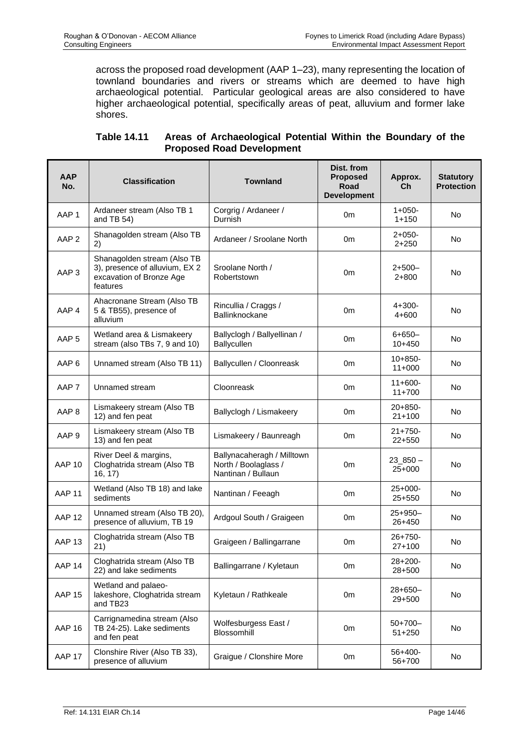across the proposed road development (AAP 1–23), many representing the location of townland boundaries and rivers or streams which are deemed to have high archaeological potential. Particular geological areas are also considered to have higher archaeological potential, specifically areas of peat, alluvium and former lake shores.

| <b>AAP</b><br>No. | <b>Classification</b>                                                                                 | <b>Townland</b>                                                          | Dist. from<br><b>Proposed</b><br>Road<br><b>Development</b> | Approx.<br>Ch             | <b>Statutory</b><br><b>Protection</b> |
|-------------------|-------------------------------------------------------------------------------------------------------|--------------------------------------------------------------------------|-------------------------------------------------------------|---------------------------|---------------------------------------|
| AAP <sub>1</sub>  | Ardaneer stream (Also TB 1<br>and TB 54)                                                              | Corgrig / Ardaneer /<br>Durnish                                          | 0 <sub>m</sub>                                              | $1+050-$<br>$1 + 150$     | No                                    |
| AAP <sub>2</sub>  | Shanagolden stream (Also TB<br>2)                                                                     | Ardaneer / Sroolane North                                                | 0m                                                          | $2+050-$<br>$2 + 250$     | No                                    |
| AAP <sub>3</sub>  | Shanagolden stream (Also TB<br>3), presence of alluvium, EX 2<br>excavation of Bronze Age<br>features | Sroolane North /<br>Robertstown                                          | 0m                                                          | 2+500-<br>$2 + 800$       | No                                    |
| AAP <sub>4</sub>  | Ahacronane Stream (Also TB<br>5 & TB55), presence of<br>alluvium                                      | Rincullia / Craggs /<br>Ballinknockane                                   | 0 <sub>m</sub>                                              | $4 + 300 -$<br>4+600      | No                                    |
| AAP <sub>5</sub>  | Wetland area & Lismakeery<br>stream (also TBs 7, 9 and 10)                                            | Ballyclogh / Ballyellinan /<br>Ballycullen                               | 0m                                                          | $6 + 650 -$<br>$10 + 450$ | No                                    |
| AAP <sub>6</sub>  | Unnamed stream (Also TB 11)                                                                           | Ballycullen / Cloonreask                                                 | 0 <sub>m</sub>                                              | $10+850-$<br>$11+000$     | No                                    |
| AAP <sub>7</sub>  | Unnamed stream                                                                                        | Cloonreask                                                               | 0m                                                          | $11+600-$<br>$11+700$     | No                                    |
| AAP <sub>8</sub>  | Lismakeery stream (Also TB<br>12) and fen peat                                                        | Ballyclogh / Lismakeery                                                  | 0m                                                          | $20+850-$<br>$21+100$     | No.                                   |
| AAP <sub>9</sub>  | Lismakeery stream (Also TB<br>13) and fen peat                                                        | Lismakeery / Baunreagh                                                   | 0 <sub>m</sub>                                              | $21+750-$<br>$22+550$     | No                                    |
| <b>AAP 10</b>     | River Deel & margins,<br>Cloghatrida stream (Also TB<br>16, 17)                                       | Ballynacaheragh / Milltown<br>North / Boolaglass /<br>Nantinan / Bullaun | 0m                                                          | $23\_850 -$<br>25+000     | No                                    |
| AAP <sub>11</sub> | Wetland (Also TB 18) and lake<br>sediments                                                            | Nantinan / Feeagh                                                        | 0 <sub>m</sub>                                              | $25+000-$<br>$25+550$     | No                                    |
| AAP <sub>12</sub> | Unnamed stream (Also TB 20),<br>presence of alluvium, TB 19                                           | Ardgoul South / Graigeen                                                 | 0 <sub>m</sub>                                              | $25+950-$<br>26+450       | No                                    |
| AAP <sub>13</sub> | Cloghatrida stream (Also TB<br>21)                                                                    | Graigeen / Ballingarrane                                                 | 0m                                                          | $26+750-$<br>27+100       | No                                    |
| AAP 14            | Cloghatrida stream (Also TB<br>22) and lake sediments                                                 | Ballingarrane / Kyletaun                                                 | 0 <sub>m</sub>                                              | 28+200-<br>28+500         | No                                    |
| <b>AAP 15</b>     | Wetland and palaeo-<br>lakeshore, Cloghatrida stream<br>and TB23                                      | Kyletaun / Rathkeale                                                     | 0 <sub>m</sub>                                              | $28+650-$<br>29+500       | No                                    |
| <b>AAP 16</b>     | Carrignamedina stream (Also<br>TB 24-25). Lake sediments<br>and fen peat                              | Wolfesburgess East /<br>Blossomhill                                      | 0 <sub>m</sub>                                              | $50+700-$<br>$51 + 250$   | No                                    |
| AAP 17            | Clonshire River (Also TB 33),<br>presence of alluvium                                                 | Graigue / Clonshire More                                                 | 0m                                                          | $56+400-$<br>56+700       | No                                    |

| Table 14.11 | Areas of Archaeological Potential Within the Boundary of the |
|-------------|--------------------------------------------------------------|
|             | <b>Proposed Road Development</b>                             |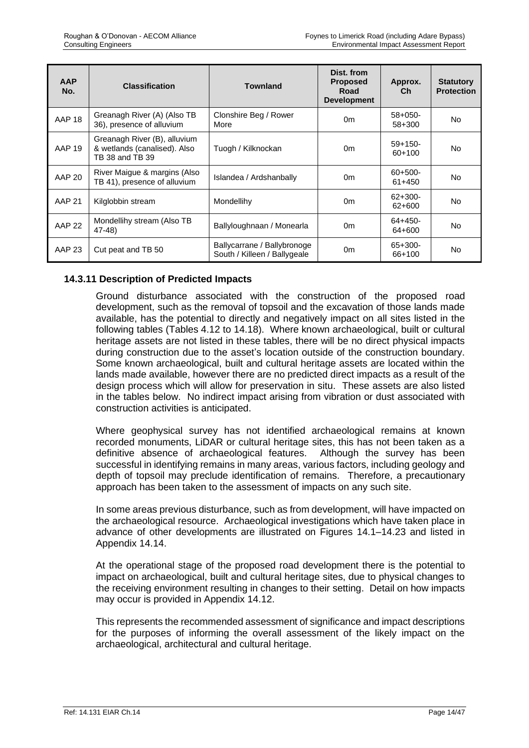| <b>AAP</b><br>No. | <b>Classification</b>                                                           | <b>Townland</b>                                             | Dist. from<br><b>Proposed</b><br>Road<br><b>Development</b> | Approx.<br>Ch           | <b>Statutory</b><br><b>Protection</b> |
|-------------------|---------------------------------------------------------------------------------|-------------------------------------------------------------|-------------------------------------------------------------|-------------------------|---------------------------------------|
| AAP <sub>18</sub> | Greanagh River (A) (Also TB<br>36), presence of alluvium                        | Clonshire Beg / Rower<br>More                               | 0m                                                          | $58+050-$<br>58+300     | N <sub>o</sub>                        |
| <b>AAP 19</b>     | Greanagh River (B), alluvium<br>& wetlands (canalised). Also<br>TB 38 and TB 39 | Tuogh / Kilknockan                                          | 0 <sub>m</sub>                                              | $59+150-$<br>$60+100$   | No.                                   |
| <b>AAP 20</b>     | River Maigue & margins (Also<br>TB 41), presence of alluvium                    | Islandea / Ardshanbally                                     | 0m                                                          | $60+500-$<br>$61 + 450$ | No                                    |
| <b>AAP 21</b>     | Kilglobbin stream                                                               | Mondellihy                                                  | 0 <sub>m</sub>                                              | $62+300-$<br>62+600     | N <sub>o</sub>                        |
| <b>AAP 22</b>     | Mondellihy stream (Also TB<br>47-48)                                            | Ballyloughnaan / Monearla                                   | 0m                                                          | $64+450-$<br>64+600     | No                                    |
| AAP 23            | Cut peat and TB 50                                                              | Ballycarrane / Ballybronoge<br>South / Killeen / Ballygeale | 0 <sub>m</sub>                                              | $65+300-$<br>66+100     | No                                    |

## **14.3.11 Description of Predicted Impacts**

Ground disturbance associated with the construction of the proposed road development, such as the removal of topsoil and the excavation of those lands made available, has the potential to directly and negatively impact on all sites listed in the following tables (Tables 4.12 to 14.18). Where known archaeological, built or cultural heritage assets are not listed in these tables, there will be no direct physical impacts during construction due to the asset's location outside of the construction boundary. Some known archaeological, built and cultural heritage assets are located within the lands made available, however there are no predicted direct impacts as a result of the design process which will allow for preservation in situ. These assets are also listed in the tables below. No indirect impact arising from vibration or dust associated with construction activities is anticipated.

Where geophysical survey has not identified archaeological remains at known recorded monuments, LiDAR or cultural heritage sites, this has not been taken as a definitive absence of archaeological features. Although the survey has been successful in identifying remains in many areas, various factors, including geology and depth of topsoil may preclude identification of remains. Therefore, a precautionary approach has been taken to the assessment of impacts on any such site.

In some areas previous disturbance, such as from development, will have impacted on the archaeological resource. Archaeological investigations which have taken place in advance of other developments are illustrated on Figures 14.1–14.23 and listed in Appendix 14.14.

At the operational stage of the proposed road development there is the potential to impact on archaeological, built and cultural heritage sites, due to physical changes to the receiving environment resulting in changes to their setting. Detail on how impacts may occur is provided in Appendix 14.12.

This represents the recommended assessment of significance and impact descriptions for the purposes of informing the overall assessment of the likely impact on the archaeological, architectural and cultural heritage.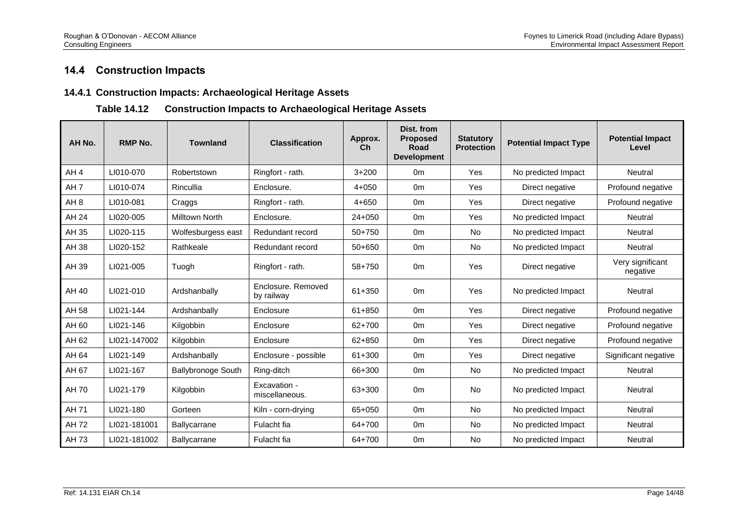# **14.4 Construction Impacts**

#### **14.4.1 Construction Impacts: Archaeological Heritage Assets**

## **Table 14.12 Construction Impacts to Archaeological Heritage Assets**

| AH No.          | <b>RMP No.</b> | <b>Townland</b>           | <b>Classification</b>            | Approx.<br>Ch | Dist. from<br><b>Proposed</b><br>Road<br><b>Development</b> | <b>Statutory</b><br><b>Protection</b> | <b>Potential Impact Type</b> | <b>Potential Impact</b><br>Level |
|-----------------|----------------|---------------------------|----------------------------------|---------------|-------------------------------------------------------------|---------------------------------------|------------------------------|----------------------------------|
| AH <sub>4</sub> | LI010-070      | Robertstown               | Ringfort - rath.                 | $3 + 200$     | 0 <sub>m</sub>                                              | Yes                                   | No predicted Impact          | Neutral                          |
| AH <sub>7</sub> | LI010-074      | Rincullia                 | Enclosure.                       | $4 + 050$     | 0 <sub>m</sub>                                              | Yes                                   | Direct negative              | Profound negative                |
| AH <sub>8</sub> | LI010-081      | Craggs                    | Ringfort - rath.                 | $4 + 650$     | 0 <sub>m</sub>                                              | Yes                                   | Direct negative              | Profound negative                |
| AH 24           | LI020-005      | Milltown North            | Enclosure.                       | $24 + 050$    | 0 <sub>m</sub>                                              | Yes                                   | No predicted Impact          | Neutral                          |
| AH 35           | LI020-115      | Wolfesburgess east        | Redundant record                 | $50+750$      | 0 <sub>m</sub>                                              | <b>No</b>                             | No predicted Impact          | Neutral                          |
| AH 38           | LI020-152      | Rathkeale                 | Redundant record                 | $50+650$      | 0 <sub>m</sub>                                              | <b>No</b>                             | No predicted Impact          | Neutral                          |
| AH 39           | LI021-005      | Tuogh                     | Ringfort - rath.                 | 58+750        | 0 <sub>m</sub>                                              | Yes                                   | Direct negative              | Very significant<br>negative     |
| AH 40           | LI021-010      | Ardshanbally              | Enclosure, Removed<br>by railway | 61+350        | 0 <sub>m</sub>                                              | Yes                                   | No predicted Impact          | Neutral                          |
| AH 58           | LI021-144      | Ardshanbally              | Enclosure                        | 61+850        | 0 <sub>m</sub>                                              | Yes                                   | Direct negative              | Profound negative                |
| AH 60           | LI021-146      | Kilgobbin                 | Enclosure                        | 62+700        | 0 <sub>m</sub>                                              | Yes                                   | Direct negative              | Profound negative                |
| AH 62           | LI021-147002   | Kilgobbin                 | Enclosure                        | 62+850        | 0 <sub>m</sub>                                              | Yes                                   | Direct negative              | Profound negative                |
| AH 64           | LI021-149      | Ardshanbally              | Enclosure - possible             | 61+300        | 0 <sub>m</sub>                                              | Yes                                   | Direct negative              | Significant negative             |
| AH 67           | LI021-167      | <b>Ballybronoge South</b> | Ring-ditch                       | 66+300        | 0 <sub>m</sub>                                              | <b>No</b>                             | No predicted Impact          | Neutral                          |
| AH 70           | LI021-179      | Kilgobbin                 | Excavation -<br>miscellaneous.   | 63+300        | 0 <sub>m</sub>                                              | No                                    | No predicted Impact          | Neutral                          |
| AH 71           | LI021-180      | Gorteen                   | Kiln - corn-drying               | 65+050        | 0 <sub>m</sub>                                              | <b>No</b>                             | No predicted Impact          | Neutral                          |
| AH 72           | LI021-181001   | Ballycarrane              | Fulacht fia                      | 64+700        | 0 <sub>m</sub>                                              | <b>No</b>                             | No predicted Impact          | Neutral                          |
| AH 73           | LI021-181002   | Ballycarrane              | Fulacht fia                      | 64+700        | 0 <sub>m</sub>                                              | <b>No</b>                             | No predicted Impact          | Neutral                          |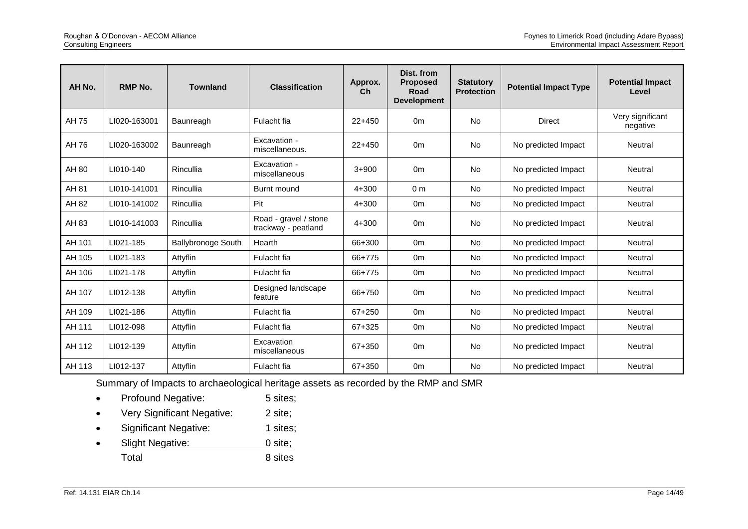| AH No. | RMP No.      | <b>Townland</b>           | <b>Classification</b>                        | Approx.<br>Ch | Dist. from<br><b>Proposed</b><br><b>Road</b><br><b>Development</b> | <b>Statutory</b><br><b>Protection</b> | <b>Potential Impact Type</b> | <b>Potential Impact</b><br>Level |
|--------|--------------|---------------------------|----------------------------------------------|---------------|--------------------------------------------------------------------|---------------------------------------|------------------------------|----------------------------------|
| AH 75  | LI020-163001 | Baunreagh                 | Fulacht fia                                  | $22+450$      | 0 <sub>m</sub>                                                     | <b>No</b>                             | <b>Direct</b>                | Very significant<br>negative     |
| AH 76  | LI020-163002 | Baunreagh                 | Excavation -<br>miscellaneous.               | $22+450$      | 0 <sub>m</sub>                                                     | <b>No</b>                             | No predicted Impact          | Neutral                          |
| AH 80  | LI010-140    | Rincullia                 | Excavation -<br>miscellaneous                | $3 + 900$     | 0 <sub>m</sub>                                                     | <b>No</b>                             | No predicted Impact          | Neutral                          |
| AH 81  | LI010-141001 | Rincullia                 | Burnt mound                                  | $4 + 300$     | 0 <sub>m</sub>                                                     | <b>No</b>                             | No predicted Impact          | Neutral                          |
| AH 82  | LI010-141002 | Rincullia                 | Pit                                          | $4 + 300$     | 0 <sub>m</sub>                                                     | <b>No</b>                             | No predicted Impact          | Neutral                          |
| AH 83  | LI010-141003 | Rincullia                 | Road - gravel / stone<br>trackway - peatland | $4 + 300$     | 0 <sub>m</sub>                                                     | <b>No</b>                             | No predicted Impact          | Neutral                          |
| AH 101 | LI021-185    | <b>Ballybronoge South</b> | Hearth                                       | 66+300        | 0 <sub>m</sub>                                                     | No                                    | No predicted Impact          | Neutral                          |
| AH 105 | LI021-183    | Attyflin                  | Fulacht fia                                  | 66+775        | 0 <sub>m</sub>                                                     | <b>No</b>                             | No predicted Impact          | Neutral                          |
| AH 106 | LI021-178    | Attyflin                  | Fulacht fia                                  | 66+775        | 0 <sub>m</sub>                                                     | <b>No</b>                             | No predicted Impact          | Neutral                          |
| AH 107 | LI012-138    | Attyflin                  | Designed landscape<br>feature                | 66+750        | 0 <sub>m</sub>                                                     | <b>No</b>                             | No predicted Impact          | Neutral                          |
| AH 109 | LI021-186    | Attyflin                  | Fulacht fia                                  | 67+250        | 0 <sub>m</sub>                                                     | <b>No</b>                             | No predicted Impact          | Neutral                          |
| AH 111 | LI012-098    | Attyflin                  | Fulacht fia                                  | 67+325        | 0 <sub>m</sub>                                                     | <b>No</b>                             | No predicted Impact          | Neutral                          |
| AH 112 | LI012-139    | Attyflin                  | Excavation<br>miscellaneous                  | 67+350        | 0 <sub>m</sub>                                                     | <b>No</b>                             | No predicted Impact          | Neutral                          |
| AH 113 | LI012-137    | Attyflin                  | Fulacht fia                                  | 67+350        | 0 <sub>m</sub>                                                     | No                                    | No predicted Impact          | Neutral                          |

Summary of Impacts to archaeological heritage assets as recorded by the RMP and SMR

- Profound Negative: 5 sites;
- Very Significant Negative: 2 site;
- Significant Negative: 1 sites;
- Slight Negative: 0 site; Total 8 sites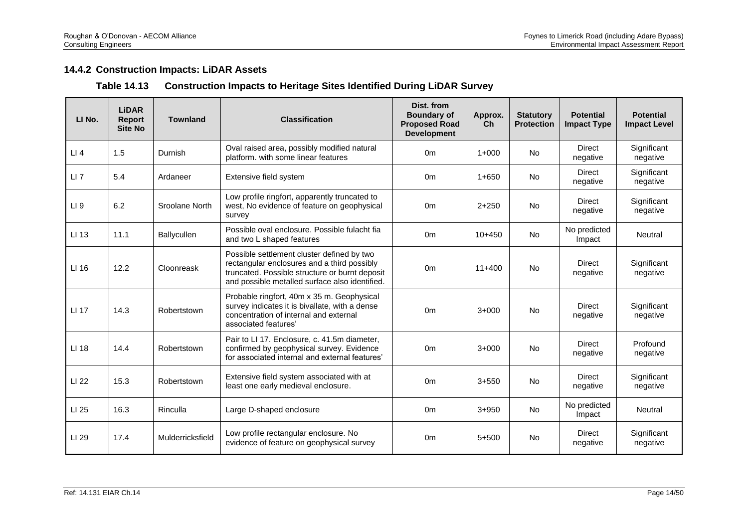# **14.4.2 Construction Impacts: LiDAR Assets**

## **Table 14.13 Construction Impacts to Heritage Sites Identified During LiDAR Survey**

| LI No.          | <b>LiDAR</b><br><b>Report</b><br><b>Site No</b> | <b>Townland</b>  | <b>Classification</b>                                                                                                                                                                         | Dist. from<br><b>Boundary of</b><br><b>Proposed Road</b><br><b>Development</b> | Approx.<br>Ch | <b>Statutory</b><br><b>Protection</b> | <b>Potential</b><br><b>Impact Type</b> | <b>Potential</b><br><b>Impact Level</b> |
|-----------------|-------------------------------------------------|------------------|-----------------------------------------------------------------------------------------------------------------------------------------------------------------------------------------------|--------------------------------------------------------------------------------|---------------|---------------------------------------|----------------------------------------|-----------------------------------------|
| LI4             | 1.5                                             | Durnish          | Oval raised area, possibly modified natural<br>platform. with some linear features                                                                                                            | 0 <sub>m</sub>                                                                 | $1+000$       | <b>No</b>                             | <b>Direct</b><br>negative              | Significant<br>negative                 |
| $LI$ $7$        | 5.4                                             | Ardaneer         | Extensive field system                                                                                                                                                                        | 0 <sub>m</sub>                                                                 | $1 + 650$     | <b>No</b>                             | <b>Direct</b><br>negative              | Significant<br>negative                 |
| LI <sub>9</sub> | 6.2                                             | Sroolane North   | Low profile ringfort, apparently truncated to<br>west, No evidence of feature on geophysical<br>survey                                                                                        | 0 <sub>m</sub>                                                                 | $2 + 250$     | <b>No</b>                             | <b>Direct</b><br>negative              | Significant<br>negative                 |
| LI 13           | 11.1                                            | Ballycullen      | Possible oval enclosure. Possible fulacht fia<br>and two L shaped features                                                                                                                    | 0 <sub>m</sub>                                                                 | $10+450$      | <b>No</b>                             | No predicted<br>Impact                 | Neutral                                 |
| LI 16           | 12.2                                            | Cloonreask       | Possible settlement cluster defined by two<br>rectangular enclosures and a third possibly<br>truncated. Possible structure or burnt deposit<br>and possible metalled surface also identified. | 0 <sub>m</sub>                                                                 | $11+400$      | <b>No</b>                             | <b>Direct</b><br>negative              | Significant<br>negative                 |
| LI 17           | 14.3                                            | Robertstown      | Probable ringfort, 40m x 35 m. Geophysical<br>survey indicates it is bivallate, with a dense<br>concentration of internal and external<br>associated features'                                | 0 <sub>m</sub>                                                                 | $3+000$       | <b>No</b>                             | Direct<br>negative                     | Significant<br>negative                 |
| LI 18           | 14.4                                            | Robertstown      | Pair to LI 17. Enclosure, c. 41.5m diameter,<br>confirmed by geophysical survey. Evidence<br>for associated internal and external features'                                                   | 0 <sub>m</sub>                                                                 | $3+000$       | <b>No</b>                             | Direct<br>negative                     | Profound<br>negative                    |
| LI 22           | 15.3                                            | Robertstown      | Extensive field system associated with at<br>least one early medieval enclosure.                                                                                                              | 0 <sub>m</sub>                                                                 | $3 + 550$     | <b>No</b>                             | <b>Direct</b><br>negative              | Significant<br>negative                 |
| LI 25           | 16.3                                            | Rinculla         | Large D-shaped enclosure                                                                                                                                                                      | 0 <sub>m</sub>                                                                 | $3 + 950$     | <b>No</b>                             | No predicted<br>Impact                 | Neutral                                 |
| LI 29           | 17.4                                            | Mulderricksfield | Low profile rectangular enclosure. No<br>evidence of feature on geophysical survey                                                                                                            | 0 <sub>m</sub>                                                                 | $5 + 500$     | <b>No</b>                             | <b>Direct</b><br>negative              | Significant<br>negative                 |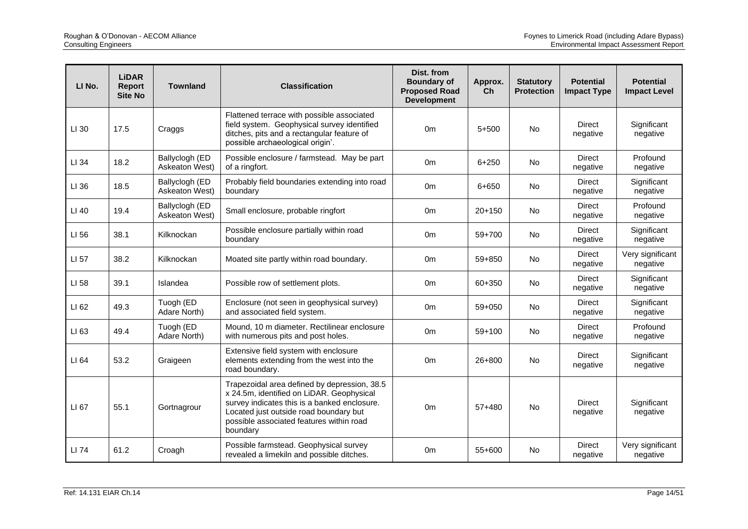| LI No. | <b>LiDAR</b><br><b>Report</b><br><b>Site No</b> | <b>Townland</b>                  | <b>Classification</b>                                                                                                                                                                                                                       | Dist. from<br><b>Boundary of</b><br><b>Proposed Road</b><br><b>Development</b> | Approx.<br>Ch | <b>Statutory</b><br><b>Protection</b> | <b>Potential</b><br><b>Impact Type</b> | <b>Potential</b><br><b>Impact Level</b> |
|--------|-------------------------------------------------|----------------------------------|---------------------------------------------------------------------------------------------------------------------------------------------------------------------------------------------------------------------------------------------|--------------------------------------------------------------------------------|---------------|---------------------------------------|----------------------------------------|-----------------------------------------|
| LI 30  | 17.5                                            | Craggs                           | Flattened terrace with possible associated<br>field system. Geophysical survey identified<br>ditches, pits and a rectangular feature of<br>possible archaeological origin'.                                                                 | 0 <sub>m</sub>                                                                 | $5 + 500$     | <b>No</b>                             | <b>Direct</b><br>negative              | Significant<br>negative                 |
| LI 34  | 18.2                                            | Ballyclogh (ED<br>Askeaton West) | Possible enclosure / farmstead. May be part<br>of a ringfort.                                                                                                                                                                               | 0 <sub>m</sub>                                                                 | $6 + 250$     | No                                    | <b>Direct</b><br>negative              | Profound<br>negative                    |
| LI 36  | 18.5                                            | Ballyclogh (ED<br>Askeaton West) | Probably field boundaries extending into road<br>boundary                                                                                                                                                                                   | 0 <sub>m</sub>                                                                 | 6+650         | No                                    | <b>Direct</b><br>negative              | Significant<br>negative                 |
| LI 40  | 19.4                                            | Ballyclogh (ED<br>Askeaton West) | Small enclosure, probable ringfort                                                                                                                                                                                                          | 0 <sub>m</sub>                                                                 | $20+150$      | <b>No</b>                             | <b>Direct</b><br>negative              | Profound<br>negative                    |
| LI 56  | 38.1                                            | Kilknockan                       | Possible enclosure partially within road<br>boundary                                                                                                                                                                                        | 0 <sub>m</sub>                                                                 | 59+700        | <b>No</b>                             | <b>Direct</b><br>negative              | Significant<br>negative                 |
| LI 57  | 38.2                                            | Kilknockan                       | Moated site partly within road boundary.                                                                                                                                                                                                    | 0m                                                                             | 59+850        | <b>No</b>                             | Direct<br>negative                     | Very significant<br>negative            |
| LI 58  | 39.1                                            | Islandea                         | Possible row of settlement plots.                                                                                                                                                                                                           | 0 <sub>m</sub>                                                                 | 60+350        | No                                    | <b>Direct</b><br>negative              | Significant<br>negative                 |
| LI 62  | 49.3                                            | Tuogh (ED<br>Adare North)        | Enclosure (not seen in geophysical survey)<br>and associated field system.                                                                                                                                                                  | 0 <sub>m</sub>                                                                 | 59+050        | No                                    | <b>Direct</b><br>negative              | Significant<br>negative                 |
| LI 63  | 49.4                                            | Tuogh (ED<br>Adare North)        | Mound. 10 m diameter. Rectilinear enclosure<br>with numerous pits and post holes.                                                                                                                                                           | 0 <sub>m</sub>                                                                 | $59+100$      | <b>No</b>                             | <b>Direct</b><br>negative              | Profound<br>negative                    |
| LI 64  | 53.2                                            | Graigeen                         | Extensive field system with enclosure<br>elements extending from the west into the<br>road boundary.                                                                                                                                        | 0 <sub>m</sub>                                                                 | 26+800        | <b>No</b>                             | Direct<br>negative                     | Significant<br>negative                 |
| LI 67  | 55.1                                            | Gortnagrour                      | Trapezoidal area defined by depression, 38.5<br>x 24.5m, identified on LiDAR. Geophysical<br>survey indicates this is a banked enclosure.<br>Located just outside road boundary but<br>possible associated features within road<br>boundary | 0 <sub>m</sub>                                                                 | $57 + 480$    | No                                    | Direct<br>negative                     | Significant<br>negative                 |
| LI 74  | 61.2                                            | Croagh                           | Possible farmstead. Geophysical survey<br>revealed a limekiln and possible ditches.                                                                                                                                                         | 0m                                                                             | 55+600        | <b>No</b>                             | <b>Direct</b><br>negative              | Very significant<br>negative            |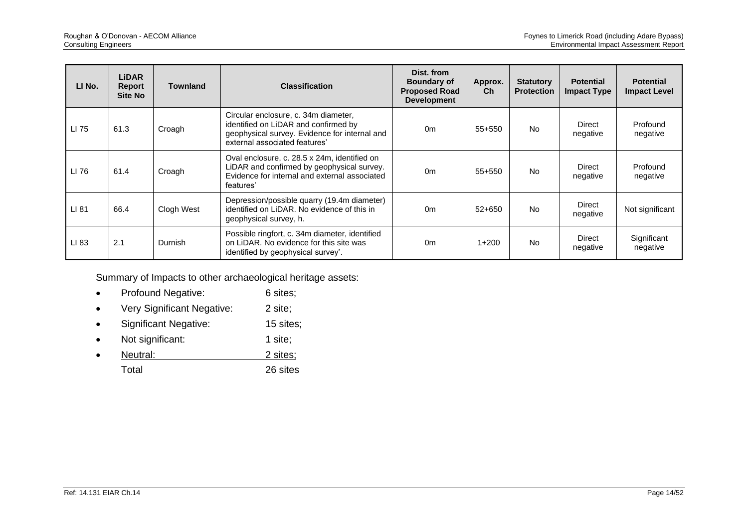| LI No. | <b>LiDAR</b><br><b>Report</b><br>Site No | <b>Townland</b> | <b>Classification</b>                                                                                                                                          | Dist. from<br><b>Boundary of</b><br><b>Proposed Road</b><br><b>Development</b> | Approx.<br>Ch | <b>Statutory</b><br><b>Protection</b> | <b>Potential</b><br><b>Impact Type</b> | <b>Potential</b><br><b>Impact Level</b> |
|--------|------------------------------------------|-----------------|----------------------------------------------------------------------------------------------------------------------------------------------------------------|--------------------------------------------------------------------------------|---------------|---------------------------------------|----------------------------------------|-----------------------------------------|
| LI 75  | 61.3                                     | Croagh          | Circular enclosure, c. 34m diameter,<br>identified on LiDAR and confirmed by<br>geophysical survey. Evidence for internal and<br>external associated features' | 0 <sub>m</sub>                                                                 | 55+550        | <b>No</b>                             | Direct<br>negative                     | Profound<br>negative                    |
| LI 76  | 61.4                                     | Croagh          | Oval enclosure, c. 28.5 x 24m, identified on<br>LiDAR and confirmed by geophysical survey.<br>Evidence for internal and external associated<br>features'       | 0 <sub>m</sub>                                                                 | 55+550        | <b>No</b>                             | Direct<br>negative                     | Profound<br>negative                    |
| LI 81  | 66.4                                     | Clogh West      | Depression/possible quarry (19.4m diameter)<br>identified on LiDAR. No evidence of this in<br>geophysical survey, h.                                           | 0 <sub>m</sub>                                                                 | $52+650$      | <b>No</b>                             | Direct<br>negative                     | Not significant                         |
| LI 83  | 2.1                                      | Durnish         | Possible ringfort, c. 34m diameter, identified<br>on LiDAR. No evidence for this site was<br>identified by geophysical survey'.                                | 0 <sub>m</sub>                                                                 | $1+200$       | N <sub>0</sub>                        | Direct<br>negative                     | Significant<br>negative                 |

Summary of Impacts to other archaeological heritage assets:

- Profound Negative: 6 sites;
- Very Significant Negative: 2 site;
- Significant Negative: 15 sites;
- Not significant: 1 site;
- Neutral: 2 sites; Total 26 sites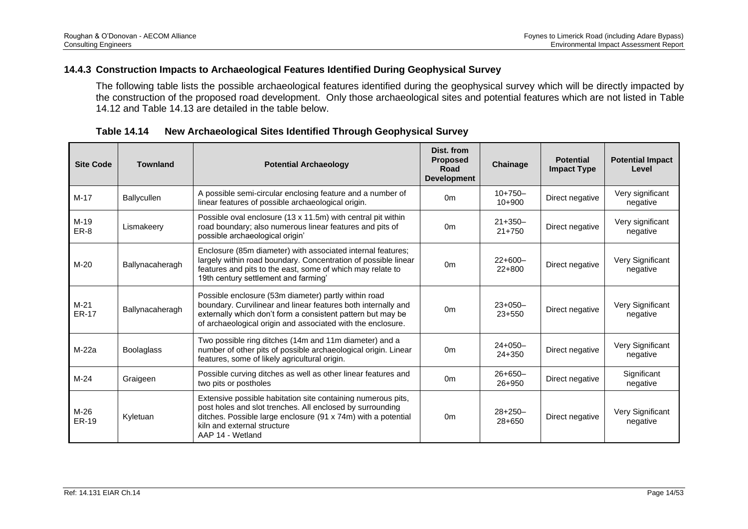### **14.4.3 Construction Impacts to Archaeological Features Identified During Geophysical Survey**

The following table lists the possible archaeological features identified during the geophysical survey which will be directly impacted by the construction of the proposed road development. Only those archaeological sites and potential features which are not listed in Table 14.12 and Table 14.13 are detailed in the table below.

| <b>Site Code</b>       | <b>Townland</b>   | <b>Potential Archaeology</b>                                                                                                                                                                                                                        | Dist. from<br><b>Proposed</b><br>Road<br><b>Development</b> | Chainage               | <b>Potential</b><br><b>Impact Type</b> | <b>Potential Impact</b><br>Level |
|------------------------|-------------------|-----------------------------------------------------------------------------------------------------------------------------------------------------------------------------------------------------------------------------------------------------|-------------------------------------------------------------|------------------------|----------------------------------------|----------------------------------|
| $M-17$                 | Ballycullen       | A possible semi-circular enclosing feature and a number of<br>linear features of possible archaeological origin.                                                                                                                                    | 0 <sub>m</sub>                                              | $10+750-$<br>$10+900$  | Direct negative                        | Very significant<br>negative     |
| M-19<br>ER-8           | Lismakeery        | Possible oval enclosure (13 x 11.5m) with central pit within<br>road boundary; also numerous linear features and pits of<br>possible archaeological origin'                                                                                         | 0 <sub>m</sub>                                              | $21+350-$<br>$21+750$  | Direct negative                        | Very significant<br>negative     |
| $M-20$                 | Ballynacaheragh   | Enclosure (85m diameter) with associated internal features;<br>largely within road boundary. Concentration of possible linear<br>features and pits to the east, some of which may relate to<br>19th century settlement and farming'                 | 0 <sub>m</sub>                                              | $22+600-$<br>$22+800$  | Direct negative                        | Very Significant<br>negative     |
| $M-21$<br><b>ER-17</b> | Ballynacaheragh   | Possible enclosure (53m diameter) partly within road<br>boundary. Curvilinear and linear features both internally and<br>externally which don't form a consistent pattern but may be<br>of archaeological origin and associated with the enclosure. | 0 <sub>m</sub>                                              | $23+050-$<br>$23+550$  | Direct negative                        | Very Significant<br>negative     |
| M-22a                  | <b>Boolaglass</b> | Two possible ring ditches (14m and 11m diameter) and a<br>number of other pits of possible archaeological origin. Linear<br>features, some of likely agricultural origin.                                                                           | 0 <sub>m</sub>                                              | $24+050-$<br>24+350    | Direct negative                        | Very Significant<br>negative     |
| $M-24$                 | Graigeen          | Possible curving ditches as well as other linear features and<br>two pits or postholes                                                                                                                                                              | 0 <sub>m</sub>                                              | $26 + 650 -$<br>26+950 | Direct negative                        | Significant<br>negative          |
| $M-26$<br><b>ER-19</b> | Kyletuan          | Extensive possible habitation site containing numerous pits,<br>post holes and slot trenches. All enclosed by surrounding<br>ditches. Possible large enclosure (91 x 74m) with a potential<br>kiln and external structure<br>AAP 14 - Wetland       | 0 <sub>m</sub>                                              | $28+250-$<br>28+650    | Direct negative                        | Very Significant<br>negative     |

**Table 14.14 New Archaeological Sites Identified Through Geophysical Survey**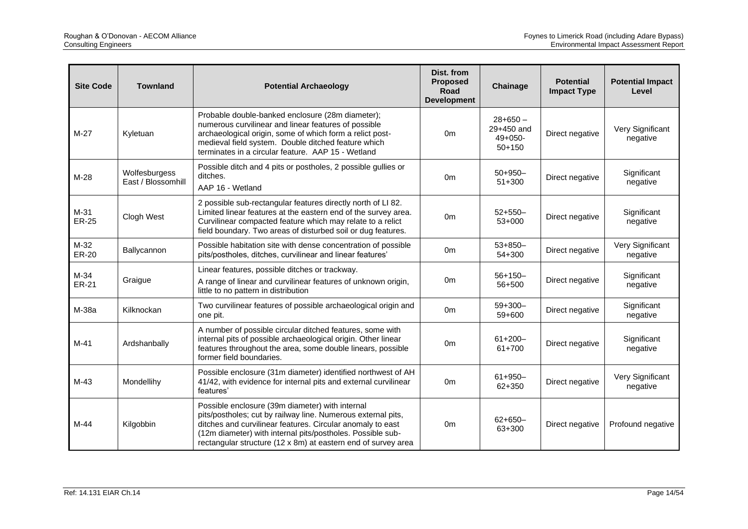| <b>Site Code</b>       | <b>Townland</b>                     | <b>Potential Archaeology</b>                                                                                                                                                                                                                                                                                 | Dist. from<br><b>Proposed</b><br><b>Road</b><br><b>Development</b> | Chainage                                           | <b>Potential</b><br><b>Impact Type</b> | <b>Potential Impact</b><br>Level |
|------------------------|-------------------------------------|--------------------------------------------------------------------------------------------------------------------------------------------------------------------------------------------------------------------------------------------------------------------------------------------------------------|--------------------------------------------------------------------|----------------------------------------------------|----------------------------------------|----------------------------------|
| $M-27$                 | Kyletuan                            | Probable double-banked enclosure (28m diameter);<br>numerous curvilinear and linear features of possible<br>archaeological origin, some of which form a relict post-<br>medieval field system. Double ditched feature which<br>terminates in a circular feature. AAP 15 - Wetland                            | 0 <sub>m</sub>                                                     | $28+650-$<br>29+450 and<br>$49+050-$<br>$50 + 150$ | Direct negative                        | Very Significant<br>negative     |
| $M-28$                 | Wolfesburgess<br>East / Blossomhill | Possible ditch and 4 pits or postholes, 2 possible gullies or<br>ditches.<br>AAP 16 - Wetland                                                                                                                                                                                                                | 0 <sub>m</sub>                                                     | $50+950-$<br>$51 + 300$                            | Direct negative                        | Significant<br>negative          |
| $M-31$<br><b>ER-25</b> | Clogh West                          | 2 possible sub-rectangular features directly north of LI 82.<br>Limited linear features at the eastern end of the survey area.<br>Curvilinear compacted feature which may relate to a relict<br>field boundary. Two areas of disturbed soil or dug features.                                                 | 0 <sub>m</sub>                                                     | $52+550-$<br>$53+000$                              | Direct negative                        | Significant<br>negative          |
| $M-32$<br>ER-20        | Ballycannon                         | Possible habitation site with dense concentration of possible<br>pits/postholes, ditches, curvilinear and linear features'                                                                                                                                                                                   | 0 <sub>m</sub>                                                     | $53 + 850 -$<br>$54 + 300$                         | Direct negative                        | Very Significant<br>negative     |
| $M-34$<br>ER-21        | Graigue                             | Linear features, possible ditches or trackway.<br>A range of linear and curvilinear features of unknown origin,<br>little to no pattern in distribution                                                                                                                                                      | 0m                                                                 | $56+150-$<br>56+500                                | Direct negative                        | Significant<br>negative          |
| M-38a                  | Kilknockan                          | Two curvilinear features of possible archaeological origin and<br>one pit.                                                                                                                                                                                                                                   | 0 <sub>m</sub>                                                     | $59+300-$<br>59+600                                | Direct negative                        | Significant<br>negative          |
| $M-41$                 | Ardshanbally                        | A number of possible circular ditched features, some with<br>internal pits of possible archaeological origin. Other linear<br>features throughout the area, some double linears, possible<br>former field boundaries.                                                                                        | 0 <sub>m</sub>                                                     | $61 + 200 -$<br>61+700                             | Direct negative                        | Significant<br>negative          |
| $M-43$                 | Mondellihy                          | Possible enclosure (31m diameter) identified northwest of AH<br>41/42, with evidence for internal pits and external curvilinear<br>features'                                                                                                                                                                 | 0 <sub>m</sub>                                                     | $61 + 950 -$<br>62+350                             | Direct negative                        | Very Significant<br>negative     |
| $M-44$                 | Kilgobbin                           | Possible enclosure (39m diameter) with internal<br>pits/postholes; cut by railway line. Numerous external pits,<br>ditches and curvilinear features. Circular anomaly to east<br>(12m diameter) with internal pits/postholes. Possible sub-<br>rectangular structure (12 x 8m) at eastern end of survey area | 0 <sub>m</sub>                                                     | $62+650-$<br>63+300                                | Direct negative                        | Profound negative                |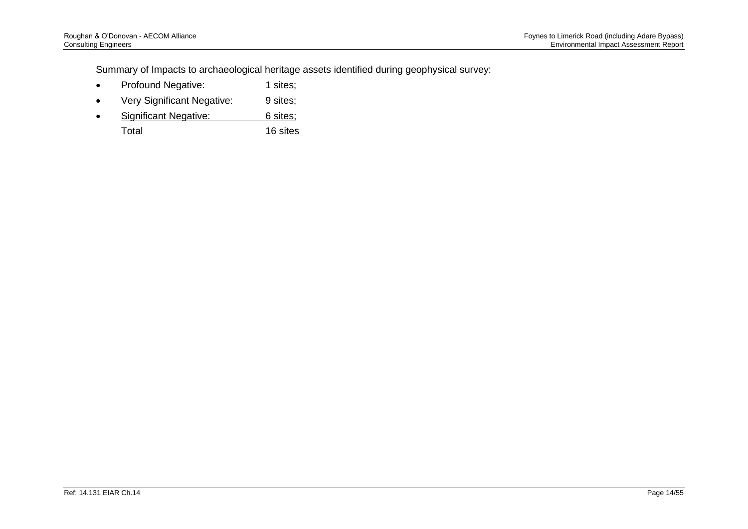Summary of Impacts to archaeological heritage assets identified during geophysical survey:

- Profound Negative: 1 sites;
- Very Significant Negative: 9 sites;
- Significant Negative: 6 sites;
	- Total 16 sites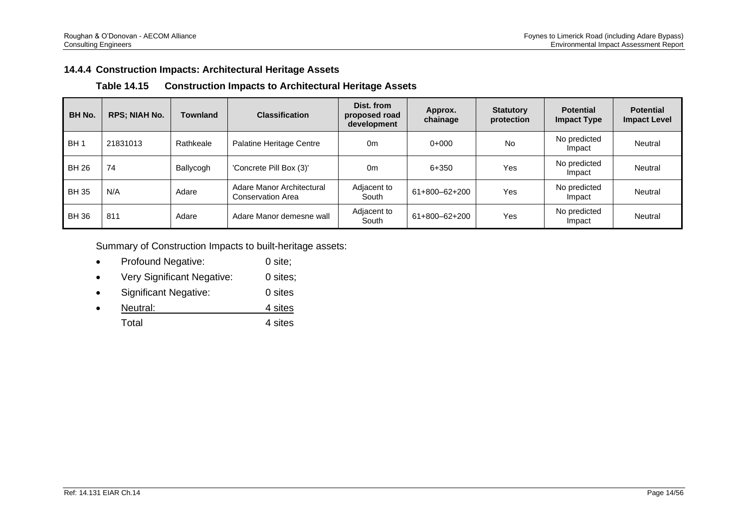## **14.4.4 Construction Impacts: Architectural Heritage Assets**

| <b>Table 14.15</b> | <b>Construction Impacts to Architectural Heritage Assets</b> |  |  |
|--------------------|--------------------------------------------------------------|--|--|
|--------------------|--------------------------------------------------------------|--|--|

| <b>BH No.</b>   | <b>RPS; NIAH No.</b> | Townland  | <b>Classification</b>                                 | Dist. from<br>proposed road<br>development | Approx.<br>chainage | <b>Statutory</b><br>protection | <b>Potential</b><br><b>Impact Type</b> | <b>Potential</b><br><b>Impact Level</b> |
|-----------------|----------------------|-----------|-------------------------------------------------------|--------------------------------------------|---------------------|--------------------------------|----------------------------------------|-----------------------------------------|
| BH <sub>1</sub> | 21831013             | Rathkeale | Palatine Heritage Centre                              | 0m                                         | $0+000$             | No                             | No predicted<br>Impact                 | Neutral                                 |
| <b>BH 26</b>    | 74                   | Ballycogh | 'Concrete Pill Box (3)'                               | 0m                                         | 6+350               | Yes                            | No predicted<br>Impact                 | Neutral                                 |
| <b>BH35</b>     | N/A                  | Adare     | Adare Manor Architectural<br><b>Conservation Area</b> | Adjacent to<br>South                       | 61+800-62+200       | Yes                            | No predicted<br>Impact                 | Neutral                                 |
| <b>BH36</b>     | 811                  | Adare     | Adare Manor demesne wall                              | Adjacent to<br>South                       | 61+800-62+200       | Yes                            | No predicted<br>Impact                 | Neutral                                 |

Summary of Construction Impacts to built-heritage assets:

- Profound Negative: 0 site;
- Very Significant Negative: 0 sites;
- Significant Negative: 0 sites
- Neutral: 4 sites Total 4 sites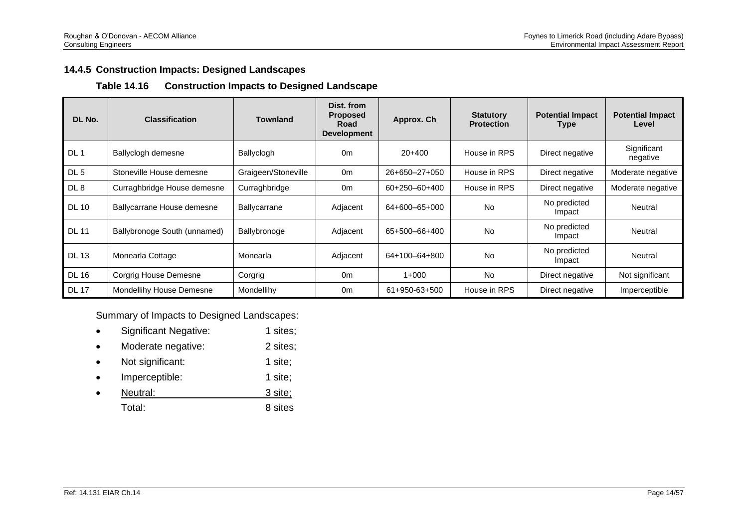## **14.4.5 Construction Impacts: Designed Landscapes**

### **Table 14.16 Construction Impacts to Designed Landscape**

| DL No.          | <b>Classification</b>        | <b>Townland</b>     | Dist. from<br><b>Proposed</b><br><b>Road</b><br><b>Development</b> | Approx. Ch    | <b>Statutory</b><br><b>Protection</b> | <b>Potential Impact</b><br>Type | <b>Potential Impact</b><br>Level |
|-----------------|------------------------------|---------------------|--------------------------------------------------------------------|---------------|---------------------------------------|---------------------------------|----------------------------------|
| DL <sub>1</sub> | Ballyclogh demesne           | Ballyclogh          | 0 <sub>m</sub>                                                     | $20+400$      | House in RPS                          | Direct negative                 | Significant<br>negative          |
| DL <sub>5</sub> | Stoneville House demesne     | Graigeen/Stoneville | 0 <sub>m</sub>                                                     | 26+650-27+050 | House in RPS                          | Direct negative                 | Moderate negative                |
| DL8             | Curraghbridge House demesne  | Curraghbridge       | 0 <sub>m</sub>                                                     | 60+250-60+400 | House in RPS                          | Direct negative                 | Moderate negative                |
| <b>DL 10</b>    | Ballycarrane House demesne   | Ballycarrane        | Adjacent                                                           | 64+600-65+000 | <b>No</b>                             | No predicted<br>Impact          | Neutral                          |
| <b>DL 11</b>    | Ballybronoge South (unnamed) | Ballybronoge        | Adjacent                                                           | 65+500-66+400 | <b>No</b>                             | No predicted<br>Impact          | Neutral                          |
| <b>DL 13</b>    | Monearla Cottage             | Monearla            | Adjacent                                                           | 64+100-64+800 | <b>No</b>                             | No predicted<br>Impact          | Neutral                          |
| <b>DL 16</b>    | Corgrig House Demesne        | Corgrig             | 0 <sub>m</sub>                                                     | $1+000$       | <b>No</b>                             | Direct negative                 | Not significant                  |
| <b>DL 17</b>    | Mondellihy House Demesne     | Mondellihy          | 0 <sub>m</sub>                                                     | 61+950-63+500 | House in RPS                          | Direct negative                 | Imperceptible                    |

Summary of Impacts to Designed Landscapes:

- Significant Negative: 1 sites;
- Moderate negative: 2 sites;
- Not significant: 1 site;
- Imperceptible: 1 site;
- **Product Algebra** 1 September 1 September 1 September 2 September 2 September 2 September 2 September 2 September 2 September 2 September 2 September 2 September 2 September 2 September 2 September 2 September 2 September

Total: 8 sites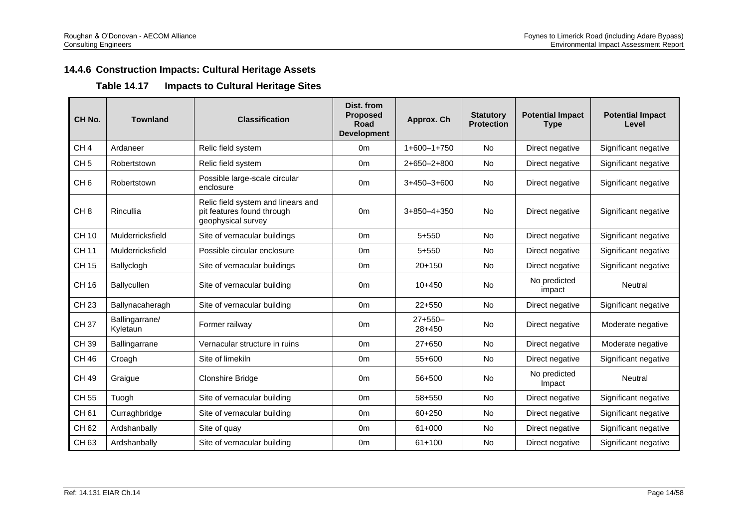# **14.4.6 Construction Impacts: Cultural Heritage Assets**

## **Table 14.17 Impacts to Cultural Heritage Sites**

| CH No.          | <b>Townland</b>            | <b>Classification</b>                                                                  | Dist. from<br><b>Proposed</b><br>Road<br><b>Development</b> | Approx. Ch            | <b>Statutory</b><br><b>Protection</b> | <b>Potential Impact</b><br><b>Type</b> | <b>Potential Impact</b><br>Level |
|-----------------|----------------------------|----------------------------------------------------------------------------------------|-------------------------------------------------------------|-----------------------|---------------------------------------|----------------------------------------|----------------------------------|
| CH <sub>4</sub> | Ardaneer                   | Relic field system                                                                     | 0 <sub>m</sub>                                              | $1+600-1+750$         | No                                    | Direct negative                        | Significant negative             |
| CH <sub>5</sub> | Robertstown                | Relic field system                                                                     | 0 <sub>m</sub>                                              | $2+650-2+800$         | No                                    | Direct negative                        | Significant negative             |
| CH <sub>6</sub> | Robertstown                | Possible large-scale circular<br>enclosure                                             | 0 <sub>m</sub>                                              | $3+450-3+600$         | <b>No</b>                             | Direct negative                        | Significant negative             |
| CH <sub>8</sub> | Rincullia                  | Relic field system and linears and<br>pit features found through<br>geophysical survey | 0 <sub>m</sub>                                              | $3+850-4+350$         | No                                    | Direct negative                        | Significant negative             |
| <b>CH 10</b>    | Mulderricksfield           | Site of vernacular buildings                                                           | 0 <sub>m</sub>                                              | $5 + 550$             | <b>No</b>                             | Direct negative                        | Significant negative             |
| <b>CH 11</b>    | Mulderricksfield           | Possible circular enclosure                                                            | 0 <sub>m</sub>                                              | $5 + 550$             | <b>No</b>                             | Direct negative                        | Significant negative             |
| <b>CH 15</b>    | Ballyclogh                 | Site of vernacular buildings                                                           | 0m                                                          | $20+150$              | No                                    | Direct negative                        | Significant negative             |
| CH 16           | Ballycullen                | Site of vernacular building                                                            | 0 <sub>m</sub>                                              | $10+450$              | <b>No</b>                             | No predicted<br>impact                 | Neutral                          |
| <b>CH 23</b>    | Ballynacaheragh            | Site of vernacular building                                                            | 0 <sub>m</sub>                                              | $22+550$              | No                                    | Direct negative                        | Significant negative             |
| <b>CH37</b>     | Ballingarrane/<br>Kyletaun | Former railway                                                                         | 0 <sub>m</sub>                                              | $27+550-$<br>$28+450$ | <b>No</b>                             | Direct negative                        | Moderate negative                |
| CH 39           | Ballingarrane              | Vernacular structure in ruins                                                          | 0 <sub>m</sub>                                              | $27 + 650$            | <b>No</b>                             | Direct negative                        | Moderate negative                |
| <b>CH 46</b>    | Croagh                     | Site of limekiln                                                                       | 0 <sub>m</sub>                                              | 55+600                | <b>No</b>                             | Direct negative                        | Significant negative             |
| CH 49           | Graigue                    | Clonshire Bridge                                                                       | 0 <sub>m</sub>                                              | 56+500                | <b>No</b>                             | No predicted<br>Impact                 | Neutral                          |
| <b>CH 55</b>    | Tuogh                      | Site of vernacular building                                                            | 0 <sub>m</sub>                                              | 58+550                | <b>No</b>                             | Direct negative                        | Significant negative             |
| CH 61           | Curraghbridge              | Site of vernacular building                                                            | 0 <sub>m</sub>                                              | 60+250                | <b>No</b>                             | Direct negative                        | Significant negative             |
| CH 62           | Ardshanbally               | Site of quay                                                                           | 0 <sub>m</sub>                                              | $61+000$              | <b>No</b>                             | Direct negative                        | Significant negative             |
| CH 63           | Ardshanbally               | Site of vernacular building                                                            | 0 <sub>m</sub>                                              | $61 + 100$            | No                                    | Direct negative                        | Significant negative             |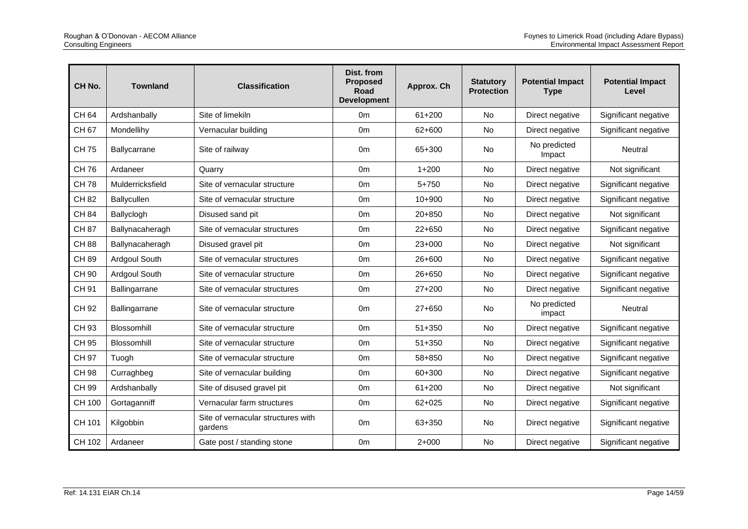| CH <sub>No.</sub> | <b>Townland</b>    | <b>Classification</b>                         | Dist. from<br><b>Proposed</b><br><b>Road</b><br><b>Development</b> | Approx. Ch | <b>Statutory</b><br><b>Protection</b> | <b>Potential Impact</b><br><b>Type</b> | <b>Potential Impact</b><br>Level |
|-------------------|--------------------|-----------------------------------------------|--------------------------------------------------------------------|------------|---------------------------------------|----------------------------------------|----------------------------------|
| CH 64             | Ardshanbally       | Site of limekiln                              | 0 <sub>m</sub>                                                     | $61 + 200$ | <b>No</b>                             | Direct negative                        | Significant negative             |
| <b>CH67</b>       | Mondellihy         | Vernacular building                           | 0 <sub>m</sub>                                                     | 62+600     | <b>No</b>                             | Direct negative                        | Significant negative             |
| <b>CH75</b>       | Ballycarrane       | Site of railway                               | 0 <sub>m</sub>                                                     | 65+300     | <b>No</b>                             | No predicted<br>Impact                 | <b>Neutral</b>                   |
| <b>CH76</b>       | Ardaneer           | Quarry                                        | 0 <sub>m</sub>                                                     | $1 + 200$  | <b>No</b>                             | Direct negative                        | Not significant                  |
| <b>CH78</b>       | Mulderricksfield   | Site of vernacular structure                  | 0m                                                                 | $5 + 750$  | <b>No</b>                             | Direct negative                        | Significant negative             |
| <b>CH 82</b>      | <b>Ballycullen</b> | Site of vernacular structure                  | 0m                                                                 | $10 + 900$ | No                                    | Direct negative                        | Significant negative             |
| <b>CH 84</b>      | Ballyclogh         | Disused sand pit                              | 0m                                                                 | $20 + 850$ | <b>No</b>                             | Direct negative                        | Not significant                  |
| <b>CH 87</b>      | Ballynacaheragh    | Site of vernacular structures                 | 0 <sub>m</sub>                                                     | $22+650$   | No                                    | Direct negative                        | Significant negative             |
| <b>CH 88</b>      | Ballynacaheragh    | Disused gravel pit                            | 0m                                                                 | $23+000$   | <b>No</b>                             | Direct negative                        | Not significant                  |
| <b>CH 89</b>      | Ardgoul South      | Site of vernacular structures                 | 0 <sub>m</sub>                                                     | $26 + 600$ | <b>No</b>                             | Direct negative                        | Significant negative             |
| CH 90             | Ardgoul South      | Site of vernacular structure                  | 0 <sub>m</sub>                                                     | 26+650     | No                                    | Direct negative                        | Significant negative             |
| CH 91             | Ballingarrane      | Site of vernacular structures                 | 0 <sub>m</sub>                                                     | $27+200$   | No                                    | Direct negative                        | Significant negative             |
| CH 92             | Ballingarrane      | Site of vernacular structure                  | 0 <sub>m</sub>                                                     | $27+650$   | <b>No</b>                             | No predicted<br>impact                 | Neutral                          |
| CH 93             | Blossomhill        | Site of vernacular structure                  | 0m                                                                 | $51 + 350$ | No                                    | Direct negative                        | Significant negative             |
| CH 95             | Blossomhill        | Site of vernacular structure                  | 0 <sub>m</sub>                                                     | $51 + 350$ | <b>No</b>                             | Direct negative                        | Significant negative             |
| CH 97             | Tuogh              | Site of vernacular structure                  | 0 <sub>m</sub>                                                     | 58+850     | No                                    | Direct negative                        | Significant negative             |
| <b>CH 98</b>      | Curraghbeg         | Site of vernacular building                   | 0m                                                                 | 60+300     | <b>No</b>                             | Direct negative                        | Significant negative             |
| CH 99             | Ardshanbally       | Site of disused gravel pit                    | 0 <sub>m</sub>                                                     | $61 + 200$ | <b>No</b>                             | Direct negative                        | Not significant                  |
| CH 100            | Gortaganniff       | Vernacular farm structures                    | 0 <sub>m</sub>                                                     | $62 + 025$ | No                                    | Direct negative                        | Significant negative             |
| CH 101            | Kilgobbin          | Site of vernacular structures with<br>aardens | 0 <sub>m</sub>                                                     | 63+350     | <b>No</b>                             | Direct negative                        | Significant negative             |
| CH 102            | Ardaneer           | Gate post / standing stone                    | 0 <sub>m</sub>                                                     | $2+000$    | <b>No</b>                             | Direct negative                        | Significant negative             |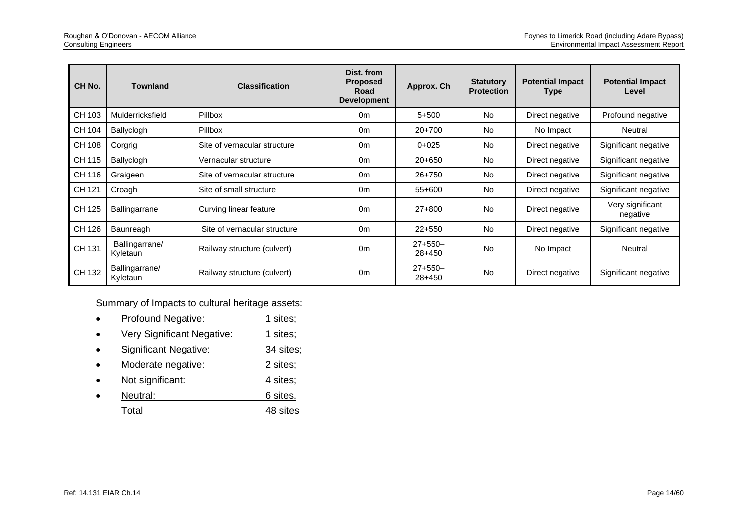| CH No.        | <b>Townland</b>            | <b>Classification</b>        | Dist. from<br><b>Proposed</b><br>Road<br><b>Development</b> | Approx. Ch          | <b>Statutory</b><br><b>Protection</b> | <b>Potential Impact</b><br>Type | <b>Potential Impact</b><br>Level |
|---------------|----------------------------|------------------------------|-------------------------------------------------------------|---------------------|---------------------------------------|---------------------------------|----------------------------------|
| CH 103        | Mulderricksfield           | <b>Pillbox</b>               | 0 <sub>m</sub>                                              | $5 + 500$           | <b>No</b>                             | Direct negative                 | Profound negative                |
| CH 104        | Ballyclogh                 | Pillbox                      | 0 <sub>m</sub>                                              | $20+700$            | No                                    | No Impact                       | Neutral                          |
| <b>CH 108</b> | Corgrig                    | Site of vernacular structure | 0 <sub>m</sub>                                              | $0+025$             | <b>No</b>                             | Direct negative                 | Significant negative             |
| CH 115        | Ballyclogh                 | Vernacular structure         | 0 <sub>m</sub>                                              | $20+650$            | <b>No</b>                             | Direct negative                 | Significant negative             |
| CH 116        | Graigeen                   | Site of vernacular structure | 0 <sub>m</sub>                                              | $26+750$            | <b>No</b>                             | Direct negative                 | Significant negative             |
| CH 121        | Croagh                     | Site of small structure      | 0 <sub>m</sub>                                              | 55+600              | <b>No</b>                             | Direct negative                 | Significant negative             |
| CH 125        | <b>Ballingarrane</b>       | Curving linear feature       | 0 <sub>m</sub>                                              | $27+800$            | <b>No</b>                             | Direct negative                 | Very significant<br>negative     |
| CH 126        | Baunreagh                  | Site of vernacular structure | 0 <sub>m</sub>                                              | $22+550$            | <b>No</b>                             | Direct negative                 | Significant negative             |
| CH 131        | Ballingarrane/<br>Kyletaun | Railway structure (culvert)  | 0 <sub>m</sub>                                              | $27+550-$<br>28+450 | <b>No</b>                             | No Impact                       | <b>Neutral</b>                   |
| CH 132        | Ballingarrane/<br>Kyletaun | Railway structure (culvert)  | 0 <sub>m</sub>                                              | $27+550-$<br>28+450 | <b>No</b>                             | Direct negative                 | Significant negative             |

Summary of Impacts to cultural heritage assets:

- Profound Negative: 1 sites;
- Very Significant Negative: 1 sites;
- Significant Negative: 34 sites;
- Moderate negative: 2 sites;
- Not significant: 4 sites;
- **Neutral:** 6 sites.
	- Total 48 sites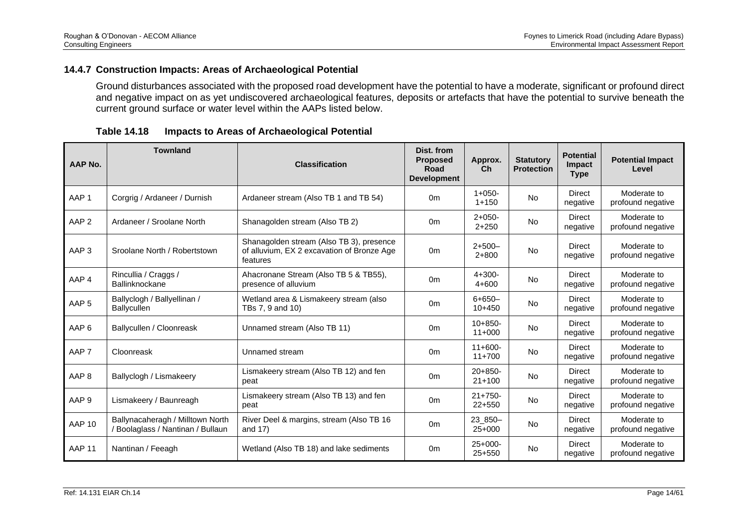### **14.4.7 Construction Impacts: Areas of Archaeological Potential**

Ground disturbances associated with the proposed road development have the potential to have a moderate, significant or profound direct and negative impact on as yet undiscovered archaeological features, deposits or artefacts that have the potential to survive beneath the current ground surface or water level within the AAPs listed below.

| <b>Table 14.18</b> |  | Impacts to Areas of Archaeological Potential |  |
|--------------------|--|----------------------------------------------|--|
|--------------------|--|----------------------------------------------|--|

| AAP No.          | <b>Townland</b>                                                       | <b>Classification</b>                                                                              | Dist. from<br><b>Proposed</b><br>Road<br><b>Development</b> | Approx.<br>Ch            | <b>Statutory</b><br><b>Protection</b> | <b>Potential</b><br>Impact<br><b>Type</b> | <b>Potential Impact</b><br>Level |
|------------------|-----------------------------------------------------------------------|----------------------------------------------------------------------------------------------------|-------------------------------------------------------------|--------------------------|---------------------------------------|-------------------------------------------|----------------------------------|
| AAP <sub>1</sub> | Corgrig / Ardaneer / Durnish                                          | Ardaneer stream (Also TB 1 and TB 54)                                                              | 0 <sub>m</sub>                                              | $1+050-$<br>$1 + 150$    | <b>No</b>                             | <b>Direct</b><br>negative                 | Moderate to<br>profound negative |
| AAP <sub>2</sub> | Ardaneer / Sroolane North                                             | Shanagolden stream (Also TB 2)                                                                     | 0 <sub>m</sub>                                              | $2+050-$<br>$2 + 250$    | <b>No</b>                             | <b>Direct</b><br>negative                 | Moderate to<br>profound negative |
| AAP <sub>3</sub> | Sroolane North / Robertstown                                          | Shanagolden stream (Also TB 3), presence<br>of alluvium, EX 2 excavation of Bronze Age<br>features | 0 <sub>m</sub>                                              | $2+500-$<br>$2 + 800$    | <b>No</b>                             | <b>Direct</b><br>negative                 | Moderate to<br>profound negative |
| AAP 4            | Rincullia / Craggs /<br>Ballinknockane                                | Ahacronane Stream (Also TB 5 & TB55),<br>presence of alluvium                                      | 0 <sub>m</sub>                                              | $4 + 300 -$<br>$4 + 600$ | <b>No</b>                             | <b>Direct</b><br>negative                 | Moderate to<br>profound negative |
| AAP <sub>5</sub> | Ballyclogh / Ballyellinan /<br><b>Ballycullen</b>                     | Wetland area & Lismakeery stream (also<br>TBs 7, 9 and 10)                                         | 0 <sub>m</sub>                                              | $6 + 650 -$<br>$10+450$  | <b>No</b>                             | <b>Direct</b><br>negative                 | Moderate to<br>profound negative |
| AAP <sub>6</sub> | Ballycullen / Cloonreask                                              | Unnamed stream (Also TB 11)                                                                        | 0 <sub>m</sub>                                              | $10+850-$<br>$11+000$    | <b>No</b>                             | <b>Direct</b><br>negative                 | Moderate to<br>profound negative |
| AAP <sub>7</sub> | Cloonreask                                                            | Unnamed stream                                                                                     | 0 <sub>m</sub>                                              | $11+600-$<br>$11+700$    | <b>No</b>                             | <b>Direct</b><br>negative                 | Moderate to<br>profound negative |
| AAP <sub>8</sub> | Ballyclogh / Lismakeery                                               | Lismakeery stream (Also TB 12) and fen<br>peat                                                     | 0 <sub>m</sub>                                              | $20+850-$<br>$21+100$    | <b>No</b>                             | <b>Direct</b><br>negative                 | Moderate to<br>profound negative |
| AAP <sub>9</sub> | Lismakeery / Baunreagh                                                | Lismakeery stream (Also TB 13) and fen<br>peat                                                     | 0 <sub>m</sub>                                              | $21+750-$<br>$22+550$    | <b>No</b>                             | <b>Direct</b><br>negative                 | Moderate to<br>profound negative |
| <b>AAP 10</b>    | Ballynacaheragh / Milltown North<br>/ Boolaglass / Nantinan / Bullaun | River Deel & margins, stream (Also TB 16<br>and $17$ )                                             | 0 <sub>m</sub>                                              | 23_850-<br>$25+000$      | <b>No</b>                             | Direct<br>negative                        | Moderate to<br>profound negative |
| <b>AAP 11</b>    | Nantinan / Feeagh                                                     | Wetland (Also TB 18) and lake sediments                                                            | 0 <sub>m</sub>                                              | $25+000-$<br>$25+550$    | <b>No</b>                             | <b>Direct</b><br>negative                 | Moderate to<br>profound negative |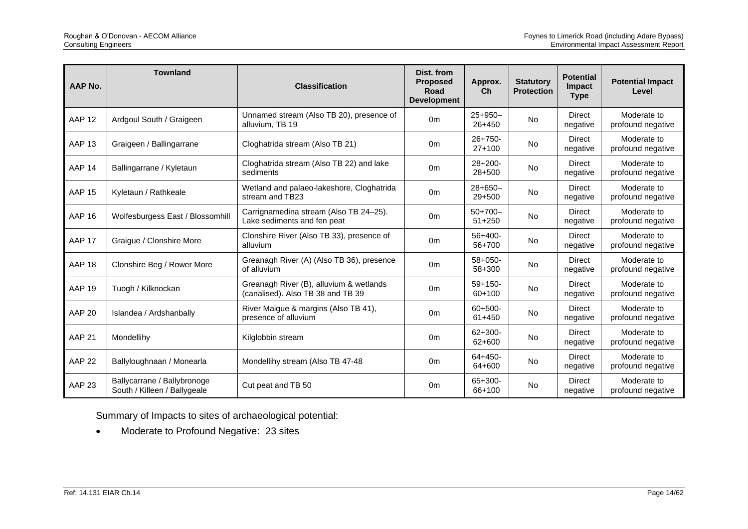| <b>AAP No.</b>    | <b>Townland</b>                                             | <b>Classification</b>                                                        | Dist. from<br><b>Proposed</b><br>Road<br><b>Development</b> | Approx.<br>Ch           | <b>Statutory</b><br><b>Protection</b> | <b>Potential</b><br>Impact<br><b>Type</b> | <b>Potential Impact</b><br>Level |
|-------------------|-------------------------------------------------------------|------------------------------------------------------------------------------|-------------------------------------------------------------|-------------------------|---------------------------------------|-------------------------------------------|----------------------------------|
| AAP <sub>12</sub> | Ardgoul South / Graigeen                                    | Unnamed stream (Also TB 20), presence of<br>alluvium, TB 19                  | 0 <sub>m</sub>                                              | $25+950-$<br>$26 + 450$ | <b>No</b>                             | <b>Direct</b><br>negative                 | Moderate to<br>profound negative |
| <b>AAP 13</b>     | Graigeen / Ballingarrane                                    | Cloghatrida stream (Also TB 21)                                              | 0 <sub>m</sub>                                              | $26+750-$<br>$27+100$   | <b>No</b>                             | <b>Direct</b><br>negative                 | Moderate to<br>profound negative |
| AAP <sub>14</sub> | Ballingarrane / Kyletaun                                    | Cloghatrida stream (Also TB 22) and lake<br>sediments                        | 0 <sub>m</sub>                                              | $28+200-$<br>$28 + 500$ | <b>No</b>                             | <b>Direct</b><br>negative                 | Moderate to<br>profound negative |
| <b>AAP 15</b>     | Kyletaun / Rathkeale                                        | Wetland and palaeo-lakeshore, Cloghatrida<br>stream and TB23                 | 0 <sub>m</sub>                                              | $28+650-$<br>$29 + 500$ | <b>No</b>                             | <b>Direct</b><br>negative                 | Moderate to<br>profound negative |
| <b>AAP 16</b>     | Wolfesburgess East / Blossomhill                            | Carrignamedina stream (Also TB 24-25).<br>Lake sediments and fen peat        | 0 <sub>m</sub>                                              | $50+700-$<br>$51 + 250$ | <b>No</b>                             | <b>Direct</b><br>negative                 | Moderate to<br>profound negative |
| AAP 17            | Graigue / Clonshire More                                    | Clonshire River (Also TB 33), presence of<br>alluvium                        | 0 <sub>m</sub>                                              | $56+400-$<br>56+700     | No                                    | <b>Direct</b><br>negative                 | Moderate to<br>profound negative |
| AAP 18            | Clonshire Beg / Rower More                                  | Greanagh River (A) (Also TB 36), presence<br>of alluvium                     | 0 <sub>m</sub>                                              | $58+050-$<br>58+300     | <b>No</b>                             | <b>Direct</b><br>negative                 | Moderate to<br>profound negative |
| <b>AAP 19</b>     | Tuogh / Kilknockan                                          | Greanagh River (B), alluvium & wetlands<br>(canalised). Also TB 38 and TB 39 | 0 <sub>m</sub>                                              | $59+150-$<br>$60+100$   | <b>No</b>                             | <b>Direct</b><br>negative                 | Moderate to<br>profound negative |
| <b>AAP 20</b>     | Islandea / Ardshanbally                                     | River Maigue & margins (Also TB 41),<br>presence of alluvium                 | 0 <sub>m</sub>                                              | $60+500-$<br>$61 + 450$ | <b>No</b>                             | <b>Direct</b><br>negative                 | Moderate to<br>profound negative |
| AAP <sub>21</sub> | Mondellihy                                                  | Kilglobbin stream                                                            | 0 <sub>m</sub>                                              | $62 + 300 -$<br>62+600  | <b>No</b>                             | <b>Direct</b><br>negative                 | Moderate to<br>profound negative |
| AAP <sub>22</sub> | Ballyloughnaan / Monearla                                   | Mondellihy stream (Also TB 47-48                                             | 0 <sub>m</sub>                                              | $64 + 450 -$<br>64+600  | <b>No</b>                             | <b>Direct</b><br>negative                 | Moderate to<br>profound negative |
| AAP <sub>23</sub> | Ballycarrane / Ballybronoge<br>South / Killeen / Ballygeale | Cut peat and TB 50                                                           | 0 <sub>m</sub>                                              | 65+300-<br>66+100       | <b>No</b>                             | <b>Direct</b><br>negative                 | Moderate to<br>profound negative |

Summary of Impacts to sites of archaeological potential:

• Moderate to Profound Negative: 23 sites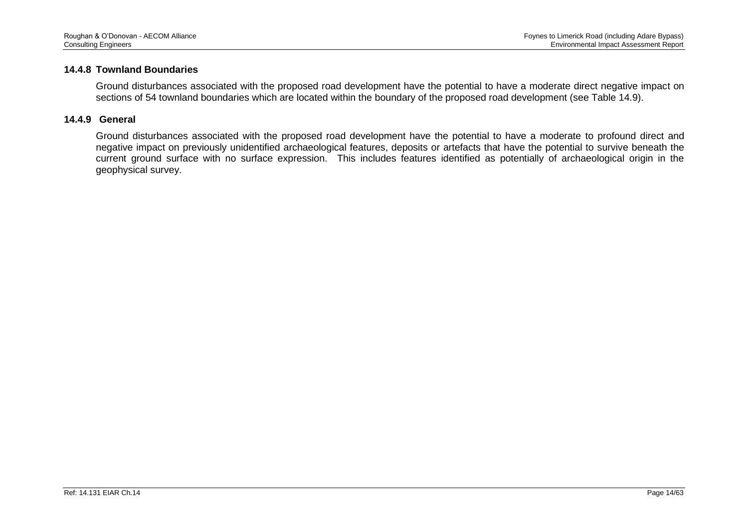#### **14.4.8 Townland Boundaries**

Ground disturbances associated with the proposed road development have the potential to have a moderate direct negative impact on sections of 54 townland boundaries which are located within the boundary of the proposed road development (see Table 14.9).

#### **14.4.9 General**

Ground disturbances associated with the proposed road development have the potential to have a moderate to profound direct and negative impact on previously unidentified archaeological features, deposits or artefacts that have the potential to survive beneath the current ground surface with no surface expression. This includes features identified as potentially of archaeological origin in the geophysical survey.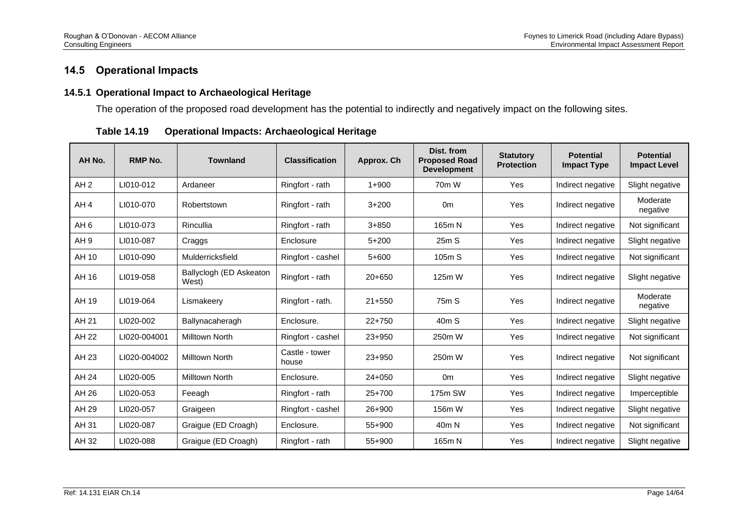# **14.5 Operational Impacts**

### **14.5.1 Operational Impact to Archaeological Heritage**

The operation of the proposed road development has the potential to indirectly and negatively impact on the following sites.

| AH No.          | RMP No.      | <b>Townland</b>                  | <b>Classification</b>   | Approx. Ch | Dist. from<br><b>Proposed Road</b><br><b>Development</b> | <b>Statutory</b><br><b>Protection</b> | <b>Potential</b><br><b>Impact Type</b> | <b>Potential</b><br><b>Impact Level</b> |
|-----------------|--------------|----------------------------------|-------------------------|------------|----------------------------------------------------------|---------------------------------------|----------------------------------------|-----------------------------------------|
| AH2             | LI010-012    | Ardaneer                         | Ringfort - rath         | $1 + 900$  | 70 <sub>m</sub> W                                        | Yes                                   | Indirect negative                      | Slight negative                         |
| AH <sub>4</sub> | LI010-070    | Robertstown                      | Ringfort - rath         | $3 + 200$  | 0 <sub>m</sub>                                           | Yes                                   | Indirect negative                      | Moderate<br>negative                    |
| AH <sub>6</sub> | LI010-073    | Rincullia                        | Ringfort - rath         | $3 + 850$  | 165m N                                                   | Yes                                   | Indirect negative                      | Not significant                         |
| AH <sub>9</sub> | LI010-087    | Craggs                           | Enclosure               | $5 + 200$  | 25mS                                                     | Yes                                   | Indirect negative                      | Slight negative                         |
| AH 10           | LI010-090    | Mulderricksfield                 | Ringfort - cashel       | $5+600$    | 105m S                                                   | Yes                                   | Indirect negative                      | Not significant                         |
| AH 16           | LI019-058    | Ballyclogh (ED Askeaton<br>West) | Ringfort - rath         | $20+650$   | 125m W                                                   | Yes                                   | Indirect negative                      | Slight negative                         |
| AH 19           | LI019-064    | Lismakeery                       | Ringfort - rath.        | $21 + 550$ | 75 <sub>m</sub> S                                        | Yes                                   | Indirect negative                      | Moderate<br>negative                    |
| AH 21           | LI020-002    | Ballynacaheragh                  | Enclosure.              | $22+750$   | 40mS                                                     | Yes                                   | Indirect negative                      | Slight negative                         |
| AH 22           | LI020-004001 | Milltown North                   | Ringfort - cashel       | $23 + 950$ | 250m W                                                   | Yes                                   | Indirect negative                      | Not significant                         |
| AH 23           | LI020-004002 | Milltown North                   | Castle - tower<br>house | $23 + 950$ | 250m W                                                   | Yes                                   | Indirect negative                      | Not significant                         |
| AH 24           | LI020-005    | <b>Milltown North</b>            | Enclosure.              | $24 + 050$ | 0 <sub>m</sub>                                           | Yes                                   | Indirect negative                      | Slight negative                         |
| AH 26           | LI020-053    | Feeagh                           | Ringfort - rath         | 25+700     | 175m SW                                                  | Yes                                   | Indirect negative                      | Imperceptible                           |
| AH 29           | LI020-057    | Graigeen                         | Ringfort - cashel       | 26+900     | 156m W                                                   | Yes                                   | Indirect negative                      | Slight negative                         |
| AH 31           | LI020-087    | Graigue (ED Croagh)              | Enclosure.              | 55+900     | 40m N                                                    | Yes                                   | Indirect negative                      | Not significant                         |
| AH 32           | LI020-088    | Graigue (ED Croagh)              | Ringfort - rath         | $55+900$   | 165m N                                                   | Yes                                   | Indirect negative                      | Slight negative                         |

**Table 14.19 Operational Impacts: Archaeological Heritage**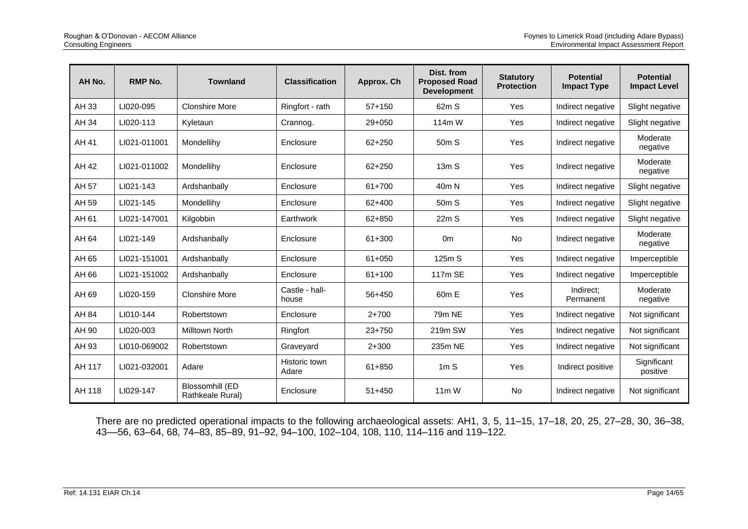| AH No. | <b>RMP No.</b> | <b>Townland</b>                     | <b>Classification</b>   | Approx. Ch | Dist. from<br><b>Proposed Road</b><br><b>Development</b> | <b>Statutory</b><br><b>Protection</b> | <b>Potential</b><br><b>Impact Type</b> | <b>Potential</b><br><b>Impact Level</b> |
|--------|----------------|-------------------------------------|-------------------------|------------|----------------------------------------------------------|---------------------------------------|----------------------------------------|-----------------------------------------|
| AH 33  | LI020-095      | <b>Clonshire More</b>               | Ringfort - rath         | $57 + 150$ | 62m S                                                    | Yes                                   | Indirect negative                      | Slight negative                         |
| AH 34  | LI020-113      | Kyletaun                            | Crannog.                | $29 + 050$ | 114m W                                                   | Yes                                   | Indirect negative                      | Slight negative                         |
| AH 41  | LI021-011001   | Mondellihy                          | Enclosure               | 62+250     | 50 <sub>m</sub> S                                        | Yes                                   | Indirect negative                      | Moderate<br>negative                    |
| AH 42  | LI021-011002   | Mondellihy                          | Enclosure               | $62 + 250$ | 13mS                                                     | Yes                                   | Indirect negative                      | Moderate<br>negative                    |
| AH 57  | LI021-143      | Ardshanbally                        | Enclosure               | 61+700     | 40 <sub>m</sub> N                                        | Yes                                   | Indirect negative                      | Slight negative                         |
| AH 59  | LI021-145      | Mondellihy                          | Enclosure               | 62+400     | 50 <sub>m</sub> S                                        | Yes                                   | Indirect negative                      | Slight negative                         |
| AH 61  | LI021-147001   | Kilgobbin                           | Earthwork               | 62+850     | 22mS                                                     | Yes                                   | Indirect negative                      | Slight negative                         |
| AH 64  | LI021-149      | Ardshanbally                        | Enclosure               | 61+300     | 0 <sub>m</sub>                                           | <b>No</b>                             | Indirect negative                      | Moderate<br>negative                    |
| AH 65  | LI021-151001   | Ardshanbally                        | Enclosure               | $61 + 050$ | 125m S                                                   | Yes                                   | Indirect negative                      | Imperceptible                           |
| AH 66  | LI021-151002   | Ardshanbally                        | Enclosure               | 61+100     | 117m SE                                                  | Yes                                   | Indirect negative                      | Imperceptible                           |
| AH 69  | LI020-159      | <b>Clonshire More</b>               | Castle - hall-<br>house | 56+450     | 60 <sub>m</sub> E                                        | Yes                                   | Indirect:<br>Permanent                 | Moderate<br>negative                    |
| AH 84  | LI010-144      | Robertstown                         | Enclosure               | $2 + 700$  | 79m NE                                                   | Yes                                   | Indirect negative                      | Not significant                         |
| AH 90  | LI020-003      | Milltown North                      | Ringfort                | $23 + 750$ | 219m SW                                                  | Yes                                   | Indirect negative                      | Not significant                         |
| AH 93  | LI010-069002   | Robertstown                         | Graveyard               | $2 + 300$  | 235m NE                                                  | Yes                                   | Indirect negative                      | Not significant                         |
| AH 117 | LI021-032001   | Adare                               | Historic town<br>Adare  | 61+850     | 1mS                                                      | Yes                                   | Indirect positive                      | Significant<br>positive                 |
| AH 118 | LI029-147      | Blossomhill (ED<br>Rathkeale Rural) | Enclosure               | $51 + 450$ | $11m$ W                                                  | <b>No</b>                             | Indirect negative                      | Not significant                         |

There are no predicted operational impacts to the following archaeological assets: AH1, 3, 5, 11–15, 17–18, 20, 25, 27–28, 30, 36–38, 43––56, 63–64, 68, 74–83, 85–89, 91–92, 94–100, 102–104, 108, 110, 114–116 and 119–122.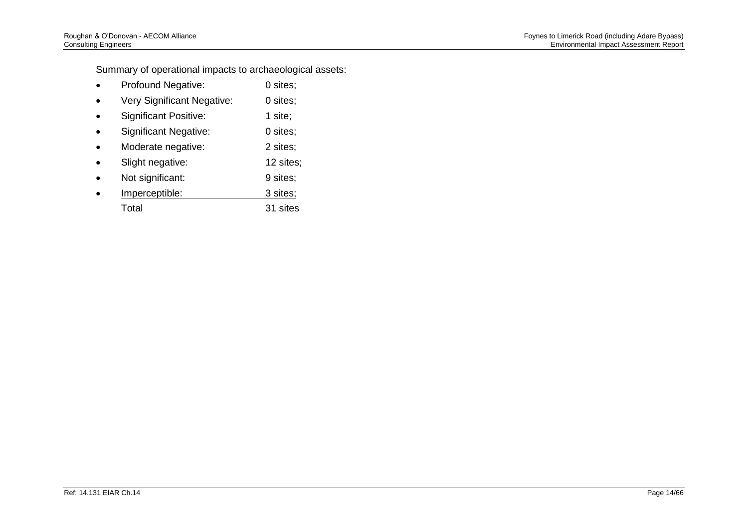Summary of operational impacts to archaeological assets:

- Profound Negative: 0 sites;
- Very Significant Negative: 0 sites;
- Significant Positive: 1 site;
- Significant Negative: 0 sites;
- Moderate negative: 2 sites;
- Slight negative: 12 sites;
- Not significant: 9 sites;
- Imperceptible: 3 sites; Total 31 sites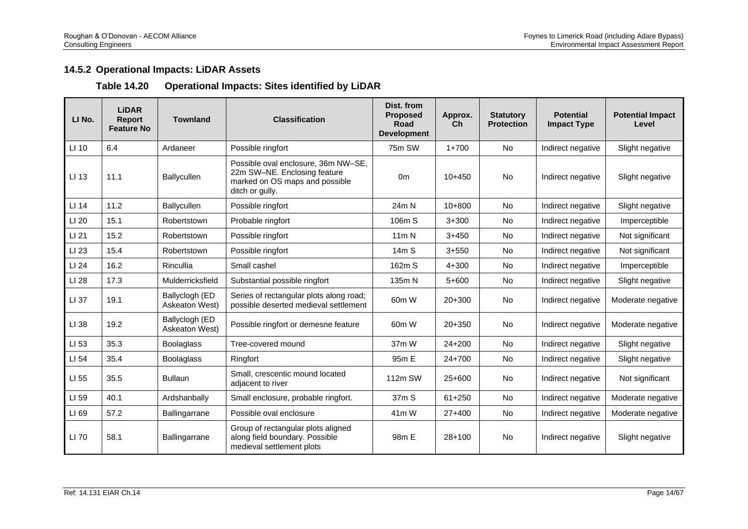## **14.5.2 Operational Impacts: LiDAR Assets**

## **Table 14.20 Operational Impacts: Sites identified by LiDAR**

| LI No. | <b>LiDAR</b><br><b>Report</b><br><b>Feature No</b> | <b>Townland</b>                  | <b>Classification</b>                                                                                                    | Dist. from<br><b>Proposed</b><br>Road<br><b>Development</b> | Approx.<br>Ch | <b>Statutory</b><br><b>Protection</b> | <b>Potential</b><br><b>Impact Type</b> | <b>Potential Impact</b><br>Level |
|--------|----------------------------------------------------|----------------------------------|--------------------------------------------------------------------------------------------------------------------------|-------------------------------------------------------------|---------------|---------------------------------------|----------------------------------------|----------------------------------|
| LI 10  | 6.4                                                | Ardaneer                         | Possible ringfort                                                                                                        | 75m SW                                                      | $1+700$       | No                                    | Indirect negative                      | Slight negative                  |
| LI 13  | 11.1                                               | Ballycullen                      | Possible oval enclosure, 36m NW-SE,<br>22m SW-NE. Enclosing feature<br>marked on OS maps and possible<br>ditch or gully. | 0 <sub>m</sub>                                              | $10+450$      | No                                    | Indirect negative                      | Slight negative                  |
| LI 14  | 11.2                                               | Ballycullen                      | Possible ringfort                                                                                                        | 24m N                                                       | $10+800$      | <b>No</b>                             | Indirect negative                      | Slight negative                  |
| LI 20  | 15.1                                               | Robertstown                      | Probable ringfort                                                                                                        | 106m S                                                      | $3 + 300$     | <b>No</b>                             | Indirect negative                      | Imperceptible                    |
| LI 21  | 15.2                                               | Robertstown                      | Possible ringfort                                                                                                        | 11m N                                                       | $3+450$       | <b>No</b>                             | Indirect negative                      | Not significant                  |
| LI 23  | 15.4                                               | Robertstown                      | Possible ringfort                                                                                                        | 14m S                                                       | $3 + 550$     | <b>No</b>                             | Indirect negative                      | Not significant                  |
| LI 24  | 16.2                                               | Rincullia                        | Small cashel                                                                                                             | 162m S                                                      | $4 + 300$     | <b>No</b>                             | Indirect negative                      | Imperceptible                    |
| LI 28  | 17.3                                               | Mulderricksfield                 | Substantial possible ringfort                                                                                            | 135m N                                                      | $5+600$       | <b>No</b>                             | Indirect negative                      | Slight negative                  |
| LI 37  | 19.1                                               | Ballyclogh (ED<br>Askeaton West) | Series of rectangular plots along road;<br>possible deserted medieval settlement                                         | 60m W                                                       | $20+300$      | <b>No</b>                             | Indirect negative                      | Moderate negative                |
| LI 38  | 19.2                                               | Ballyclogh (ED<br>Askeaton West) | Possible ringfort or demesne feature                                                                                     | 60m W                                                       | $20 + 350$    | <b>No</b>                             | Indirect negative                      | Moderate negative                |
| LI 53  | 35.3                                               | <b>Boolaglass</b>                | Tree-covered mound                                                                                                       | 37m W                                                       | $24 + 200$    | <b>No</b>                             | Indirect negative                      | Slight negative                  |
| LI 54  | 35.4                                               | <b>Boolaglass</b>                | Ringfort                                                                                                                 | 95m E                                                       | $24+700$      | <b>No</b>                             | Indirect negative                      | Slight negative                  |
| LI 55  | 35.5                                               | <b>Bullaun</b>                   | Small, crescentic mound located<br>adjacent to river                                                                     | 112m SW                                                     | $25+600$      | <b>No</b>                             | Indirect negative                      | Not significant                  |
| LI 59  | 40.1                                               | Ardshanbally                     | Small enclosure, probable ringfort.                                                                                      | 37 <sub>m</sub> S                                           | $61 + 250$    | <b>No</b>                             | Indirect negative                      | Moderate negative                |
| LI 69  | 57.2                                               | Ballingarrane                    | Possible oval enclosure                                                                                                  | 41 <sub>m</sub> W                                           | $27+400$      | <b>No</b>                             | Indirect negative                      | Moderate negative                |
| LI 70  | 58.1                                               | Ballingarrane                    | Group of rectangular plots aligned<br>along field boundary. Possible<br>medieval settlement plots                        | 98m E                                                       | $28+100$      | <b>No</b>                             | Indirect negative                      | Slight negative                  |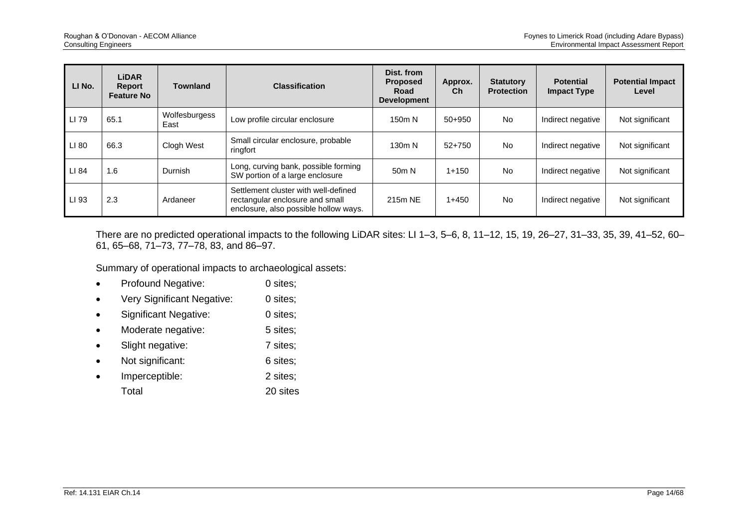| LI No. | <b>LiDAR</b><br>Report<br><b>Feature No</b> | <b>Townland</b>       | <b>Classification</b>                                                                                            | Dist. from<br><b>Proposed</b><br>Road<br><b>Development</b> | Approx.<br>Ch | <b>Statutory</b><br><b>Protection</b> | <b>Potential</b><br><b>Impact Type</b> | <b>Potential Impact</b><br>Level |
|--------|---------------------------------------------|-----------------------|------------------------------------------------------------------------------------------------------------------|-------------------------------------------------------------|---------------|---------------------------------------|----------------------------------------|----------------------------------|
| LI 79  | 65.1                                        | Wolfesburgess<br>East | Low profile circular enclosure                                                                                   | 150m N                                                      | $50+950$      | <b>No</b>                             | Indirect negative                      | Not significant                  |
| LI 80  | 66.3                                        | Clogh West            | Small circular enclosure, probable<br>ringfort                                                                   | 130m N                                                      | $52+750$      | <b>No</b>                             | Indirect negative                      | Not significant                  |
| LI 84  | 1.6                                         | <b>Durnish</b>        | Long, curving bank, possible forming<br>SW portion of a large enclosure                                          | 50 <sub>m</sub> N                                           | $1 + 150$     | <b>No</b>                             | Indirect negative                      | Not significant                  |
| LI 93  | 2.3                                         | Ardaneer              | Settlement cluster with well-defined<br>rectangular enclosure and small<br>enclosure, also possible hollow ways. | 215m NF                                                     | $1+450$       | <b>No</b>                             | Indirect negative                      | Not significant                  |

There are no predicted operational impacts to the following LiDAR sites: LI 1–3, 5–6, 8, 11–12, 15, 19, 26–27, 31–33, 35, 39, 41–52, 60– 61, 65–68, 71–73, 77–78, 83, and 86–97.

Summary of operational impacts to archaeological assets:

- Profound Negative: 0 sites;
- Very Significant Negative: 0 sites;
- Significant Negative: 0 sites;
- Moderate negative: 5 sites;
- Slight negative: 7 sites;
- Not significant: 6 sites;
- Imperceptible: 2 sites; Total 20 sites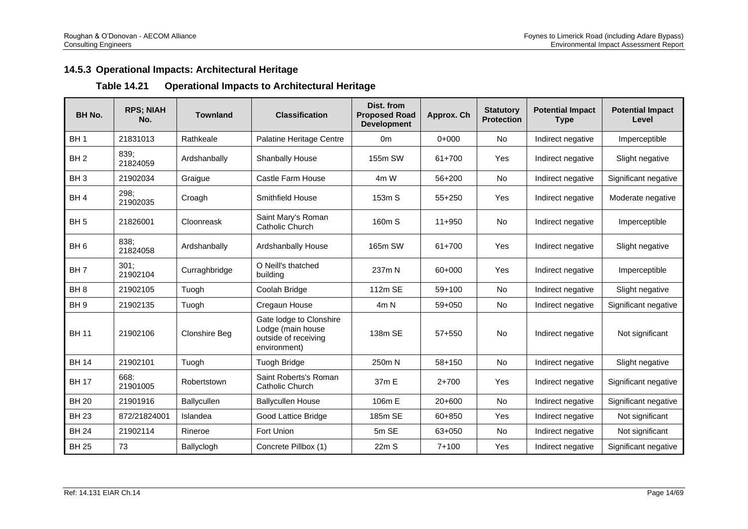## **14.5.3 Operational Impacts: Architectural Heritage**

## **Table 14.21 Operational Impacts to Architectural Heritage**

| <b>BH No.</b>   | <b>RPS; NIAH</b><br>No. | <b>Townland</b> | <b>Classification</b>                                                                | Dist. from<br><b>Proposed Road</b><br><b>Development</b> | Approx. Ch           | <b>Statutory</b><br><b>Protection</b> | <b>Potential Impact</b><br><b>Type</b> | <b>Potential Impact</b><br>Level |
|-----------------|-------------------------|-----------------|--------------------------------------------------------------------------------------|----------------------------------------------------------|----------------------|---------------------------------------|----------------------------------------|----------------------------------|
| BH <sub>1</sub> | 21831013                | Rathkeale       | Palatine Heritage Centre                                                             | 0 <sub>m</sub>                                           | $0+000$              | No                                    | Indirect negative                      | Imperceptible                    |
| BH <sub>2</sub> | 839;<br>21824059        | Ardshanbally    | Shanbally House                                                                      | 155m SW                                                  | 61+700               | Yes                                   | Indirect negative                      | Slight negative                  |
| BH <sub>3</sub> | 21902034                | Graigue         | No<br>Castle Farm House<br>$56 + 200$<br>Indirect negative<br>4m W                   |                                                          | Significant negative |                                       |                                        |                                  |
| BH <sub>4</sub> | 298;<br>21902035        | Croagh          | Smithfield House                                                                     | 153m S                                                   | $55+250$             | Yes                                   | Indirect negative                      | Moderate negative                |
| BH <sub>5</sub> | 21826001                | Cloonreask      | Saint Mary's Roman<br>Catholic Church                                                | 160m S                                                   | $11+950$             | <b>No</b>                             | Indirect negative                      | Imperceptible                    |
| BH <sub>6</sub> | 838:<br>21824058        | Ardshanbally    | Ardshanbally House                                                                   | 165m SW                                                  | 61+700               | Yes                                   | Indirect negative                      | Slight negative                  |
| BH <sub>7</sub> | 301:<br>21902104        | Curraghbridge   | O Neill's thatched<br>building                                                       | 237m N                                                   | 60+000               | Yes                                   | Indirect negative                      | Imperceptible                    |
| BH <sub>8</sub> | 21902105                | Tuogh           | Coolah Bridge                                                                        | 112m SE                                                  | $59+100$             | No                                    | Indirect negative                      | Slight negative                  |
| BH <sub>9</sub> | 21902135                | Tuogh           | Cregaun House                                                                        | 4m N                                                     | $59 + 050$           | No                                    | Indirect negative                      | Significant negative             |
| <b>BH11</b>     | 21902106                | Clonshire Beg   | Gate lodge to Clonshire<br>Lodge (main house<br>outside of receiving<br>environment) | 138m SE                                                  | $57 + 550$           | No                                    | Indirect negative                      | Not significant                  |
| <b>BH 14</b>    | 21902101                | Tuogh           | Tuogh Bridge                                                                         | 250m N                                                   | $58 + 150$           | <b>No</b>                             | Indirect negative                      | Slight negative                  |
| <b>BH 17</b>    | 668:<br>21901005        | Robertstown     | Saint Roberts's Roman<br>Catholic Church                                             | 37m E                                                    | $2 + 700$            | Yes                                   | Indirect negative                      | Significant negative             |
| <b>BH 20</b>    | 21901916                | Ballycullen     | <b>Ballycullen House</b>                                                             | 106m E                                                   | $20+600$             | No                                    | Indirect negative                      | Significant negative             |
| <b>BH 23</b>    | 872/21824001            | Islandea        | Good Lattice Bridge                                                                  | 185m SE                                                  | 60+850               | Yes                                   | Indirect negative                      | Not significant                  |
| <b>BH 24</b>    | 21902114                | Rineroe         | Fort Union                                                                           | 5m SE                                                    | 63+050               | <b>No</b>                             | Indirect negative                      | Not significant                  |
| <b>BH 25</b>    | 73                      | Ballyclogh      | Concrete Pillbox (1)                                                                 | 22mS                                                     | $7 + 100$            | Yes                                   | Indirect negative                      | Significant negative             |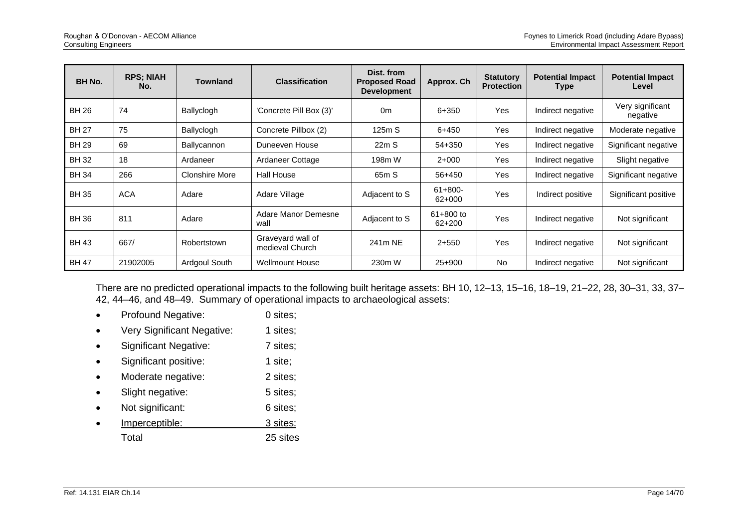| BH No.       | <b>RPS; NIAH</b><br>No. | <b>Townland</b>       | <b>Classification</b>                              | Dist. from<br><b>Proposed Road</b><br><b>Development</b> | Approx. Ch              | <b>Statutory</b><br><b>Protection</b> | <b>Potential Impact</b><br><b>Type</b> | <b>Potential Impact</b><br>Level |
|--------------|-------------------------|-----------------------|----------------------------------------------------|----------------------------------------------------------|-------------------------|---------------------------------------|----------------------------------------|----------------------------------|
| BH 26        | 74                      | Ballyclogh            | 'Concrete Pill Box (3)'<br>0 <sub>m</sub><br>6+350 |                                                          | <b>Yes</b>              | Indirect negative                     | Very significant<br>negative           |                                  |
| <b>BH 27</b> | 75                      | Ballyclogh            | Concrete Pillbox (2)                               | 125m S                                                   | 6+450                   | Yes                                   | Indirect negative                      | Moderate negative                |
| <b>BH 29</b> | 69                      | Ballycannon           | Duneeven House                                     | 22mS                                                     | 54+350                  | Yes                                   | Indirect negative                      | Significant negative             |
| <b>BH32</b>  | 18                      | Ardaneer              | Ardaneer Cottage                                   | 198m W                                                   | $2+000$                 | Yes                                   | Indirect negative                      | Slight negative                  |
| <b>BH34</b>  | 266                     | <b>Clonshire More</b> | <b>Hall House</b>                                  | 65m S                                                    | 56+450                  | Yes                                   | Indirect negative                      | Significant negative             |
| <b>BH 35</b> | <b>ACA</b>              | Adare                 | Adare Village                                      | Adjacent to S                                            | $61+800-$<br>62+000     | Yes                                   | Indirect positive                      | Significant positive             |
| <b>BH 36</b> | 811                     | Adare                 | Adare Manor Demesne<br>wall                        | Adjacent to S                                            | 61+800 to<br>$62 + 200$ | <b>Yes</b>                            | Indirect negative                      | Not significant                  |
| <b>BH 43</b> | 667/                    | Robertstown           | Graveyard wall of<br>medieval Church               | 241m NE                                                  | $2+550$                 | Yes                                   | Indirect negative                      | Not significant                  |
| <b>BH 47</b> | 21902005                | Ardgoul South         | <b>Wellmount House</b>                             | 230m W                                                   | 25+900                  | <b>No</b>                             | Indirect negative                      | Not significant                  |

There are no predicted operational impacts to the following built heritage assets: BH 10, 12–13, 15–16, 18–19, 21–22, 28, 30–31, 33, 37– 42, 44–46, and 48–49. Summary of operational impacts to archaeological assets:

- Profound Negative: 0 sites;
- Very Significant Negative: 1 sites;
- Significant Negative: 7 sites;
- Significant positive: 1 site;
- Moderate negative: 2 sites;
- Slight negative: 5 sites;
- Not significant: 6 sites;
- **Imperceptible:** 3 sites: Total 25 sites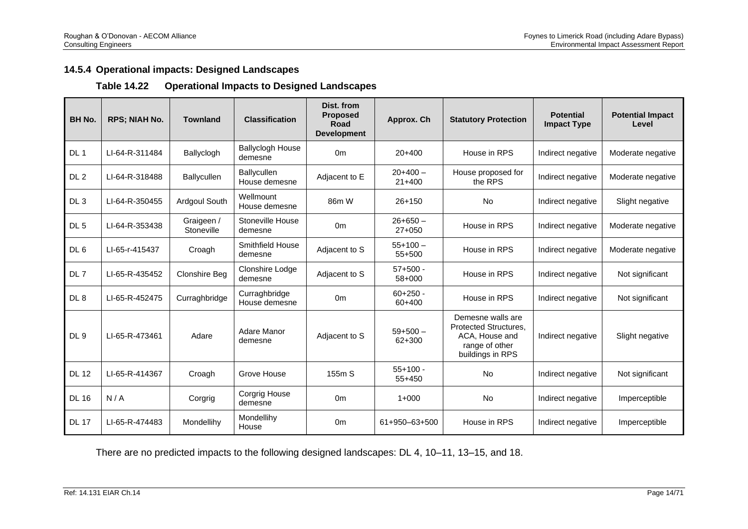## **14.5.4 Operational impacts: Designed Landscapes**

### **Table 14.22 Operational Impacts to Designed Landscapes**

| <b>BH No.</b>   | <b>RPS: NIAH No.</b> | <b>Townland</b>          | <b>Classification</b>              | Dist. from<br><b>Proposed</b><br>Road<br><b>Development</b> | Approx. Ch               | <b>Statutory Protection</b>                                                                               | <b>Potential</b><br><b>Impact Type</b> | <b>Potential Impact</b><br>Level |
|-----------------|----------------------|--------------------------|------------------------------------|-------------------------------------------------------------|--------------------------|-----------------------------------------------------------------------------------------------------------|----------------------------------------|----------------------------------|
| DL <sub>1</sub> | LI-64-R-311484       | Ballyclogh               | <b>Ballyclogh House</b><br>demesne | 0 <sub>m</sub>                                              | $20+400$                 | House in RPS                                                                                              | Indirect negative                      | Moderate negative                |
| DL <sub>2</sub> | LI-64-R-318488       | Ballycullen              | Ballycullen<br>House demesne       | Adjacent to E                                               | $20+400-$<br>$21+400$    | House proposed for<br>the RPS                                                                             | Indirect negative                      | Moderate negative                |
| DL <sub>3</sub> | LI-64-R-350455       | Ardgoul South            | Wellmount<br>House demesne         | 86m W                                                       | $26 + 150$               | <b>No</b>                                                                                                 | Indirect negative                      | Slight negative                  |
| DL <sub>5</sub> | LI-64-R-353438       | Graigeen /<br>Stoneville | Stoneville House<br>demesne        | 0 <sub>m</sub>                                              | $26 + 650 -$<br>$27+050$ | House in RPS                                                                                              | Indirect negative                      | Moderate negative                |
| DL <sub>6</sub> | LI-65-r-415437       | Croagh                   | Smithfield House<br>demesne        | Adjacent to S                                               | $55+100-$<br>55+500      | House in RPS                                                                                              | Indirect negative                      | Moderate negative                |
| DL 7            | LI-65-R-435452       | Clonshire Beg            | Clonshire Lodge<br>demesne         | Adjacent to S                                               | $57+500 -$<br>58+000     | House in RPS                                                                                              | Indirect negative                      | Not significant                  |
| DL <sub>8</sub> | LI-65-R-452475       | Curraghbridge            | Curraghbridge<br>House demesne     | 0 <sub>m</sub>                                              | $60+250$ -<br>60+400     | House in RPS                                                                                              | Indirect negative                      | Not significant                  |
| DL <sub>9</sub> | LI-65-R-473461       | Adare                    | Adare Manor<br>demesne             | Adjacent to S                                               | $59+500-$<br>62+300      | Demesne walls are<br><b>Protected Structures.</b><br>ACA, House and<br>range of other<br>buildings in RPS | Indirect negative                      | Slight negative                  |
| <b>DL 12</b>    | LI-65-R-414367       | Croagh                   | Grove House                        | 155m S                                                      | $55+100 -$<br>55+450     | <b>No</b>                                                                                                 | Indirect negative                      | Not significant                  |
| <b>DL 16</b>    | N/A                  | Corgrig                  | Corgrig House<br>demesne           | 0 <sub>m</sub>                                              | $1+000$                  | <b>No</b>                                                                                                 | Indirect negative                      | Imperceptible                    |
| <b>DL 17</b>    | LI-65-R-474483       | Mondellihy               | Mondellihy<br>House                | 0 <sub>m</sub>                                              | 61+950-63+500            | House in RPS                                                                                              | Indirect negative                      | Imperceptible                    |

There are no predicted impacts to the following designed landscapes: DL 4, 10–11, 13–15, and 18.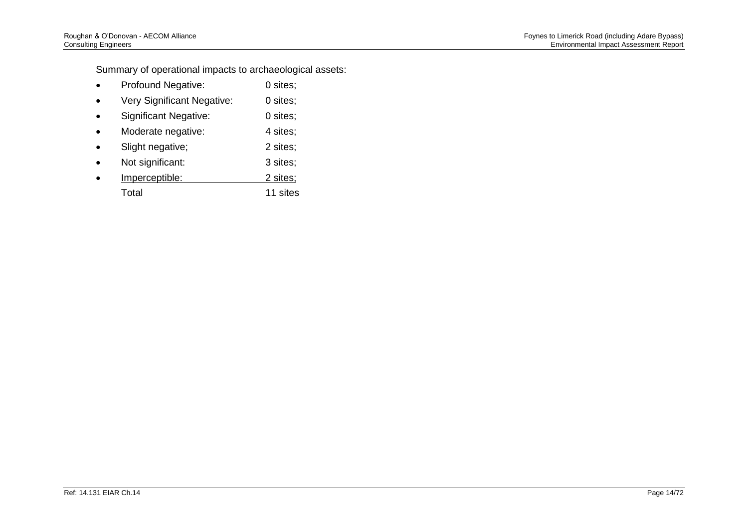Summary of operational impacts to archaeological assets:

- Profound Negative: 0 sites;
- Very Significant Negative: 0 sites;
- Significant Negative: 0 sites;
- Moderate negative: 4 sites;
- Slight negative; 2 sites;
- Not significant: 3 sites;
- Imperceptible: 2 sites; Total 11 sites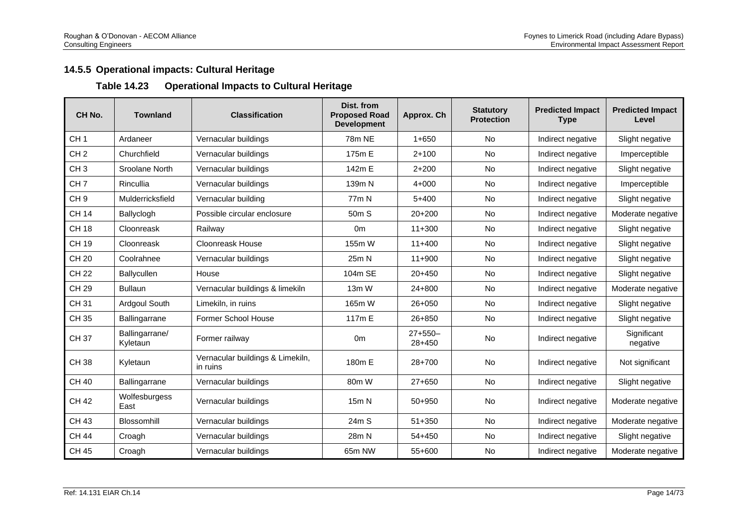# **14.5.5 Operational impacts: Cultural Heritage**

#### **Table 14.23 Operational Impacts to Cultural Heritage**

| CH <sub>No.</sub> | <b>Townland</b>            | <b>Classification</b>                        | Dist. from<br><b>Proposed Road</b><br><b>Development</b> | Approx. Ch            | <b>Statutory</b><br><b>Protection</b> | <b>Predicted Impact</b><br><b>Type</b> | <b>Predicted Impact</b><br>Level |
|-------------------|----------------------------|----------------------------------------------|----------------------------------------------------------|-----------------------|---------------------------------------|----------------------------------------|----------------------------------|
| CH <sub>1</sub>   | Ardaneer                   | Vernacular buildings                         | 78m NE                                                   | $1 + 650$             | <b>No</b>                             | Indirect negative                      | Slight negative                  |
| CH <sub>2</sub>   | Churchfield                | Vernacular buildings                         | 175m E                                                   | $2 + 100$             | No                                    | Indirect negative                      | Imperceptible                    |
| CH <sub>3</sub>   | Sroolane North             | Vernacular buildings                         | 142m E                                                   | $2 + 200$             | No                                    | Indirect negative                      | Slight negative                  |
| CH <sub>7</sub>   | Rincullia                  | Vernacular buildings                         | 139m N                                                   | $4 + 000$             | No                                    | Indirect negative                      | Imperceptible                    |
| CH <sub>9</sub>   | Mulderricksfield           | Vernacular building                          | 77 <sub>m</sub> N                                        | $5+400$               | No                                    | Indirect negative                      | Slight negative                  |
| <b>CH 14</b>      | Ballyclogh                 | Possible circular enclosure                  | 50 <sub>m</sub> S                                        | $20+200$              | No                                    | Indirect negative                      | Moderate negative                |
| <b>CH 18</b>      | Cloonreask                 | Railway                                      | 0 <sub>m</sub>                                           | $11+300$              | <b>No</b>                             | Indirect negative                      | Slight negative                  |
| CH 19             | Cloonreask                 | <b>Cloonreask House</b>                      | 155m W                                                   | $11+400$              | <b>No</b>                             | Indirect negative                      | Slight negative                  |
| <b>CH 20</b>      | Coolrahnee                 | Vernacular buildings                         | 25m N                                                    | $11+900$              | <b>No</b>                             | Indirect negative                      | Slight negative                  |
| <b>CH 22</b>      | Ballycullen                | House                                        | 104m SE                                                  | $20+450$              | No                                    | Indirect negative                      | Slight negative                  |
| CH 29             | <b>Bullaun</b>             | Vernacular buildings & limekiln              | $13m$ W                                                  | $24 + 800$            | No                                    | Indirect negative                      | Moderate negative                |
| <b>CH31</b>       | Ardgoul South              | Limekiln, in ruins                           | 165m W                                                   | $26 + 050$            | No                                    | Indirect negative                      | Slight negative                  |
| CH 35             | Ballingarrane              | <b>Former School House</b>                   | 117m E                                                   | $26 + 850$            | No                                    | Indirect negative                      | Slight negative                  |
| <b>CH37</b>       | Ballingarrane/<br>Kyletaun | Former railway                               | 0 <sub>m</sub>                                           | $27+550-$<br>$28+450$ | <b>No</b>                             | Indirect negative                      | Significant<br>negative          |
| <b>CH38</b>       | Kyletaun                   | Vernacular buildings & Limekiln,<br>in ruins | 180m E                                                   | $28+700$              | <b>No</b>                             | Indirect negative                      | Not significant                  |
| <b>CH 40</b>      | Ballingarrane              | Vernacular buildings                         | 80m W                                                    | $27 + 650$            | No                                    | Indirect negative                      | Slight negative                  |
| <b>CH 42</b>      | Wolfesburgess<br>East      | Vernacular buildings                         | 15m N                                                    | $50 + 950$            | No                                    | Indirect negative                      | Moderate negative                |
| <b>CH 43</b>      | Blossomhill                | Vernacular buildings                         | 24m S                                                    | $51 + 350$            | No                                    | Indirect negative                      | Moderate negative                |
| <b>CH 44</b>      | Croagh                     | Vernacular buildings                         | 28m N                                                    | $54 + 450$            | <b>No</b>                             | Indirect negative                      | Slight negative                  |
| <b>CH 45</b>      | Croagh                     | Vernacular buildings                         | 65m NW                                                   | $55+600$              | <b>No</b>                             | Indirect negative                      | Moderate negative                |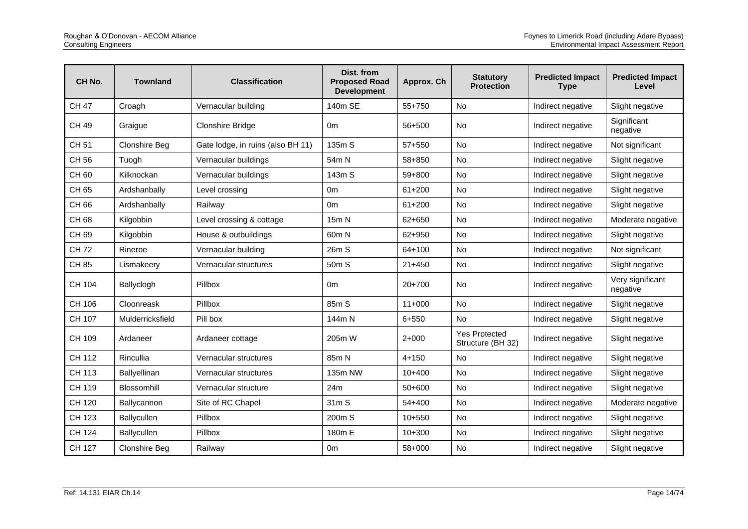| CH No.       | <b>Townland</b>      | <b>Classification</b>             | Dist. from<br><b>Proposed Road</b><br><b>Development</b> | Approx. Ch | <b>Statutory</b><br><b>Protection</b>     | <b>Predicted Impact</b><br><b>Type</b> | <b>Predicted Impact</b><br>Level |
|--------------|----------------------|-----------------------------------|----------------------------------------------------------|------------|-------------------------------------------|----------------------------------------|----------------------------------|
| <b>CH 47</b> | Croagh               | Vernacular building               | 140m SE                                                  | 55+750     | No                                        | Indirect negative                      | Slight negative                  |
| <b>CH 49</b> | Graigue              | <b>Clonshire Bridge</b>           | 0 <sub>m</sub>                                           | 56+500     | <b>No</b>                                 | Indirect negative                      | Significant<br>negative          |
| <b>CH 51</b> | Clonshire Beg        | Gate lodge, in ruins (also BH 11) | 135m S                                                   | 57+550     | <b>No</b>                                 | Indirect negative                      | Not significant                  |
| CH 56        | Tuogh                | Vernacular buildings              | 54m N                                                    | 58+850     | <b>No</b>                                 | Indirect negative                      | Slight negative                  |
| CH 60        | Kilknockan           | Vernacular buildings              | 143m S                                                   | 59+800     | <b>No</b>                                 | Indirect negative                      | Slight negative                  |
| CH 65        | Ardshanbally         | Level crossing                    | 0 <sub>m</sub>                                           | $61 + 200$ | <b>No</b>                                 | Indirect negative                      | Slight negative                  |
| CH 66        | Ardshanbally         | Railway                           | 0 <sub>m</sub>                                           | $61 + 200$ | No                                        | Indirect negative                      | Slight negative                  |
| <b>CH68</b>  | Kilgobbin            | Level crossing & cottage          | 15m N                                                    | 62+650     | <b>No</b>                                 | Indirect negative                      | Moderate negative                |
| CH 69        | Kilgobbin            | House & outbuildings              | 60m N                                                    | 62+950     | No                                        | Indirect negative                      | Slight negative                  |
| <b>CH72</b>  | Rineroe              | Vernacular building               | 26m S                                                    | 64+100     | No                                        | Indirect negative                      | Not significant                  |
| <b>CH85</b>  | Lismakeery           | Vernacular structures             | 50m S                                                    | $21 + 450$ | No                                        | Indirect negative                      | Slight negative                  |
| CH 104       | Ballyclogh           | Pillbox                           | 0 <sub>m</sub>                                           | $20+700$   | No                                        | Indirect negative                      | Very significant<br>negative     |
| CH 106       | Cloonreask           | Pillbox                           | 85m S                                                    | $11+000$   | No                                        | Indirect negative                      | Slight negative                  |
| CH 107       | Mulderricksfield     | Pill box                          | 144m N                                                   | $6 + 550$  | <b>No</b>                                 | Indirect negative                      | Slight negative                  |
| CH 109       | Ardaneer             | Ardaneer cottage                  | 205m W                                                   | $2+000$    | <b>Yes Protected</b><br>Structure (BH 32) | Indirect negative                      | Slight negative                  |
| CH 112       | Rincullia            | Vernacular structures             | 85m N                                                    | $4 + 150$  | No                                        | Indirect negative                      | Slight negative                  |
| CH 113       | Ballyellinan         | Vernacular structures             | 135m NW                                                  | $10+400$   | <b>No</b>                                 | Indirect negative                      | Slight negative                  |
| CH 119       | Blossomhill          | Vernacular structure              | 24m                                                      | 50+600     | No                                        | Indirect negative                      | Slight negative                  |
| CH 120       | Ballycannon          | Site of RC Chapel                 | 31m S                                                    | 54+400     | <b>No</b>                                 | Indirect negative                      | Moderate negative                |
| CH 123       | Ballycullen          | Pillbox                           | 200m S                                                   | $10+550$   | No                                        | Indirect negative                      | Slight negative                  |
| CH 124       | Ballycullen          | Pillbox                           | 180m E                                                   | $10 + 300$ | <b>No</b>                                 | Indirect negative                      | Slight negative                  |
| CH 127       | <b>Clonshire Beg</b> | Railway                           | 0 <sub>m</sub>                                           | 58+000     | No                                        | Indirect negative                      | Slight negative                  |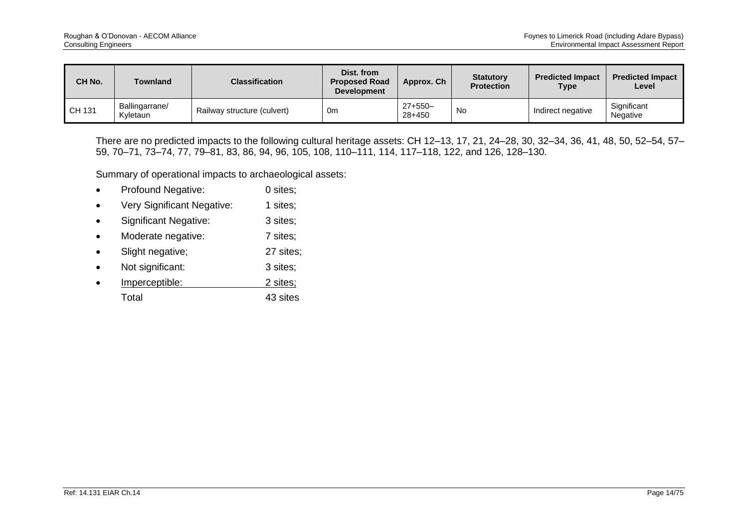| CH No. | Townland                   | <b>Classification</b>       | Dist. from<br><b>Proposed Road</b><br><b>Development</b> | Approx. Ch            | <b>Statutory</b><br><b>Protection</b> | <b>Predicted Impact</b><br>Type | <b>Predicted Impact</b><br>Level |
|--------|----------------------------|-----------------------------|----------------------------------------------------------|-----------------------|---------------------------------------|---------------------------------|----------------------------------|
| CH 131 | Ballingarrane/<br>Kyletaun | Railway structure (culvert) | 0 <sub>m</sub>                                           | $27+550-$<br>$28+450$ | No                                    | Indirect negative               | Significant<br><b>Negative</b>   |

There are no predicted impacts to the following cultural heritage assets: CH 12–13, 17, 21, 24–28, 30, 32–34, 36, 41, 48, 50, 52–54, 57– 59, 70–71, 73–74, 77, 79–81, 83, 86, 94, 96, 105, 108, 110–111, 114, 117–118, 122, and 126, 128–130.

Summary of operational impacts to archaeological assets:

- Profound Negative: 0 sites;
- Very Significant Negative: 1 sites:
- Significant Negative: 3 sites;
- Moderate negative: 7 sites;
- Slight negative; 27 sites;
- Not significant: 3 sites;
- **Imperceptible:** 2 sites; Total 43 sites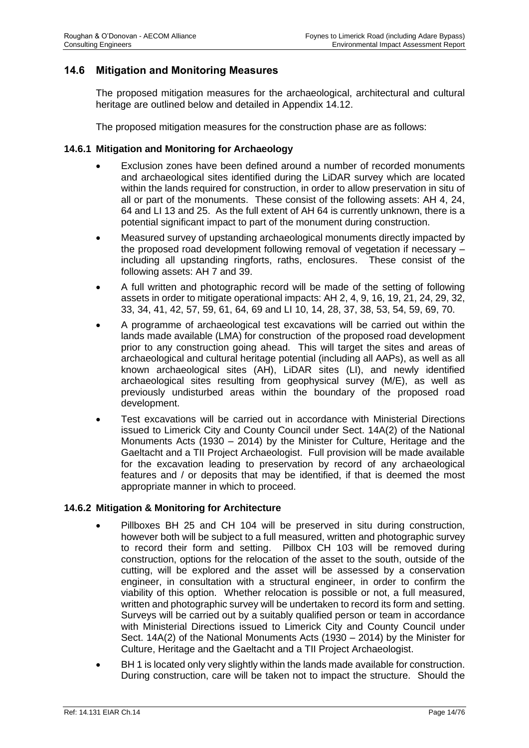## **14.6 Mitigation and Monitoring Measures**

The proposed mitigation measures for the archaeological, architectural and cultural heritage are outlined below and detailed in Appendix 14.12.

The proposed mitigation measures for the construction phase are as follows:

#### **14.6.1 Mitigation and Monitoring for Archaeology**

- Exclusion zones have been defined around a number of recorded monuments and archaeological sites identified during the LiDAR survey which are located within the lands required for construction, in order to allow preservation in situ of all or part of the monuments. These consist of the following assets: AH 4, 24, 64 and LI 13 and 25. As the full extent of AH 64 is currently unknown, there is a potential significant impact to part of the monument during construction.
- Measured survey of upstanding archaeological monuments directly impacted by the proposed road development following removal of vegetation if necessary – including all upstanding ringforts, raths, enclosures. These consist of the following assets: AH 7 and 39.
- A full written and photographic record will be made of the setting of following assets in order to mitigate operational impacts: AH 2, 4, 9, 16, 19, 21, 24, 29, 32, 33, 34, 41, 42, 57, 59, 61, 64, 69 and LI 10, 14, 28, 37, 38, 53, 54, 59, 69, 70.
- A programme of archaeological test excavations will be carried out within the lands made available (LMA) for construction of the proposed road development prior to any construction going ahead. This will target the sites and areas of archaeological and cultural heritage potential (including all AAPs), as well as all known archaeological sites (AH), LiDAR sites (LI), and newly identified archaeological sites resulting from geophysical survey (M/E), as well as previously undisturbed areas within the boundary of the proposed road development.
- Test excavations will be carried out in accordance with Ministerial Directions issued to Limerick City and County Council under Sect. 14A(2) of the National Monuments Acts (1930 – 2014) by the Minister for Culture, Heritage and the Gaeltacht and a TII Project Archaeologist. Full provision will be made available for the excavation leading to preservation by record of any archaeological features and / or deposits that may be identified, if that is deemed the most appropriate manner in which to proceed.

#### **14.6.2 Mitigation & Monitoring for Architecture**

- Pillboxes BH 25 and CH 104 will be preserved in situ during construction, however both will be subject to a full measured, written and photographic survey to record their form and setting. Pillbox CH 103 will be removed during construction, options for the relocation of the asset to the south, outside of the cutting, will be explored and the asset will be assessed by a conservation engineer, in consultation with a structural engineer, in order to confirm the viability of this option. Whether relocation is possible or not, a full measured, written and photographic survey will be undertaken to record its form and setting. Surveys will be carried out by a suitably qualified person or team in accordance with Ministerial Directions issued to Limerick City and County Council under Sect. 14A(2) of the National Monuments Acts (1930 – 2014) by the Minister for Culture, Heritage and the Gaeltacht and a TII Project Archaeologist.
- BH 1 is located only very slightly within the lands made available for construction. During construction, care will be taken not to impact the structure. Should the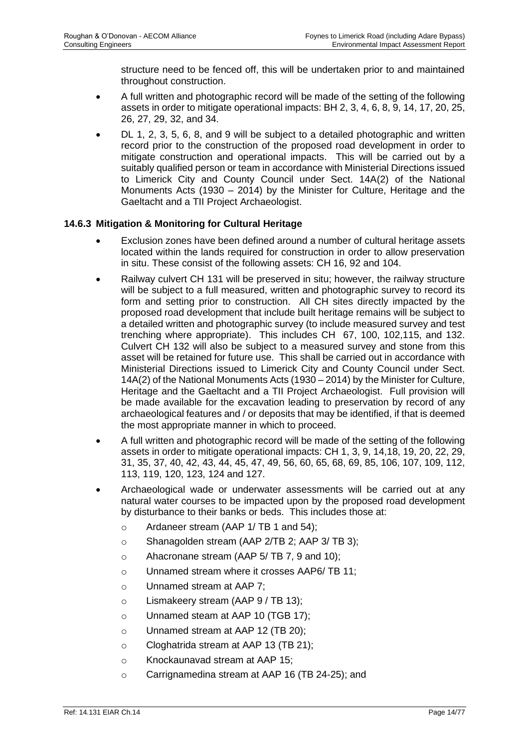structure need to be fenced off, this will be undertaken prior to and maintained throughout construction.

- A full written and photographic record will be made of the setting of the following assets in order to mitigate operational impacts: BH 2, 3, 4, 6, 8, 9, 14, 17, 20, 25, 26, 27, 29, 32, and 34.
- DL 1, 2, 3, 5, 6, 8, and 9 will be subject to a detailed photographic and written record prior to the construction of the proposed road development in order to mitigate construction and operational impacts. This will be carried out by a suitably qualified person or team in accordance with Ministerial Directions issued to Limerick City and County Council under Sect. 14A(2) of the National Monuments Acts (1930 – 2014) by the Minister for Culture, Heritage and the Gaeltacht and a TII Project Archaeologist.

### **14.6.3 Mitigation & Monitoring for Cultural Heritage**

- Exclusion zones have been defined around a number of cultural heritage assets located within the lands required for construction in order to allow preservation in situ. These consist of the following assets: CH 16, 92 and 104.
- Railway culvert CH 131 will be preserved in situ; however, the railway structure will be subject to a full measured, written and photographic survey to record its form and setting prior to construction. All CH sites directly impacted by the proposed road development that include built heritage remains will be subject to a detailed written and photographic survey (to include measured survey and test trenching where appropriate). This includes CH 67, 100, 102,115, and 132. Culvert CH 132 will also be subject to a measured survey and stone from this asset will be retained for future use. This shall be carried out in accordance with Ministerial Directions issued to Limerick City and County Council under Sect. 14A(2) of the National Monuments Acts (1930 – 2014) by the Minister for Culture, Heritage and the Gaeltacht and a TII Project Archaeologist. Full provision will be made available for the excavation leading to preservation by record of any archaeological features and / or deposits that may be identified, if that is deemed the most appropriate manner in which to proceed.
- A full written and photographic record will be made of the setting of the following assets in order to mitigate operational impacts: CH 1, 3, 9, 14,18, 19, 20, 22, 29, 31, 35, 37, 40, 42, 43, 44, 45, 47, 49, 56, 60, 65, 68, 69, 85, 106, 107, 109, 112, 113, 119, 120, 123, 124 and 127.
- Archaeological wade or underwater assessments will be carried out at any natural water courses to be impacted upon by the proposed road development by disturbance to their banks or beds. This includes those at:
	- o Ardaneer stream (AAP 1/ TB 1 and 54);
	- o Shanagolden stream (AAP 2/TB 2; AAP 3/ TB 3);
	- o Ahacronane stream (AAP 5/ TB 7, 9 and 10);
	- o Unnamed stream where it crosses AAP6/ TB 11;
	- o Unnamed stream at AAP 7;
	- o Lismakeery stream (AAP 9 / TB 13);
	- o Unnamed steam at AAP 10 (TGB 17);
	- o Unnamed stream at AAP 12 (TB 20);
	- o Cloghatrida stream at AAP 13 (TB 21);
	- o Knockaunavad stream at AAP 15;
	- o Carrignamedina stream at AAP 16 (TB 24-25); and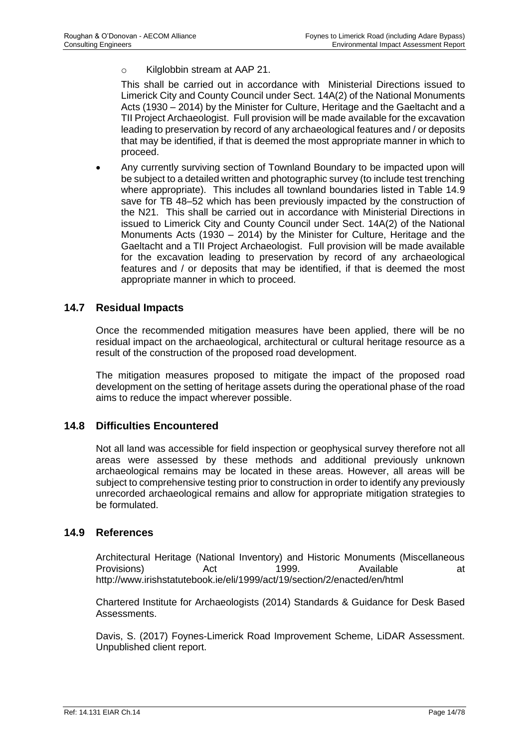o Kilglobbin stream at AAP 21.

This shall be carried out in accordance with Ministerial Directions issued to Limerick City and County Council under Sect. 14A(2) of the National Monuments Acts (1930 – 2014) by the Minister for Culture, Heritage and the Gaeltacht and a TII Project Archaeologist. Full provision will be made available for the excavation leading to preservation by record of any archaeological features and / or deposits that may be identified, if that is deemed the most appropriate manner in which to proceed.

• Any currently surviving section of Townland Boundary to be impacted upon will be subject to a detailed written and photographic survey (to include test trenching where appropriate). This includes all townland boundaries listed in Table 14.9 save for TB 48–52 which has been previously impacted by the construction of the N21. This shall be carried out in accordance with Ministerial Directions in issued to Limerick City and County Council under Sect. 14A(2) of the National Monuments Acts (1930 – 2014) by the Minister for Culture, Heritage and the Gaeltacht and a TII Project Archaeologist. Full provision will be made available for the excavation leading to preservation by record of any archaeological features and / or deposits that may be identified, if that is deemed the most appropriate manner in which to proceed.

### **14.7 Residual Impacts**

Once the recommended mitigation measures have been applied, there will be no residual impact on the archaeological, architectural or cultural heritage resource as a result of the construction of the proposed road development.

The mitigation measures proposed to mitigate the impact of the proposed road development on the setting of heritage assets during the operational phase of the road aims to reduce the impact wherever possible.

### **14.8 Difficulties Encountered**

Not all land was accessible for field inspection or geophysical survey therefore not all areas were assessed by these methods and additional previously unknown archaeological remains may be located in these areas. However, all areas will be subject to comprehensive testing prior to construction in order to identify any previously unrecorded archaeological remains and allow for appropriate mitigation strategies to be formulated.

#### **14.9 References**

Architectural Heritage (National Inventory) and Historic Monuments (Miscellaneous Provisions) and Act 1999. Available at Architecture Act 1999. <http://www.irishstatutebook.ie/eli/1999/act/19/section/2/enacted/en/html>

Chartered Institute for Archaeologists (2014) Standards & Guidance for Desk Based Assessments.

Davis, S. (2017) Foynes-Limerick Road Improvement Scheme, LiDAR Assessment. Unpublished client report.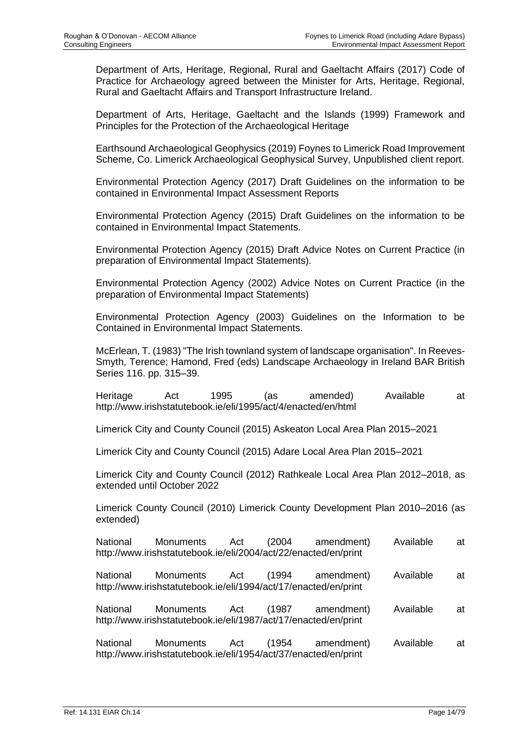Department of Arts, Heritage, Regional, Rural and Gaeltacht Affairs (2017) Code of Practice for Archaeology agreed between the Minister for Arts, Heritage, Regional, Rural and Gaeltacht Affairs and Transport Infrastructure Ireland.

Department of Arts, Heritage, Gaeltacht and the Islands (1999) Framework and Principles for the Protection of the Archaeological Heritage

Earthsound Archaeological Geophysics (2019) Foynes to Limerick Road Improvement Scheme, Co. Limerick Archaeological Geophysical Survey, Unpublished client report.

Environmental Protection Agency (2017) Draft Guidelines on the information to be contained in Environmental Impact Assessment Reports

Environmental Protection Agency (2015) Draft Guidelines on the information to be contained in Environmental Impact Statements.

Environmental Protection Agency (2015) Draft Advice Notes on Current Practice (in preparation of Environmental Impact Statements).

Environmental Protection Agency (2002) Advice Notes on Current Practice (in the preparation of Environmental Impact Statements)

Environmental Protection Agency (2003) Guidelines on the Information to be Contained in Environmental Impact Statements.

McErlean, T. (1983) "The Irish townland system of landscape organisation". In Reeves-Smyth, Terence; Hamond, Fred (eds) Landscape Archaeology in Ireland BAR British Series 116. pp. 315–39.

Heritage Act 1995 (as amended) Available at <http://www.irishstatutebook.ie/eli/1995/act/4/enacted/en/html>

Limerick City and County Council (2015) Askeaton Local Area Plan 2015–2021

Limerick City and County Council (2015) Adare Local Area Plan 2015–2021

Limerick City and County Council (2012) Rathkeale Local Area Plan 2012–2018, as extended until October 2022

Limerick County Council (2010) Limerick County Development Plan 2010–2016 (as extended)

| National                                                        | Monuments | Act | (2004) | amendment) | Available | at |  |
|-----------------------------------------------------------------|-----------|-----|--------|------------|-----------|----|--|
| http://www.irishstatutebook.ie/eli/2004/act/22/enacted/en/print |           |     |        |            |           |    |  |

- National Monuments Act (1994 amendment) Available at <http://www.irishstatutebook.ie/eli/1994/act/17/enacted/en/print>
- National Monuments Act (1987 amendment) Available at <http://www.irishstatutebook.ie/eli/1987/act/17/enacted/en/print>

National Monuments Act (1954 amendment) Available at <http://www.irishstatutebook.ie/eli/1954/act/37/enacted/en/print>